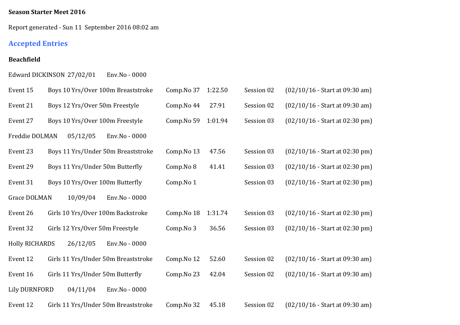### **Season Starter Meet 2016**

Report generated - Sun 11 September 2016 08:02 am

# **Accepted Entries**

### **Beachfield**

Edward DICKINSON 27/02/01 Env.No - 0000

| Event 15              |                                 | Boys 10 Yrs/Over 100m Breaststroke  | Comp.No 37 | 1:22.50 | Session 02 | $(02/10/16 - Start at 09:30 am)$ |
|-----------------------|---------------------------------|-------------------------------------|------------|---------|------------|----------------------------------|
| Event 21              | Boys 12 Yrs/Over 50m Freestyle  |                                     | Comp.No 44 | 27.91   | Session 02 | $(02/10/16 - Start at 09:30 am)$ |
| Event 27              |                                 | Boys 10 Yrs/Over 100m Freestyle     | Comp.No 59 | 1:01.94 | Session 03 | $(02/10/16 - Start at 02:30 pm)$ |
| Freddie DOLMAN        | 05/12/05                        | Env.No - 0000                       |            |         |            |                                  |
| Event 23              |                                 | Boys 11 Yrs/Under 50m Breaststroke  | Comp.No 13 | 47.56   | Session 03 | $(02/10/16 - Start at 02:30 pm)$ |
| Event 29              |                                 | Boys 11 Yrs/Under 50m Butterfly     | Comp.No 8  | 41.41   | Session 03 | $(02/10/16 - Start at 02:30 pm)$ |
| Event 31              |                                 | Boys 10 Yrs/Over 100m Butterfly     | Comp.No 1  |         | Session 03 | $(02/10/16 - Start at 02:30 pm)$ |
| Grace DOLMAN          | 10/09/04                        | Env.No - 0000                       |            |         |            |                                  |
| Event 26              |                                 | Girls 10 Yrs/Over 100m Backstroke   | Comp.No 18 | 1:31.74 | Session 03 | $(02/10/16 - Start at 02:30 pm)$ |
| Event 32              | Girls 12 Yrs/Over 50m Freestyle |                                     | Comp.No 3  | 36.56   | Session 03 | $(02/10/16 - Start at 02:30 pm)$ |
| <b>Holly RICHARDS</b> | 26/12/05                        | Env.No - 0000                       |            |         |            |                                  |
| Event 12              |                                 | Girls 11 Yrs/Under 50m Breaststroke | Comp.No 12 | 52.60   | Session 02 | $(02/10/16 - Start at 09:30 am)$ |
| Event 16              |                                 | Girls 11 Yrs/Under 50m Butterfly    | Comp.No 23 | 42.04   | Session 02 | $(02/10/16 - Start at 09:30 am)$ |
| <b>Lily DURNFORD</b>  | 04/11/04                        | Env.No - 0000                       |            |         |            |                                  |
| Event 12              |                                 | Girls 11 Yrs/Under 50m Breaststroke | Comp.No 32 | 45.18   | Session 02 | $(02/10/16 - Start at 09:30 am)$ |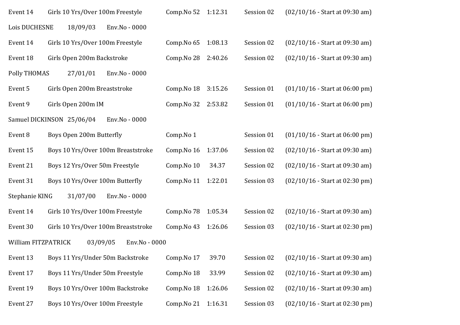| Event 14            | Girls 10 Yrs/Over 100m Freestyle    |               | Comp.No 52 | 1:12.31 | Session 02 | $(02/10/16 - Start at 09:30 am)$ |
|---------------------|-------------------------------------|---------------|------------|---------|------------|----------------------------------|
| Lois DUCHESNE       | 18/09/03                            | Env.No - 0000 |            |         |            |                                  |
| Event 14            | Girls 10 Yrs/Over 100m Freestyle    |               | Comp.No 65 | 1:08.13 | Session 02 | $(02/10/16 - Start at 09:30 am)$ |
| Event 18            | Girls Open 200m Backstroke          |               | Comp.No 28 | 2:40.26 | Session 02 | $(02/10/16 - Start at 09:30 am)$ |
| <b>Polly THOMAS</b> | 27/01/01                            | Env.No - 0000 |            |         |            |                                  |
| Event 5             | Girls Open 200m Breaststroke        |               | Comp.No 18 | 3:15.26 | Session 01 | $(01/10/16 - Start at 06:00 pm)$ |
| Event 9             | Girls Open 200m IM                  |               | Comp.No 32 | 2:53.82 | Session 01 | $(01/10/16 - Start at 06:00 pm)$ |
|                     | Samuel DICKINSON 25/06/04           | Env.No - 0000 |            |         |            |                                  |
| Event 8             | Boys Open 200m Butterfly            |               | Comp.No 1  |         | Session 01 | $(01/10/16 - Start at 06:00 pm)$ |
| Event 15            | Boys 10 Yrs/Over 100m Breaststroke  |               | Comp.No 16 | 1:37.06 | Session 02 | $(02/10/16 - Start at 09:30 am)$ |
| Event 21            | Boys 12 Yrs/Over 50m Freestyle      |               | Comp.No 10 | 34.37   | Session 02 | $(02/10/16 - Start at 09:30 am)$ |
| Event 31            | Boys 10 Yrs/Over 100m Butterfly     |               | Comp.No 11 | 1:22.01 | Session 03 | $(02/10/16 - Start at 02:30 pm)$ |
| Stephanie KING      | 31/07/00                            | Env.No - 0000 |            |         |            |                                  |
| Event 14            | Girls 10 Yrs/Over 100m Freestyle    |               | Comp.No 78 | 1:05.34 | Session 02 | $(02/10/16 - Start at 09:30 am)$ |
| Event 30            | Girls 10 Yrs/Over 100m Breaststroke |               | Comp.No 43 | 1:26.06 | Session 03 | $(02/10/16 - Start at 02:30 pm)$ |
| William FITZPATRICK | 03/09/05                            | Env.No - 0000 |            |         |            |                                  |
| Event 13            | Boys 11 Yrs/Under 50m Backstroke    |               | Comp.No 17 | 39.70   | Session 02 | $(02/10/16 - Start at 09:30 am)$ |
| Event 17            | Boys 11 Yrs/Under 50m Freestyle     |               | Comp.No 18 | 33.99   | Session 02 | $(02/10/16 - Start at 09:30 am)$ |
| Event 19            | Boys 10 Yrs/Over 100m Backstroke    |               | Comp.No 18 | 1:26.06 | Session 02 | $(02/10/16 - Start at 09:30 am)$ |
| Event 27            | Boys 10 Yrs/Over 100m Freestyle     |               | Comp.No 21 | 1:16.31 | Session 03 | $(02/10/16 - Start at 02:30 pm)$ |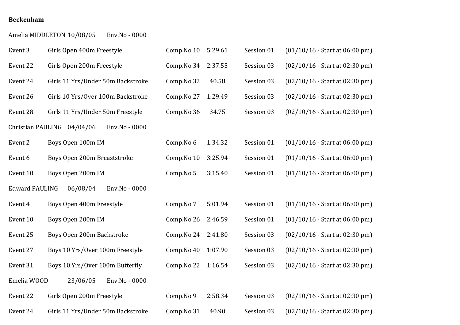#### **Beckenham**

|                       | Amelia MIDDLETON 10/08/05<br>Env.No - 0000  |            |         |            |                                  |
|-----------------------|---------------------------------------------|------------|---------|------------|----------------------------------|
| Event 3               | Girls Open 400m Freestyle                   | Comp.No 10 | 5:29.61 | Session 01 | $(01/10/16 - Start at 06:00 pm)$ |
| Event 22              | Girls Open 200m Freestyle                   | Comp.No 34 | 2:37.55 | Session 03 | $(02/10/16 - Start at 02:30 pm)$ |
| Event 24              | Girls 11 Yrs/Under 50m Backstroke           | Comp.No 32 | 40.58   | Session 03 | $(02/10/16 - Start at 02:30 pm)$ |
| Event 26              | Girls 10 Yrs/Over 100m Backstroke           | Comp.No 27 | 1:29.49 | Session 03 | $(02/10/16 - Start at 02:30 pm)$ |
| Event 28              | Girls 11 Yrs/Under 50m Freestyle            | Comp.No 36 | 34.75   | Session 03 | $(02/10/16 - Start at 02:30 pm)$ |
|                       | Christian PAULING 04/04/06<br>Env.No - 0000 |            |         |            |                                  |
| Event 2               | Boys Open 100m IM                           | Comp.No 6  | 1:34.32 | Session 01 | $(01/10/16 - Start at 06:00 pm)$ |
| Event 6               | Boys Open 200m Breaststroke                 | Comp.No 10 | 3:25.94 | Session 01 | $(01/10/16 - Start at 06:00 pm)$ |
| Event 10              | Boys Open 200m IM                           | Comp.No 5  | 3:15.40 | Session 01 | $(01/10/16 - Start at 06:00 pm)$ |
| <b>Edward PAULING</b> | 06/08/04<br>Env.No - 0000                   |            |         |            |                                  |
| Event 4               | Boys Open 400m Freestyle                    | Comp.No 7  | 5:01.94 | Session 01 | $(01/10/16 - Start at 06:00 pm)$ |
| Event 10              | Boys Open 200m IM                           | Comp.No 26 | 2:46.59 | Session 01 | $(01/10/16 - Start at 06:00 pm)$ |
| Event 25              | Boys Open 200m Backstroke                   | Comp.No 24 | 2:41.80 | Session 03 | $(02/10/16 - Start at 02:30 pm)$ |
| Event 27              | Boys 10 Yrs/Over 100m Freestyle             | Comp.No 40 | 1:07.90 | Session 03 | $(02/10/16 - Start at 02:30 pm)$ |
| Event 31              | Boys 10 Yrs/Over 100m Butterfly             | Comp.No 22 | 1:16.54 | Session 03 | $(02/10/16 - Start at 02:30 pm)$ |
| Emelia WOOD           | 23/06/05<br>Env.No - 0000                   |            |         |            |                                  |
| Event 22              | Girls Open 200m Freestyle                   | Comp.No 9  | 2:58.34 | Session 03 | $(02/10/16 - Start at 02:30 pm)$ |
| Event 24              | Girls 11 Yrs/Under 50m Backstroke           | Comp.No 31 | 40.90   | Session 03 | $(02/10/16 - Start at 02:30 pm)$ |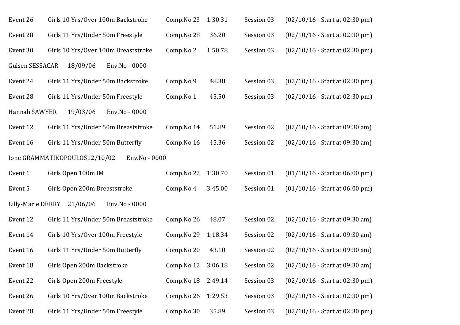| Event 26          | Girls 10 Yrs/Over 100m Backstroke              | Comp.No 23 | 1:30.31 | Session 03 | $(02/10/16 - Start at 02:30 pm)$ |
|-------------------|------------------------------------------------|------------|---------|------------|----------------------------------|
| Event 28          | Girls 11 Yrs/Under 50m Freestyle               | Comp.No 28 | 36.20   | Session 03 | $(02/10/16 - Start at 02:30 pm)$ |
| Event 30          | Girls 10 Yrs/Over 100m Breaststroke            | Comp.No 2  | 1:50.78 | Session 03 | $(02/10/16 - Start at 02:30 pm)$ |
| Gulsen SESSACAR   | 18/09/06<br>Env.No - 0000                      |            |         |            |                                  |
| Event 24          | Girls 11 Yrs/Under 50m Backstroke              | Comp.No 9  | 48.38   | Session 03 | $(02/10/16 - Start at 02:30 pm)$ |
| Event 28          | Girls 11 Yrs/Under 50m Freestyle               | Comp.No 1  | 45.50   | Session 03 | $(02/10/16 - Start at 02:30 pm)$ |
| Hannah SAWYER     | 19/03/06<br>Env.No - 0000                      |            |         |            |                                  |
| Event 12          | Girls 11 Yrs/Under 50m Breaststroke            | Comp.No 14 | 51.89   | Session 02 | $(02/10/16 - Start at 09:30 am)$ |
| Event 16          | Girls 11 Yrs/Under 50m Butterfly               | Comp.No 16 | 45.36   | Session 02 | $(02/10/16 - Start at 09:30 am)$ |
|                   | Ione GRAMMATIKOPOULOS12/10/02<br>Env.No - 0000 |            |         |            |                                  |
| Event 1           | Girls Open 100m IM                             | Comp.No 22 | 1:30.70 | Session 01 | $(01/10/16 - Start at 06:00 pm)$ |
| Event 5           | Girls Open 200m Breaststroke                   | Comp.No 4  | 3:45.00 | Session 01 | $(01/10/16 - Start at 06:00 pm)$ |
| Lilly-Marie DERRY | 21/06/06<br>Env.No - 0000                      |            |         |            |                                  |
| Event 12          | Girls 11 Yrs/Under 50m Breaststroke            | Comp.No 26 | 48.07   | Session 02 | $(02/10/16 - Start at 09:30 am)$ |
| Event 14          | Girls 10 Yrs/Over 100m Freestyle               | Comp.No 29 | 1:18.34 | Session 02 | $(02/10/16 - Start at 09:30 am)$ |
| Event 16          | Girls 11 Yrs/Under 50m Butterfly               | Comp.No 20 | 43.10   | Session 02 | $(02/10/16 - Start at 09:30 am)$ |
| Event 18          | Girls Open 200m Backstroke                     | Comp.No 12 | 3:06.18 | Session 02 | $(02/10/16 - Start at 09:30 am)$ |
| Event 22          | Girls Open 200m Freestyle                      | Comp.No 18 | 2:49.14 | Session 03 | $(02/10/16 - Start at 02:30 pm)$ |
| Event 26          | Girls 10 Yrs/Over 100m Backstroke              | Comp.No 26 | 1:29.53 | Session 03 | $(02/10/16 - Start at 02:30 pm)$ |
| Event 28          | Girls 11 Yrs/Under 50m Freestyle               | Comp.No 30 | 35.89   | Session 03 | $(02/10/16 - Start at 02:30 pm)$ |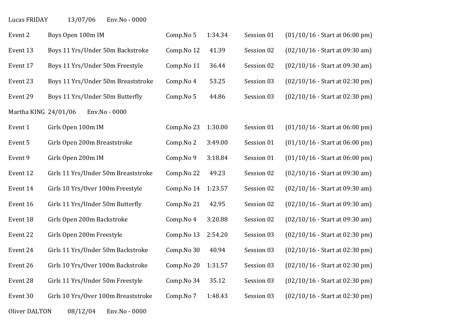Lucas FRIDAY 13/07/06 Env.No - 0000

| Event 2              | Boys Open 100m IM                   | Comp.No 5  | 1:34.34 | Session 01 | $(01/10/16 - Start at 06:00 pm)$ |
|----------------------|-------------------------------------|------------|---------|------------|----------------------------------|
| Event 13             | Boys 11 Yrs/Under 50m Backstroke    | Comp.No 12 | 41.39   | Session 02 | $(02/10/16 - Start at 09:30 am)$ |
| Event 17             | Boys 11 Yrs/Under 50m Freestyle     | Comp.No 11 | 36.44   | Session 02 | $(02/10/16 - Start at 09:30 am)$ |
| Event 23             | Boys 11 Yrs/Under 50m Breaststroke  | Comp.No 4  | 53.25   | Session 03 | $(02/10/16 - Start at 02:30 pm)$ |
| Event 29             | Boys 11 Yrs/Under 50m Butterfly     | Comp.No 5  | 44.86   | Session 03 | $(02/10/16 - Start at 02:30 pm)$ |
| Martha KING 24/01/06 | Env.No - 0000                       |            |         |            |                                  |
| Event 1              | Girls Open 100m IM                  | Comp.No 23 | 1:30.00 | Session 01 | $(01/10/16 - Start at 06:00 pm)$ |
| Event 5              | Girls Open 200m Breaststroke        | Comp.No 2  | 3:49.00 | Session 01 | $(01/10/16 - Start at 06:00 pm)$ |
| Event 9              | Girls Open 200m IM                  | Comp.No 9  | 3:18.84 | Session 01 | $(01/10/16 - Start at 06:00 pm)$ |
| Event 12             | Girls 11 Yrs/Under 50m Breaststroke | Comp.No 22 | 49.23   | Session 02 | $(02/10/16 - Start at 09:30 am)$ |
| Event 14             | Girls 10 Yrs/Over 100m Freestyle    | Comp.No 14 | 1:23.57 | Session 02 | $(02/10/16 - Start at 09:30 am)$ |
| Event 16             | Girls 11 Yrs/Under 50m Butterfly    | Comp.No 21 | 42.95   | Session 02 | $(02/10/16 - Start at 09:30 am)$ |
| Event 18             | Girls Open 200m Backstroke          | Comp.No 4  | 3:20.88 | Session 02 | $(02/10/16 - Start at 09:30 am)$ |
| Event 22             | Girls Open 200m Freestyle           | Comp.No 13 | 2:54.20 | Session 03 | $(02/10/16 - Start at 02:30 pm)$ |
| Event 24             | Girls 11 Yrs/Under 50m Backstroke   | Comp.No 30 | 40.94   | Session 03 | $(02/10/16 - Start at 02:30 pm)$ |
| Event 26             | Girls 10 Yrs/Over 100m Backstroke   | Comp.No 20 | 1:31.57 | Session 03 | $(02/10/16 - Start at 02:30 pm)$ |
| Event 28             | Girls 11 Yrs/Under 50m Freestyle    | Comp.No 34 | 35.12   | Session 03 | $(02/10/16 - Start at 02:30 pm)$ |
| Event 30             | Girls 10 Yrs/Over 100m Breaststroke | Comp.No 7  | 1:48.43 | Session 03 | $(02/10/16 - Start at 02:30 pm)$ |
|                      |                                     |            |         |            |                                  |

Oliver DALTON  $08/12/04$  Env.No - 0000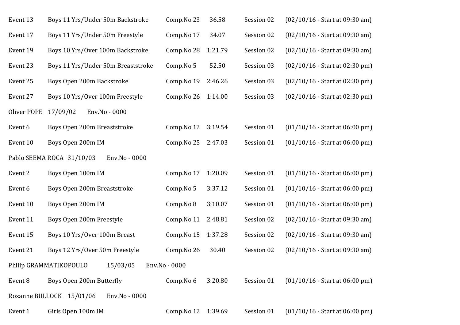| Event 13    | Boys 11 Yrs/Under 50m Backstroke           | Comp.No 23    | 36.58   | Session 02 | $(02/10/16 - Start at 09:30 am)$ |
|-------------|--------------------------------------------|---------------|---------|------------|----------------------------------|
| Event 17    | Boys 11 Yrs/Under 50m Freestyle            | Comp.No 17    | 34.07   | Session 02 | $(02/10/16 - Start at 09:30 am)$ |
| Event 19    | Boys 10 Yrs/Over 100m Backstroke           | Comp.No 28    | 1:21.79 | Session 02 | $(02/10/16 - Start at 09:30 am)$ |
| Event 23    | Boys 11 Yrs/Under 50m Breaststroke         | Comp.No 5     | 52.50   | Session 03 | $(02/10/16 - Start at 02:30 pm)$ |
| Event 25    | Boys Open 200m Backstroke                  | Comp.No 19    | 2:46.26 | Session 03 | $(02/10/16 - Start at 02:30 pm)$ |
| Event 27    | Boys 10 Yrs/Over 100m Freestyle            | Comp.No 26    | 1:14.00 | Session 03 | $(02/10/16 - Start at 02:30 pm)$ |
| Oliver POPE | 17/09/02<br>Env.No - 0000                  |               |         |            |                                  |
| Event 6     | Boys Open 200m Breaststroke                | Comp.No 12    | 3:19.54 | Session 01 | $(01/10/16 - Start at 06:00 pm)$ |
| Event 10    | Boys Open 200m IM                          | Comp.No 25    | 2:47.03 | Session 01 | $(01/10/16 - Start at 06:00 pm)$ |
|             | Pablo SEEMA ROCA 31/10/03<br>Env.No - 0000 |               |         |            |                                  |
| Event 2     | Boys Open 100m IM                          | Comp.No 17    | 1:20.09 | Session 01 | $(01/10/16 - Start at 06:00 pm)$ |
| Event 6     | Boys Open 200m Breaststroke                | Comp.No 5     | 3:37.12 | Session 01 | $(01/10/16 - Start at 06:00 pm)$ |
| Event 10    | Boys Open 200m IM                          | Comp.No 8     | 3:10.07 | Session 01 | $(01/10/16 - Start at 06:00 pm)$ |
| Event 11    | Boys Open 200m Freestyle                   | Comp.No 11    | 2:48.81 | Session 02 | $(02/10/16 - Start at 09:30 am)$ |
| Event 15    | Boys 10 Yrs/Over 100m Breast               | Comp.No 15    | 1:37.28 | Session 02 | $(02/10/16 - Start at 09:30 am)$ |
| Event 21    | Boys 12 Yrs/Over 50m Freestyle             | Comp.No 26    | 30.40   | Session 02 | $(02/10/16 - Start at 09:30 am)$ |
|             | Philip GRAMMATIKOPOULO<br>15/03/05         | Env.No - 0000 |         |            |                                  |
| Event 8     | Boys Open 200m Butterfly                   | Comp.No 6     | 3:20.80 | Session 01 | $(01/10/16 - Start at 06:00 pm)$ |
|             | Roxanne BULLOCK 15/01/06<br>Env.No - 0000  |               |         |            |                                  |
| Event 1     | Girls Open 100m IM                         | Comp.No 12    | 1:39.69 | Session 01 | $(01/10/16 - Start at 06.00 pm)$ |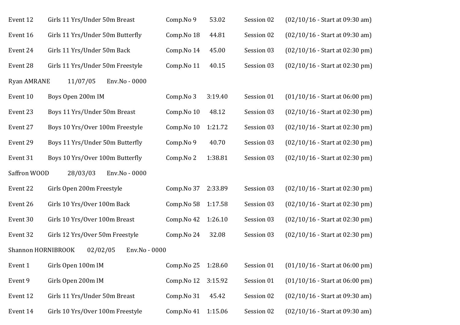| Event 12           | Girls 11 Yrs/Under 50m Breast    | Comp.No 9  | 53.02   | Session 02 | $(02/10/16 - Start at 09:30 am)$ |
|--------------------|----------------------------------|------------|---------|------------|----------------------------------|
| Event 16           | Girls 11 Yrs/Under 50m Butterfly | Comp.No 18 | 44.81   | Session 02 | $(02/10/16 - Start at 09:30 am)$ |
| Event 24           | Girls 11 Yrs/Under 50m Back      | Comp.No 14 | 45.00   | Session 03 | $(02/10/16 - Start at 02:30 pm)$ |
| Event 28           | Girls 11 Yrs/Under 50m Freestyle | Comp.No 11 | 40.15   | Session 03 | $(02/10/16 - Start at 02:30 pm)$ |
| <b>Ryan AMRANE</b> | 11/07/05<br>Env.No - 0000        |            |         |            |                                  |
| Event 10           | Boys Open 200m IM                | Comp.No 3  | 3:19.40 | Session 01 | $(01/10/16 - Start at 06:00 pm)$ |
| Event 23           | Boys 11 Yrs/Under 50m Breast     | Comp.No 10 | 48.12   | Session 03 | $(02/10/16 - Start at 02:30 pm)$ |
| Event 27           | Boys 10 Yrs/Over 100m Freestyle  | Comp.No 10 | 1:21.72 | Session 03 | $(02/10/16 - Start at 02:30 pm)$ |
| Event 29           | Boys 11 Yrs/Under 50m Butterfly  | Comp.No 9  | 40.70   | Session 03 | $(02/10/16 - Start at 02:30 pm)$ |
| Event 31           | Boys 10 Yrs/Over 100m Butterfly  | Comp.No 2  | 1:38.81 | Session 03 | $(02/10/16 - Start at 02:30 pm)$ |
| Saffron WOOD       | 28/03/03<br>Env.No - 0000        |            |         |            |                                  |
| Event 22           | Girls Open 200m Freestyle        | Comp.No 37 | 2:33.89 | Session 03 | $(02/10/16 - Start at 02:30 pm)$ |
| Event 26           | Girls 10 Yrs/Over 100m Back      | Comp.No 58 | 1:17.58 | Session 03 | $(02/10/16 - Start at 02:30 pm)$ |
| Event 30           | Girls 10 Yrs/Over 100m Breast    | Comp.No 42 | 1:26.10 | Session 03 | $(02/10/16 - Start at 02:30 pm)$ |
| Event 32           | Girls 12 Yrs/Over 50m Freestyle  | Comp.No 24 | 32.08   | Session 03 | $(02/10/16 - Start at 02:30 pm)$ |
| Shannon HORNIBROOK | 02/02/05<br>Env.No - 0000        |            |         |            |                                  |
| Event 1            | Girls Open 100m IM               | Comp.No 25 | 1:28.60 | Session 01 | $(01/10/16 - Start at 06:00 pm)$ |
| Event 9            | Girls Open 200m IM               | Comp.No 12 | 3:15.92 | Session 01 | $(01/10/16 - Start at 06:00 pm)$ |
| Event 12           | Girls 11 Yrs/Under 50m Breast    | Comp.No 31 | 45.42   | Session 02 | $(02/10/16 - Start at 09:30 am)$ |
| Event 14           | Girls 10 Yrs/Over 100m Freestyle | Comp.No 41 | 1:15.06 | Session 02 | $(02/10/16 - Start at 09:30 am)$ |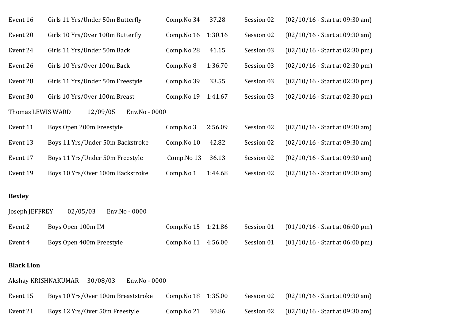| Event 16          | Girls 11 Yrs/Under 50m Butterfly                 | Comp.No 34 | 37.28   | Session 02 | $(02/10/16 - Start at 09:30 am)$ |
|-------------------|--------------------------------------------------|------------|---------|------------|----------------------------------|
| Event 20          | Girls 10 Yrs/Over 100m Butterfly                 | Comp.No 16 | 1:30.16 | Session 02 | $(02/10/16 - Start at 09:30 am)$ |
| Event 24          | Girls 11 Yrs/Under 50m Back                      | Comp.No 28 | 41.15   | Session 03 | $(02/10/16 - Start at 02:30 pm)$ |
| Event 26          | Girls 10 Yrs/Over 100m Back                      | Comp.No 8  | 1:36.70 | Session 03 | $(02/10/16 - Start at 02:30 pm)$ |
| Event 28          | Girls 11 Yrs/Under 50m Freestyle                 | Comp.No 39 | 33.55   | Session 03 | $(02/10/16 - Start at 02:30 pm)$ |
| Event 30          | Girls 10 Yrs/Over 100m Breast                    | Comp.No 19 | 1:41.67 | Session 03 | $(02/10/16 - Start at 02:30 pm)$ |
| Thomas LEWIS WARD | 12/09/05<br>Env.No - 0000                        |            |         |            |                                  |
| Event 11          | Boys Open 200m Freestyle                         | Comp.No 3  | 2:56.09 | Session 02 | $(02/10/16 - Start at 09:30 am)$ |
| Event 13          | Boys 11 Yrs/Under 50m Backstroke                 | Comp.No 10 | 42.82   | Session 02 | $(02/10/16 - Start at 09:30 am)$ |
| Event 17          | Boys 11 Yrs/Under 50m Freestyle                  | Comp.No 13 | 36.13   | Session 02 | $(02/10/16 - Start at 09:30 am)$ |
| Event 19          | Boys 10 Yrs/Over 100m Backstroke                 | Comp.No 1  | 1:44.68 | Session 02 | $(02/10/16 - Start at 09:30 am)$ |
| <b>Bexley</b>     |                                                  |            |         |            |                                  |
| Joseph JEFFREY    | 02/05/03<br>Env.No - 0000                        |            |         |            |                                  |
| Event 2           | Boys Open 100m IM                                | Comp.No 15 | 1:21.86 | Session 01 | $(01/10/16 - Start at 06:00 pm)$ |
| Event 4           | Boys Open 400m Freestyle                         | Comp.No 11 | 4:56.00 | Session 01 | $(01/10/16 - Start at 06:00 pm)$ |
|                   |                                                  |            |         |            |                                  |
| <b>Black Lion</b> |                                                  |            |         |            |                                  |
|                   | Akshay KRISHNAKUMAR<br>30/08/03<br>Env.No - 0000 |            |         |            |                                  |
| Event 15          | Boys 10 Yrs/Over 100m Breaststroke               | Comp.No 18 | 1:35.00 | Session 02 | $(02/10/16 - Start at 09:30 am)$ |
| Event 21          | Boys 12 Yrs/Over 50m Freestyle                   | Comp.No 21 | 30.86   | Session 02 | $(02/10/16 - Start at 09:30 am)$ |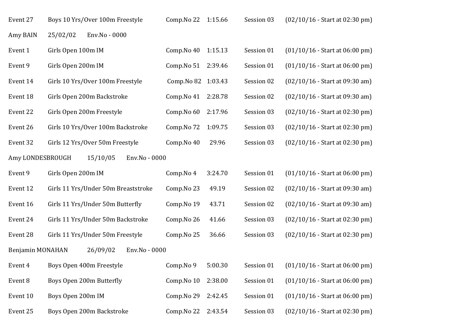| Event 27         | Boys 10 Yrs/Over 100m Freestyle     | Comp.No 22          | 1:15.66 | Session 03 | $(02/10/16 - Start at 02:30 pm)$ |
|------------------|-------------------------------------|---------------------|---------|------------|----------------------------------|
| Amy BAIN         | Env.No - 0000<br>25/02/02           |                     |         |            |                                  |
| Event 1          | Girls Open 100m IM                  | Comp.No 40          | 1:15.13 | Session 01 | $(01/10/16 - Start at 06:00 pm)$ |
| Event 9          | Girls Open 200m IM                  | Comp.No 51          | 2:39.46 | Session 01 | $(01/10/16 - Start at 06:00 pm)$ |
| Event 14         | Girls 10 Yrs/Over 100m Freestyle    | Comp. No 82 1:03.43 |         | Session 02 | $(02/10/16 - Start at 09:30 am)$ |
| Event 18         | Girls Open 200m Backstroke          | Comp.No 41          | 2:28.78 | Session 02 | $(02/10/16 - Start at 09:30 am)$ |
| Event 22         | Girls Open 200m Freestyle           | Comp.No 60          | 2:17.96 | Session 03 | $(02/10/16 - Start at 02:30 pm)$ |
| Event 26         | Girls 10 Yrs/Over 100m Backstroke   | Comp.No 72          | 1:09.75 | Session 03 | $(02/10/16 - Start at 02:30 pm)$ |
| Event 32         | Girls 12 Yrs/Over 50m Freestyle     | Comp.No 40          | 29.96   | Session 03 | $(02/10/16 - Start at 02:30 pm)$ |
| Amy LONDESBROUGH | 15/10/05<br>Env.No - 0000           |                     |         |            |                                  |
| Event 9          | Girls Open 200m IM                  | Comp.No 4           | 3:24.70 | Session 01 | $(01/10/16 - Start at 06:00 pm)$ |
| Event 12         | Girls 11 Yrs/Under 50m Breaststroke | Comp.No 23          | 49.19   | Session 02 | $(02/10/16 - Start at 09:30 am)$ |
| Event 16         | Girls 11 Yrs/Under 50m Butterfly    | Comp.No 19          | 43.71   | Session 02 | $(02/10/16 - Start at 09:30 am)$ |
| Event 24         | Girls 11 Yrs/Under 50m Backstroke   | Comp.No 26          | 41.66   | Session 03 | $(02/10/16 - Start at 02:30 pm)$ |
| Event 28         | Girls 11 Yrs/Under 50m Freestyle    | Comp.No 25          | 36.66   | Session 03 | $(02/10/16 - Start at 02:30 pm)$ |
| Benjamin MONAHAN | 26/09/02<br>Env.No - 0000           |                     |         |            |                                  |
| Event 4          | Boys Open 400m Freestyle            | Comp.No 9           | 5:00.30 | Session 01 | $(01/10/16 - Start at 06:00 pm)$ |
| Event 8          | Boys Open 200m Butterfly            | Comp.No 10          | 2:38.00 | Session 01 | $(01/10/16 - Start at 06:00 pm)$ |
| Event 10         | Boys Open 200m IM                   | Comp.No 29          | 2:42.45 | Session 01 | $(01/10/16 - Start at 06:00 pm)$ |
| Event 25         | Boys Open 200m Backstroke           | Comp.No 22          | 2:43.54 | Session 03 | $(02/10/16 - Start at 02:30 pm)$ |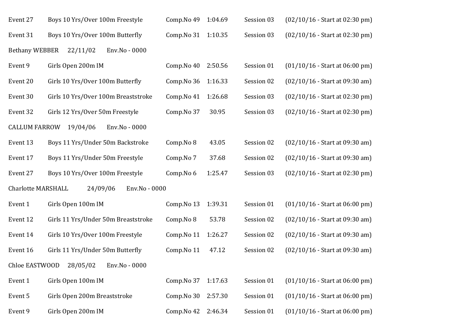| Event 27                  | Boys 10 Yrs/Over 100m Freestyle     | Comp.No 49 | 1:04.69 | Session 03 | $(02/10/16 - Start at 02:30 pm)$ |
|---------------------------|-------------------------------------|------------|---------|------------|----------------------------------|
| Event 31                  | Boys 10 Yrs/Over 100m Butterfly     | Comp.No 31 | 1:10.35 | Session 03 | $(02/10/16 - Start at 02:30 pm)$ |
| <b>Bethany WEBBER</b>     | 22/11/02<br>Env.No - 0000           |            |         |            |                                  |
| Event 9                   | Girls Open 200m IM                  | Comp.No 40 | 2:50.56 | Session 01 | $(01/10/16 - Start at 06:00 pm)$ |
| Event 20                  | Girls 10 Yrs/Over 100m Butterfly    | Comp.No 36 | 1:16.33 | Session 02 | $(02/10/16 - Start at 09:30 am)$ |
| Event 30                  | Girls 10 Yrs/Over 100m Breaststroke | Comp.No 41 | 1:26.68 | Session 03 | $(02/10/16 - Start at 02:30 pm)$ |
| Event 32                  | Girls 12 Yrs/Over 50m Freestyle     | Comp.No 37 | 30.95   | Session 03 | $(02/10/16 - Start at 02:30 pm)$ |
| <b>CALLUM FARROW</b>      | 19/04/06<br>Env.No - 0000           |            |         |            |                                  |
| Event 13                  | Boys 11 Yrs/Under 50m Backstroke    | Comp.No 8  | 43.05   | Session 02 | $(02/10/16 - Start at 09:30 am)$ |
| Event 17                  | Boys 11 Yrs/Under 50m Freestyle     | Comp.No 7  | 37.68   | Session 02 | $(02/10/16 - Start at 09:30 am)$ |
| Event 27                  | Boys 10 Yrs/Over 100m Freestyle     | Comp.No 6  | 1:25.47 | Session 03 | $(02/10/16 - Start at 02:30 pm)$ |
| <b>Charlotte MARSHALL</b> | 24/09/06<br>Env.No - 0000           |            |         |            |                                  |
| Event 1                   | Girls Open 100m IM                  | Comp.No 13 | 1:39.31 | Session 01 | $(01/10/16 - Start at 06:00 pm)$ |
| Event 12                  | Girls 11 Yrs/Under 50m Breaststroke | Comp.No 8  | 53.78   | Session 02 | $(02/10/16 - Start at 09:30 am)$ |
| Event 14                  | Girls 10 Yrs/Over 100m Freestyle    | Comp.No 11 | 1:26.27 | Session 02 | $(02/10/16 - Start at 09:30 am)$ |
| Event 16                  | Girls 11 Yrs/Under 50m Butterfly    | Comp.No 11 | 47.12   | Session 02 | $(02/10/16 - Start at 09:30 am)$ |
| Chloe EASTWOOD            | 28/05/02<br>Env.No - 0000           |            |         |            |                                  |
| Event 1                   | Girls Open 100m IM                  | Comp.No 37 | 1:17.63 | Session 01 | $(01/10/16 - Start at 06:00 pm)$ |
| Event 5                   | Girls Open 200m Breaststroke        | Comp.No 30 | 2:57.30 | Session 01 | $(01/10/16 - Start at 06:00 pm)$ |
| Event 9                   | Girls Open 200m IM                  | Comp.No 42 | 2:46.34 | Session 01 | $(01/10/16 - Start at 06:00 pm)$ |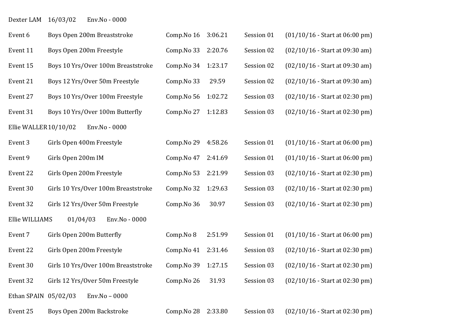Dexter LAM 16/03/02 Env.No - 0000

| Event 6              | Boys Open 200m Breaststroke         | Comp.No 16 | 3:06.21 | Session 01 | $(01/10/16 - Start at 06:00 pm)$ |
|----------------------|-------------------------------------|------------|---------|------------|----------------------------------|
| Event 11             | Boys Open 200m Freestyle            | Comp.No 33 | 2:20.76 | Session 02 | $(02/10/16 - Start at 09:30 am)$ |
| Event 15             | Boys 10 Yrs/Over 100m Breaststroke  | Comp.No 34 | 1:23.17 | Session 02 | $(02/10/16 - Start at 09:30 am)$ |
| Event 21             | Boys 12 Yrs/Over 50m Freestyle      | Comp.No 33 | 29.59   | Session 02 | $(02/10/16 - Start at 09:30 am)$ |
| Event 27             | Boys 10 Yrs/Over 100m Freestyle     | Comp.No 56 | 1:02.72 | Session 03 | $(02/10/16 - Start at 02:30 pm)$ |
| Event 31             | Boys 10 Yrs/Over 100m Butterfly     | Comp.No 27 | 1:12.83 | Session 03 | $(02/10/16 - Start at 02:30 pm)$ |
| Ellie WALLER10/10/02 | Env.No - 0000                       |            |         |            |                                  |
| Event 3              | Girls Open 400m Freestyle           | Comp.No 29 | 4:58.26 | Session 01 | $(01/10/16 - Start at 06:00 pm)$ |
| Event 9              | Girls Open 200m IM                  | Comp.No 47 | 2:41.69 | Session 01 | $(01/10/16 - Start at 06:00 pm)$ |
| Event 22             | Girls Open 200m Freestyle           | Comp.No 53 | 2:21.99 | Session 03 | $(02/10/16 - Start at 02:30 pm)$ |
| Event 30             | Girls 10 Yrs/Over 100m Breaststroke | Comp.No 32 | 1:29.63 | Session 03 | $(02/10/16 - Start at 02:30 pm)$ |
| Event 32             | Girls 12 Yrs/Over 50m Freestyle     | Comp.No 36 | 30.97   | Session 03 | $(02/10/16 - Start at 02:30 pm)$ |
| Ellie WILLIAMS       | 01/04/03<br>Env.No - 0000           |            |         |            |                                  |
| Event 7              | Girls Open 200m Butterfly           | Comp.No 8  | 2:51.99 | Session 01 | $(01/10/16 - Start at 06:00 pm)$ |
| Event 22             | Girls Open 200m Freestyle           | Comp.No 41 | 2:31.46 | Session 03 | $(02/10/16 - Start at 02:30 pm)$ |
| Event 30             | Girls 10 Yrs/Over 100m Breaststroke | Comp.No 39 | 1:27.15 | Session 03 | (02/10/16 - Start at 02:30 pm)   |
| Event 32             | Girls 12 Yrs/Over 50m Freestyle     | Comp.No 26 | 31.93   | Session 03 | $(02/10/16 - Start at 02:30 pm)$ |
| Ethan SPAIN 05/02/03 | Env.No - 0000                       |            |         |            |                                  |
| Event 25             | Boys Open 200m Backstroke           | Comp.No 28 | 2:33.80 | Session 03 | $(02/10/16 - Start at 02:30 pm)$ |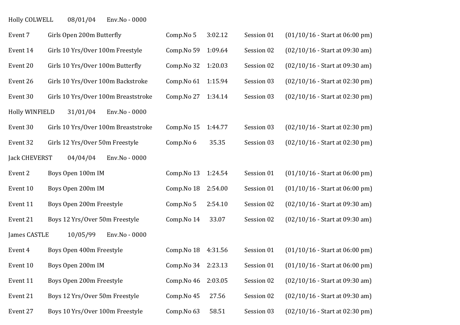Holly COLWELL 08/01/04 Env.No - 0000

| Event 7               | Girls Open 200m Butterfly           | Comp.No 5  | 3:02.12 | Session 01 | $(01/10/16 - Start at 06:00 pm)$ |
|-----------------------|-------------------------------------|------------|---------|------------|----------------------------------|
| Event 14              | Girls 10 Yrs/Over 100m Freestyle    | Comp.No 59 | 1:09.64 | Session 02 | $(02/10/16 - Start at 09:30 am)$ |
| Event 20              | Girls 10 Yrs/Over 100m Butterfly    | Comp.No 32 | 1:20.03 | Session 02 | $(02/10/16 - Start at 09:30 am)$ |
| Event 26              | Girls 10 Yrs/Over 100m Backstroke   | Comp.No 61 | 1:15.94 | Session 03 | $(02/10/16 - Start at 02:30 pm)$ |
| Event 30              | Girls 10 Yrs/Over 100m Breaststroke | Comp.No 27 | 1:34.14 | Session 03 | $(02/10/16 - Start at 02:30 pm)$ |
| <b>Holly WINFIELD</b> | 31/01/04<br>Env.No - 0000           |            |         |            |                                  |
| Event 30              | Girls 10 Yrs/Over 100m Breaststroke | Comp.No 15 | 1:44.77 | Session 03 | $(02/10/16 - Start at 02:30 pm)$ |
| Event 32              | Girls 12 Yrs/Over 50m Freestyle     | Comp.No 6  | 35.35   | Session 03 | $(02/10/16 - Start at 02:30 pm)$ |
| <b>Jack CHEVERST</b>  | Env.No - 0000<br>04/04/04           |            |         |            |                                  |
| Event 2               | Boys Open 100m IM                   | Comp.No 13 | 1:24.54 | Session 01 | $(01/10/16 - Start at 06:00 pm)$ |
| Event 10              | Boys Open 200m IM                   | Comp.No 18 | 2:54.00 | Session 01 | $(01/10/16 - Start at 06:00 pm)$ |
| Event 11              | Boys Open 200m Freestyle            | Comp.No 5  | 2:54.10 | Session 02 | $(02/10/16 - Start at 09:30 am)$ |
| Event 21              | Boys 12 Yrs/Over 50m Freestyle      | Comp.No 14 | 33.07   | Session 02 | $(02/10/16 - Start at 09:30 am)$ |
| James CASTLE          | 10/05/99<br>Env.No - 0000           |            |         |            |                                  |
| Event 4               | Boys Open 400m Freestyle            | Comp.No 18 | 4:31.56 | Session 01 | $(01/10/16 - Start at 06:00 pm)$ |
| Event 10              | Boys Open 200m IM                   | Comp.No 34 | 2:23.13 | Session 01 | $(01/10/16 - Start at 06:00 pm)$ |
| Event 11              | Boys Open 200m Freestyle            | Comp.No 46 | 2:03.05 | Session 02 | $(02/10/16 - Start at 09:30 am)$ |
| Event 21              | Boys 12 Yrs/Over 50m Freestyle      | Comp.No 45 | 27.56   | Session 02 | (02/10/16 - Start at 09:30 am)   |
| Event 27              | Boys 10 Yrs/Over 100m Freestyle     | Comp.No 63 | 58.51   | Session 03 | $(02/10/16 - Start at 02:30 pm)$ |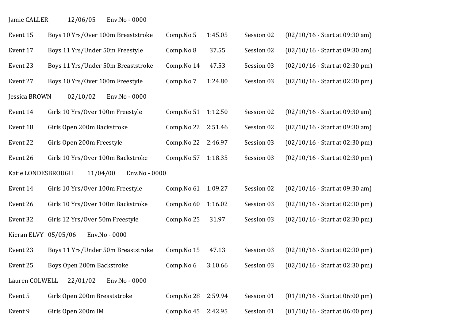Jamie CALLER 12/06/05 Env.No - 0000

| Event 15             | Boys 10 Yrs/Over 100m Breaststroke | Comp.No 5  | 1:45.05 | Session 02 | $(02/10/16 - Start at 09:30 am)$ |
|----------------------|------------------------------------|------------|---------|------------|----------------------------------|
| Event 17             | Boys 11 Yrs/Under 50m Freestyle    | Comp.No 8  | 37.55   | Session 02 | $(02/10/16 - Start at 09:30 am)$ |
| Event 23             | Boys 11 Yrs/Under 50m Breaststroke | Comp.No 14 | 47.53   | Session 03 | $(02/10/16 - Start at 02:30 pm)$ |
| Event 27             | Boys 10 Yrs/Over 100m Freestyle    | Comp.No 7  | 1:24.80 | Session 03 | $(02/10/16 - Start at 02:30 pm)$ |
| Jessica BROWN        | Env.No - 0000<br>02/10/02          |            |         |            |                                  |
| Event 14             | Girls 10 Yrs/Over 100m Freestyle   | Comp.No 51 | 1:12.50 | Session 02 | $(02/10/16 - Start at 09:30 am)$ |
| Event 18             | Girls Open 200m Backstroke         | Comp.No 22 | 2:51.46 | Session 02 | $(02/10/16 - Start at 09:30 am)$ |
| Event 22             | Girls Open 200m Freestyle          | Comp.No 22 | 2:46.97 | Session 03 | $(02/10/16 - Start at 02:30 pm)$ |
| Event 26             | Girls 10 Yrs/Over 100m Backstroke  | Comp.No 57 | 1:18.35 | Session 03 | $(02/10/16 - Start at 02:30 pm)$ |
| Katie LONDESBROUGH   | 11/04/00<br>Env.No - 0000          |            |         |            |                                  |
| Event 14             | Girls 10 Yrs/Over 100m Freestyle   | Comp.No 61 | 1:09.27 | Session 02 | $(02/10/16 - Start at 09:30 am)$ |
| Event 26             | Girls 10 Yrs/Over 100m Backstroke  | Comp.No 60 | 1:16.02 | Session 03 | $(02/10/16 - Start at 02:30 pm)$ |
| Event 32             | Girls 12 Yrs/Over 50m Freestyle    | Comp.No 25 | 31.97   | Session 03 | $(02/10/16 - Start at 02:30 pm)$ |
| Kieran ELVY 05/05/06 | Env.No - 0000                      |            |         |            |                                  |
| Event 23             | Boys 11 Yrs/Under 50m Breaststroke | Comp.No 15 | 47.13   | Session 03 | $(02/10/16 - Start at 02:30 pm)$ |
| Event 25             | Boys Open 200m Backstroke          | Comp.No 6  | 3:10.66 | Session 03 | $(02/10/16 - Start at 02:30 pm)$ |
| Lauren COLWELL       | 22/01/02<br>Env.No - 0000          |            |         |            |                                  |
| Event 5              | Girls Open 200m Breaststroke       | Comp.No 28 | 2:59.94 | Session 01 | $(01/10/16 - Start at 06:00 pm)$ |
| Event 9              | Girls Open 200m IM                 | Comp.No 45 | 2:42.95 | Session 01 | $(01/10/16 - Start at 06:00 pm)$ |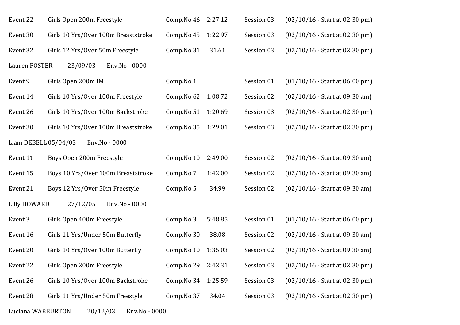| Event 22             | Girls Open 200m Freestyle           | Comp.No 46 | 2:27.12 | Session 03 | $(02/10/16 - Start at 02:30 pm)$ |
|----------------------|-------------------------------------|------------|---------|------------|----------------------------------|
| Event 30             | Girls 10 Yrs/Over 100m Breaststroke | Comp.No 45 | 1:22.97 | Session 03 | $(02/10/16 - Start at 02:30 pm)$ |
| Event 32             | Girls 12 Yrs/Over 50m Freestyle     | Comp.No 31 | 31.61   | Session 03 | $(02/10/16 - Start at 02:30 pm)$ |
| Lauren FOSTER        | 23/09/03<br>Env.No - 0000           |            |         |            |                                  |
| Event 9              | Girls Open 200m IM                  | Comp.No 1  |         | Session 01 | $(01/10/16 - Start at 06:00 pm)$ |
| Event 14             | Girls 10 Yrs/Over 100m Freestyle    | Comp.No 62 | 1:08.72 | Session 02 | $(02/10/16 - Start at 09:30 am)$ |
| Event 26             | Girls 10 Yrs/Over 100m Backstroke   | Comp.No 51 | 1:20.69 | Session 03 | $(02/10/16 - Start at 02:30 pm)$ |
| Event 30             | Girls 10 Yrs/Over 100m Breaststroke | Comp.No 35 | 1:29.01 | Session 03 | (02/10/16 - Start at 02:30 pm)   |
| Liam DEBELL 05/04/03 | Env.No - 0000                       |            |         |            |                                  |
| Event 11             | Boys Open 200m Freestyle            | Comp.No 10 | 2:49.00 | Session 02 | $(02/10/16 - Start at 09:30 am)$ |
| Event 15             | Boys 10 Yrs/Over 100m Breaststroke  | Comp.No 7  | 1:42.00 | Session 02 | $(02/10/16 - Start at 09:30 am)$ |
| Event 21             | Boys 12 Yrs/Over 50m Freestyle      | Comp.No 5  | 34.99   | Session 02 | $(02/10/16 - Start at 09:30 am)$ |
| Lilly HOWARD         | 27/12/05<br>Env.No - 0000           |            |         |            |                                  |
| Event 3              | Girls Open 400m Freestyle           | Comp.No 3  | 5:48.85 | Session 01 | $(01/10/16 - Start at 06:00 pm)$ |
| Event 16             | Girls 11 Yrs/Under 50m Butterfly    | Comp.No 30 | 38.08   | Session 02 | $(02/10/16 - Start at 09:30 am)$ |
| Event 20             | Girls 10 Yrs/Over 100m Butterfly    | Comp.No 10 | 1:35.03 | Session 02 | $(02/10/16 - Start at 09:30 am)$ |
| Event 22             | Girls Open 200m Freestyle           | Comp.No 29 | 2:42.31 | Session 03 | $(02/10/16 - Start at 02:30 pm)$ |
| Event 26             | Girls 10 Yrs/Over 100m Backstroke   | Comp.No 34 | 1:25.59 | Session 03 | $(02/10/16 - Start at 02:30 pm)$ |
| Event 28             | Girls 11 Yrs/Under 50m Freestyle    | Comp.No 37 | 34.04   | Session 03 | $(02/10/16 - Start at 02:30 pm)$ |
|                      |                                     |            |         |            |                                  |

Luciana WARBURTON 20/12/03 Env.No - 0000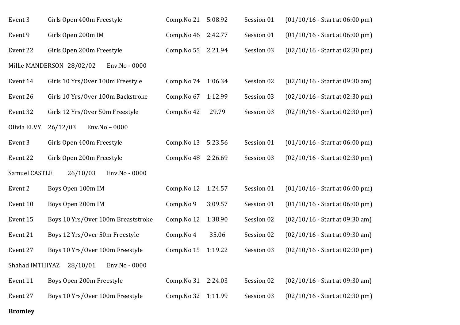| Event 3         | Girls Open 400m Freestyle                  | Comp.No 21 | 5:08.92 | Session 01 | $(01/10/16 - Start at 06:00 pm)$ |
|-----------------|--------------------------------------------|------------|---------|------------|----------------------------------|
| Event 9         | Girls Open 200m IM                         | Comp.No 46 | 2:42.77 | Session 01 | $(01/10/16 - Start at 06:00 pm)$ |
| Event 22        | Girls Open 200m Freestyle                  | Comp.No 55 | 2:21.94 | Session 03 | $(02/10/16 - Start at 02:30 pm)$ |
|                 | Millie MANDERSON 28/02/02<br>Env.No - 0000 |            |         |            |                                  |
| Event 14        | Girls 10 Yrs/Over 100m Freestyle           | Comp.No 74 | 1:06.34 | Session 02 | $(02/10/16 - Start at 09:30 am)$ |
| Event 26        | Girls 10 Yrs/Over 100m Backstroke          | Comp.No 67 | 1:12.99 | Session 03 | $(02/10/16 - Start at 02:30 pm)$ |
| Event 32        | Girls 12 Yrs/Over 50m Freestyle            | Comp.No 42 | 29.79   | Session 03 | $(02/10/16 - Start at 02:30 pm)$ |
| Olivia ELVY     | Env.No - 0000<br>26/12/03                  |            |         |            |                                  |
| Event 3         | Girls Open 400m Freestyle                  | Comp.No 13 | 5:23.56 | Session 01 | $(01/10/16 - Start at 06:00 pm)$ |
| Event 22        | Girls Open 200m Freestyle                  | Comp.No 48 | 2:26.69 | Session 03 | $(02/10/16 - Start at 02:30 pm)$ |
|                 |                                            |            |         |            |                                  |
| Samuel CASTLE   | 26/10/03<br>Env.No - 0000                  |            |         |            |                                  |
| Event 2         | Boys Open 100m IM                          | Comp.No 12 | 1:24.57 | Session 01 | $(01/10/16 - Start at 06:00 pm)$ |
| Event 10        | Boys Open 200m IM                          | Comp.No 9  | 3:09.57 | Session 01 | $(01/10/16 - Start at 06:00 pm)$ |
| Event 15        | Boys 10 Yrs/Over 100m Breaststroke         | Comp.No 12 | 1:38.90 | Session 02 | $(02/10/16 - Start at 09:30 am)$ |
| Event 21        | Boys 12 Yrs/Over 50m Freestyle             | Comp.No 4  | 35.06   | Session 02 | $(02/10/16 - Start at 09:30 am)$ |
| Event 27        | Boys 10 Yrs/Over 100m Freestyle            | Comp.No 15 | 1:19.22 | Session 03 | $(02/10/16 - Start at 02:30 pm)$ |
| Shahad IMTHIYAZ | 28/10/01<br>Env.No - 0000                  |            |         |            |                                  |
| Event 11        | Boys Open 200m Freestyle                   | Comp.No 31 | 2:24.03 | Session 02 | $(02/10/16 - Start at 09:30 am)$ |
| Event 27        | Boys 10 Yrs/Over 100m Freestyle            | Comp.No 32 | 1:11.99 | Session 03 | $(02/10/16 - Start at 02:30 pm)$ |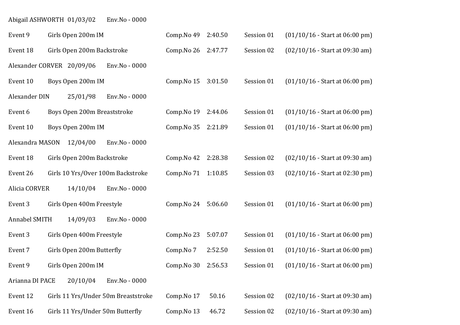# Abigail ASHWORTH 01/03/02 Env.No - 0000

| Event 9         | Girls Open 200m IM                  |               | Comp.No 49          | 2:40.50 | Session 01 | $(01/10/16 - Start at 06:00 pm)$ |
|-----------------|-------------------------------------|---------------|---------------------|---------|------------|----------------------------------|
| Event 18        | Girls Open 200m Backstroke          |               | Comp. No 26 2:47.77 |         | Session 02 | $(02/10/16 - Start at 09:30 am)$ |
|                 | Alexander CORVER 20/09/06           | Env.No - 0000 |                     |         |            |                                  |
| Event 10        | Boys Open 200m IM                   |               | Comp.No 15          | 3:01.50 | Session 01 | $(01/10/16 - Start at 06:00 pm)$ |
| Alexander DIN   | 25/01/98                            | Env.No - 0000 |                     |         |            |                                  |
| Event 6         | Boys Open 200m Breaststroke         |               | Comp.No 19          | 2:44.06 | Session 01 | $(01/10/16 - Start at 06:00 pm)$ |
| Event 10        | Boys Open 200m IM                   |               | Comp.No 35          | 2:21.89 | Session 01 | $(01/10/16 - Start at 06:00 pm)$ |
| Alexandra MASON | 12/04/00                            | Env.No - 0000 |                     |         |            |                                  |
| Event 18        | Girls Open 200m Backstroke          |               | Comp.No 42          | 2:28.38 | Session 02 | $(02/10/16 - Start at 09:30 am)$ |
| Event 26        | Girls 10 Yrs/Over 100m Backstroke   |               | Comp.No 71          | 1:10.85 | Session 03 | $(02/10/16 - Start at 02:30 pm)$ |
| Alicia CORVER   | 14/10/04                            | Env.No - 0000 |                     |         |            |                                  |
| Event 3         | Girls Open 400m Freestyle           |               | Comp.No 24          | 5:06.60 | Session 01 | $(01/10/16 - Start at 06:00 pm)$ |
| Annabel SMITH   | 14/09/03                            | Env.No - 0000 |                     |         |            |                                  |
| Event 3         | Girls Open 400m Freestyle           |               | Comp.No 23          | 5:07.07 | Session 01 | $(01/10/16 - Start at 06:00 pm)$ |
| Event 7         | Girls Open 200m Butterfly           |               | Comp.No 7           | 2:52.50 | Session 01 | $(01/10/16 - Start at 06:00 pm)$ |
| Event 9         | Girls Open 200m IM                  |               | Comp.No 30          | 2:56.53 | Session 01 | $(01/10/16 - Start at 06:00 pm)$ |
| Arianna DI PACE | 20/10/04                            | Env.No - 0000 |                     |         |            |                                  |
| Event 12        | Girls 11 Yrs/Under 50m Breaststroke |               | Comp.No 17          | 50.16   | Session 02 | $(02/10/16 - Start at 09:30 am)$ |
| Event 16        | Girls 11 Yrs/Under 50m Butterfly    |               | Comp.No 13          | 46.72   | Session 02 | $(02/10/16 - Start at 09:30 am)$ |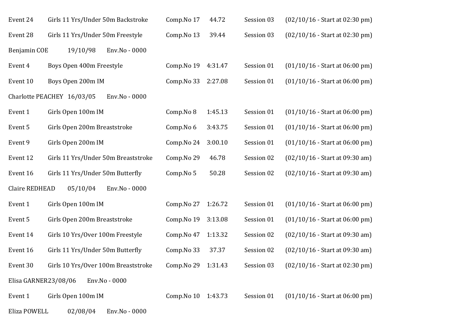| Event 24             | Girls 11 Yrs/Under 50m Backstroke           | Comp.No 17          | 44.72   | Session 03 | $(02/10/16 - Start at 02:30 pm)$ |
|----------------------|---------------------------------------------|---------------------|---------|------------|----------------------------------|
| Event 28             | Girls 11 Yrs/Under 50m Freestyle            | Comp.No 13          | 39.44   | Session 03 | $(02/10/16 - Start at 02:30 pm)$ |
| Benjamin COE         | 19/10/98<br>Env.No - 0000                   |                     |         |            |                                  |
| Event 4              | Boys Open 400m Freestyle                    | Comp.No 19          | 4:31.47 | Session 01 | $(01/10/16 - Start at 06:00 pm)$ |
| Event 10             | Boys Open 200m IM                           | Comp.No 33          | 2:27.08 | Session 01 | $(01/10/16 - Start at 06:00 pm)$ |
|                      | Charlotte PEACHEY 16/03/05<br>Env.No - 0000 |                     |         |            |                                  |
| Event 1              | Girls Open 100m IM                          | Comp.No 8           | 1:45.13 | Session 01 | $(01/10/16 - Start at 06:00 pm)$ |
| Event 5              | Girls Open 200m Breaststroke                | Comp.No 6           | 3:43.75 | Session 01 | $(01/10/16 - Start at 06:00 pm)$ |
| Event 9              | Girls Open 200m IM                          | Comp.No 24          | 3:00.10 | Session 01 | $(01/10/16 - Start at 06:00 pm)$ |
| Event 12             | Girls 11 Yrs/Under 50m Breaststroke         | Comp.No 29          | 46.78   | Session 02 | $(02/10/16 - Start at 09:30 am)$ |
| Event 16             | Girls 11 Yrs/Under 50m Butterfly            | Comp.No 5           | 50.28   | Session 02 | $(02/10/16 - Start at 09:30 am)$ |
| Claire REDHEAD       | 05/10/04<br>Env.No - 0000                   |                     |         |            |                                  |
| Event 1              | Girls Open 100m IM                          | Comp.No 27          | 1:26.72 | Session 01 | $(01/10/16 - Start at 06:00 pm)$ |
| Event 5              | Girls Open 200m Breaststroke                | Comp.No 19          | 3:13.08 | Session 01 | $(01/10/16 - Start at 06:00 pm)$ |
| Event 14             | Girls 10 Yrs/Over 100m Freestyle            | Comp.No 47          | 1:13.32 | Session 02 | $(02/10/16 - Start at 09:30 am)$ |
| Event 16             | Girls 11 Yrs/Under 50m Butterfly            | Comp.No 33          | 37.37   | Session 02 | $(02/10/16 - Start at 09:30 am)$ |
| Event 30             | Girls 10 Yrs/Over 100m Breaststroke         | Comp. No 29 1:31.43 |         | Session 03 | $(02/10/16 - Start at 02:30 pm)$ |
| Elisa GARNER23/08/06 | Env.No - 0000                               |                     |         |            |                                  |
| Event 1              | Girls Open 100m IM                          | Comp. No 10 1:43.73 |         | Session 01 | $(01/10/16 - Start at 06:00 pm)$ |
| Eliza POWELL         | 02/08/04<br>Env.No - 0000                   |                     |         |            |                                  |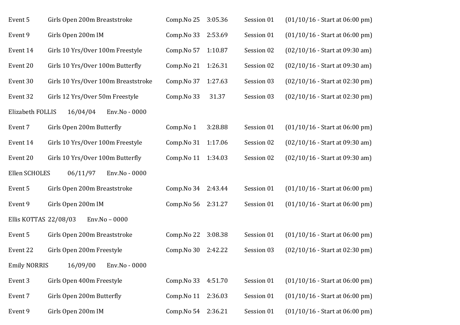| Event 5               | Girls Open 200m Breaststroke        | Comp.No 25          | 3:05.36 | Session 01 | $(01/10/16 - Start at 06:00 pm)$ |
|-----------------------|-------------------------------------|---------------------|---------|------------|----------------------------------|
| Event 9               | Girls Open 200m IM                  | Comp.No 33          | 2:53.69 | Session 01 | $(01/10/16 - Start at 06:00 pm)$ |
| Event 14              | Girls 10 Yrs/Over 100m Freestyle    | Comp.No 57          | 1:10.87 | Session 02 | $(02/10/16 - Start at 09:30 am)$ |
| Event 20              | Girls 10 Yrs/Over 100m Butterfly    | Comp.No 21          | 1:26.31 | Session 02 | $(02/10/16 - Start at 09:30 am)$ |
| Event 30              | Girls 10 Yrs/Over 100m Breaststroke | Comp.No 37          | 1:27.63 | Session 03 | $(02/10/16 - Start at 02:30 pm)$ |
| Event 32              | Girls 12 Yrs/Over 50m Freestyle     | Comp.No 33          | 31.37   | Session 03 | $(02/10/16 - Start at 02:30 pm)$ |
| Elizabeth FOLLIS      | 16/04/04<br>Env.No - 0000           |                     |         |            |                                  |
| Event 7               | Girls Open 200m Butterfly           | Comp.No 1           | 3:28.88 | Session 01 | $(01/10/16 - Start at 06:00 pm)$ |
| Event 14              | Girls 10 Yrs/Over 100m Freestyle    | Comp.No 31          | 1:17.06 | Session 02 | $(02/10/16 - Start at 09:30 am)$ |
| Event 20              | Girls 10 Yrs/Over 100m Butterfly    | Comp.No 11          | 1:34.03 | Session 02 | $(02/10/16 - Start at 09:30 am)$ |
| Ellen SCHOLES         | 06/11/97<br>Env.No - 0000           |                     |         |            |                                  |
| Event 5               | Girls Open 200m Breaststroke        | Comp. No 34 2:43.44 |         | Session 01 | $(01/10/16 - Start at 06:00 pm)$ |
| Event 9               | Girls Open 200m IM                  | Comp.No 56          | 2:31.27 | Session 01 | $(01/10/16 - Start at 06:00 pm)$ |
| Ellis KOTTAS 22/08/03 | Env.No - 0000                       |                     |         |            |                                  |
| Event 5               | Girls Open 200m Breaststroke        | Comp.No 22          | 3:08.38 | Session 01 | $(01/10/16 - Start at 06:00 pm)$ |
| Event 22              | Girls Open 200m Freestyle           | Comp.No 30          | 2:42.22 | Session 03 | $(02/10/16 - Start at 02:30 pm)$ |
| <b>Emily NORRIS</b>   | 16/09/00<br>Env.No - 0000           |                     |         |            |                                  |
| Event 3               | Girls Open 400m Freestyle           | Comp.No 33          | 4:51.70 | Session 01 | $(01/10/16 - Start at 06:00 pm)$ |
| Event 7               | Girls Open 200m Butterfly           | Comp.No 11          | 2:36.03 | Session 01 | $(01/10/16 - Start at 06:00 pm)$ |
| Event 9               | Girls Open 200m IM                  | Comp.No 54          | 2:36.21 | Session 01 | $(01/10/16 - Start at 06:00 pm)$ |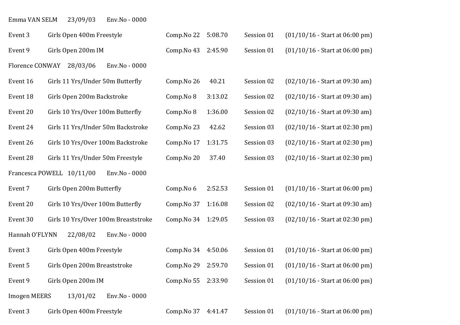## Emma VAN SELM 23/09/03 Env.No - 0000

| Event 3             | Girls Open 400m Freestyle                  | Comp.No 22 | 5:08.70 | Session 01 | $(01/10/16 - Start at 06:00 pm)$ |
|---------------------|--------------------------------------------|------------|---------|------------|----------------------------------|
| Event 9             | Girls Open 200m IM                         | Comp.No 43 | 2:45.90 | Session 01 | $(01/10/16 - Start at 06:00 pm)$ |
| Florence CONWAY     | 28/03/06<br>Env.No - 0000                  |            |         |            |                                  |
| Event 16            | Girls 11 Yrs/Under 50m Butterfly           | Comp.No 26 | 40.21   | Session 02 | $(02/10/16 - Start at 09:30 am)$ |
| Event 18            | Girls Open 200m Backstroke                 | Comp.No 8  | 3:13.02 | Session 02 | $(02/10/16 - Start at 09:30 am)$ |
| Event 20            | Girls 10 Yrs/Over 100m Butterfly           | Comp.No 8  | 1:36.00 | Session 02 | $(02/10/16 - Start at 09:30 am)$ |
| Event 24            | Girls 11 Yrs/Under 50m Backstroke          | Comp.No 23 | 42.62   | Session 03 | $(02/10/16 - Start at 02:30 pm)$ |
| Event 26            | Girls 10 Yrs/Over 100m Backstroke          | Comp.No 17 | 1:31.75 | Session 03 | $(02/10/16 - Start at 02:30 pm)$ |
| Event 28            | Girls 11 Yrs/Under 50m Freestyle           | Comp.No 20 | 37.40   | Session 03 | $(02/10/16 - Start at 02:30 pm)$ |
|                     | Francesca POWELL 10/11/00<br>Env.No - 0000 |            |         |            |                                  |
| Event 7             | Girls Open 200m Butterfly                  | Comp.No 6  | 2:52.53 | Session 01 | $(01/10/16 - Start at 06:00 pm)$ |
| Event 20            | Girls 10 Yrs/Over 100m Butterfly           | Comp.No 37 | 1:16.08 | Session 02 | $(02/10/16 - Start at 09:30 am)$ |
| Event 30            | Girls 10 Yrs/Over 100m Breaststroke        | Comp.No 34 | 1:29.05 | Session 03 | $(02/10/16 - Start at 02:30 pm)$ |
| Hannah O'FLYNN      | 22/08/02<br>Env.No - 0000                  |            |         |            |                                  |
| Event 3             | Girls Open 400m Freestyle                  | Comp.No 34 | 4:50.06 | Session 01 | $(01/10/16 - Start at 06:00 pm)$ |
| Event 5             | Girls Open 200m Breaststroke               | Comp.No 29 | 2:59.70 | Session 01 | $(01/10/16 - Start at 06:00 pm)$ |
| Event 9             | Girls Open 200m IM                         | Comp.No 55 | 2:33.90 | Session 01 | $(01/10/16 - Start at 06:00 pm)$ |
| <b>Imogen MEERS</b> | 13/01/02<br>Env.No - 0000                  |            |         |            |                                  |
| Event 3             | Girls Open 400m Freestyle                  | Comp.No 37 | 4:41.47 | Session 01 | $(01/10/16 - Start at 06:00 pm)$ |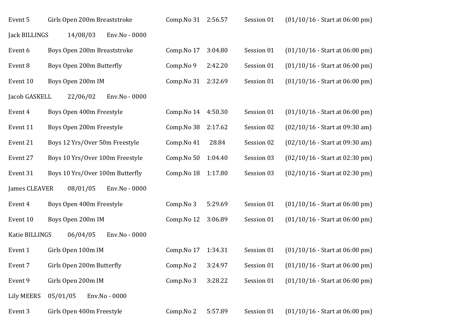| Event 5           | Girls Open 200m Breaststroke    | Comp. No 31 2:56.57 |         | Session 01 | $(01/10/16 - Start at 06:00 pm)$ |
|-------------------|---------------------------------|---------------------|---------|------------|----------------------------------|
| Jack BILLINGS     | 14/08/03<br>Env.No - 0000       |                     |         |            |                                  |
| Event 6           | Boys Open 200m Breaststroke     | Comp.No 17          | 3:04.80 | Session 01 | $(01/10/16 - Start at 06:00 pm)$ |
| Event 8           | Boys Open 200m Butterfly        | Comp.No 9           | 2:42.20 | Session 01 | $(01/10/16 - Start at 06:00 pm)$ |
| Event 10          | Boys Open 200m IM               | Comp.No 31          | 2:32.69 | Session 01 | $(01/10/16 - Start at 06:00 pm)$ |
| Jacob GASKELL     | 22/06/02<br>Env.No - 0000       |                     |         |            |                                  |
| Event 4           | Boys Open 400m Freestyle        | Comp.No 14          | 4:50.30 | Session 01 | $(01/10/16 - Start at 06:00 pm)$ |
| Event 11          | Boys Open 200m Freestyle        | Comp.No 38          | 2:17.62 | Session 02 | $(02/10/16 - Start at 09:30 am)$ |
| Event 21          | Boys 12 Yrs/Over 50m Freestyle  | Comp.No 41          | 28.84   | Session 02 | $(02/10/16 - Start at 09:30 am)$ |
| Event 27          | Boys 10 Yrs/Over 100m Freestyle | Comp.No 50          | 1:04.40 | Session 03 | $(02/10/16 - Start at 02:30 pm)$ |
| Event 31          | Boys 10 Yrs/Over 100m Butterfly | Comp.No 18          | 1:17.80 | Session 03 | $(02/10/16 - Start at 02:30 pm)$ |
| James CLEAVER     | 08/01/05<br>Env.No - 0000       |                     |         |            |                                  |
| Event 4           | Boys Open 400m Freestyle        | Comp.No 3           | 5:29.69 | Session 01 | $(01/10/16 - Start at 06:00 pm)$ |
| Event 10          | Boys Open 200m IM               | Comp.No 12          | 3:06.89 | Session 01 | $(01/10/16 - Start at 06:00 pm)$ |
| Katie BILLINGS    | 06/04/05<br>Env.No - 0000       |                     |         |            |                                  |
| Event 1           | Girls Open 100m IM              | Comp.No 17          | 1:34.31 | Session 01 | $(01/10/16 - Start at 06:00 pm)$ |
| Event 7           | Girls Open 200m Butterfly       | Comp.No 2           | 3:24.97 | Session 01 | $(01/10/16 - Start at 06:00 pm)$ |
| Event 9           | Girls Open 200m IM              | Comp.No 3           | 3:28.22 | Session 01 | $(01/10/16 - Start at 06:00 pm)$ |
| <b>Lily MEERS</b> | 05/01/05<br>Env.No - 0000       |                     |         |            |                                  |
| Event 3           | Girls Open 400m Freestyle       | Comp.No 2           | 5:57.89 | Session 01 | $(01/10/16 - Start at 06:00 pm)$ |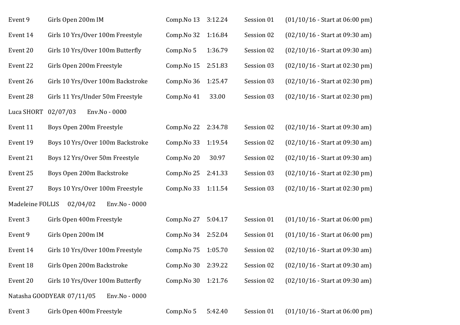| Event 14<br>Comp.No 32<br>Session 02<br>Girls 10 Yrs/Over 100m Freestyle<br>1:16.84<br>$(02/10/16 - Start at 09:30 am)$<br>Event 20<br>Girls 10 Yrs/Over 100m Butterfly<br>1:36.79<br>Comp.No 5<br>Session 02<br>$(02/10/16 - Start at 09:30 am)$<br>Event 22<br>Girls Open 200m Freestyle<br>Session 03<br>Comp.No 15<br>2:51.83<br>$(02/10/16 - Start at 02:30 pm)$<br>Event 26<br>1:25.47<br>Session 03<br>$(02/10/16 - Start at 02:30 pm)$<br>Girls 10 Yrs/Over 100m Backstroke<br>Comp.No 36 |  |
|---------------------------------------------------------------------------------------------------------------------------------------------------------------------------------------------------------------------------------------------------------------------------------------------------------------------------------------------------------------------------------------------------------------------------------------------------------------------------------------------------|--|
|                                                                                                                                                                                                                                                                                                                                                                                                                                                                                                   |  |
|                                                                                                                                                                                                                                                                                                                                                                                                                                                                                                   |  |
|                                                                                                                                                                                                                                                                                                                                                                                                                                                                                                   |  |
|                                                                                                                                                                                                                                                                                                                                                                                                                                                                                                   |  |
| Event 28<br>Girls 11 Yrs/Under 50m Freestyle<br>33.00<br>Session 03<br>$(02/10/16 - Start at 02:30 pm)$<br>Comp.No 41                                                                                                                                                                                                                                                                                                                                                                             |  |
| Luca SHORT<br>02/07/03<br>Env.No - 0000                                                                                                                                                                                                                                                                                                                                                                                                                                                           |  |
| Event 11<br>Boys Open 200m Freestyle<br>Comp. No 22 2:34.78<br>Session 02<br>$(02/10/16 - Start at 09:30 am)$                                                                                                                                                                                                                                                                                                                                                                                     |  |
| Boys 10 Yrs/Over 100m Backstroke<br>Session 02<br>Event 19<br>Comp.No 33<br>1:19.54<br>$(02/10/16 - Start at 09:30 am)$                                                                                                                                                                                                                                                                                                                                                                           |  |
| Event 21<br>Boys 12 Yrs/Over 50m Freestyle<br>30.97<br>Session 02<br>Comp.No 20<br>$(02/10/16 - Start at 09:30 am)$                                                                                                                                                                                                                                                                                                                                                                               |  |
| Event 25<br>Boys Open 200m Backstroke<br>Comp.No 25<br>2:41.33<br>Session 03<br>$(02/10/16 - Start at 02:30 pm)$                                                                                                                                                                                                                                                                                                                                                                                  |  |
| Boys 10 Yrs/Over 100m Freestyle<br>Session 03<br>Event 27<br>Comp. No 33 1:11.54<br>$(02/10/16 - Start at 02:30 pm)$                                                                                                                                                                                                                                                                                                                                                                              |  |
| Madeleine FOLLIS<br>02/04/02<br>Env.No - 0000                                                                                                                                                                                                                                                                                                                                                                                                                                                     |  |
| Event 3<br>5:04.17<br>Session 01<br>Girls Open 400m Freestyle<br>Comp.No 27<br>$(01/10/16 - Start at 06:00 pm)$                                                                                                                                                                                                                                                                                                                                                                                   |  |
| Girls Open 200m IM<br>Comp. No 34 2:52.04<br>Session 01<br>$(01/10/16 - Start at 06:00 pm)$<br>Event 9                                                                                                                                                                                                                                                                                                                                                                                            |  |
| Girls 10 Yrs/Over 100m Freestyle<br>Session 02<br>Event 14<br>Comp.No 75<br>1:05.70<br>$(02/10/16 - Start at 09:30 am)$                                                                                                                                                                                                                                                                                                                                                                           |  |
| Event 18<br>Girls Open 200m Backstroke<br>Comp. No 30 2:39.22<br>Session 02<br>$(02/10/16 - Start at 09:30 am)$                                                                                                                                                                                                                                                                                                                                                                                   |  |
| Girls 10 Yrs/Over 100m Butterfly<br>Session 02<br>$(02/10/16 - Start at 09:30 am)$<br>Event 20<br>Comp. No 30 1:21.76                                                                                                                                                                                                                                                                                                                                                                             |  |
| Natasha GOODYEAR 07/11/05<br>Env.No - 0000                                                                                                                                                                                                                                                                                                                                                                                                                                                        |  |
| Girls Open 400m Freestyle<br>5:42.40<br>Session 01<br>Event 3<br>Comp.No 5<br>$(01/10/16 - Start at 06:00 pm)$                                                                                                                                                                                                                                                                                                                                                                                    |  |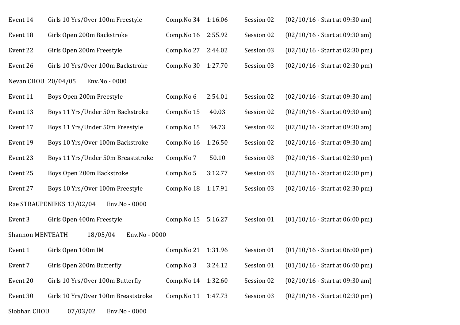| Event 14                | Girls 10 Yrs/Over 100m Freestyle           | Comp. No 34 1:16.06 |         | Session 02 | $(02/10/16 - Start at 09:30 am)$ |
|-------------------------|--------------------------------------------|---------------------|---------|------------|----------------------------------|
| Event 18                | Girls Open 200m Backstroke                 | Comp.No 16          | 2:55.92 | Session 02 | $(02/10/16 - Start at 09:30 am)$ |
| Event 22                | Girls Open 200m Freestyle                  | Comp.No 27          | 2:44.02 | Session 03 | $(02/10/16 - Start at 02:30 pm)$ |
| Event 26                | Girls 10 Yrs/Over 100m Backstroke          | Comp.No 30          | 1:27.70 | Session 03 | $(02/10/16 - Start at 02:30 pm)$ |
| Nevan CHOU 20/04/05     | Env.No - 0000                              |                     |         |            |                                  |
| Event 11                | Boys Open 200m Freestyle                   | Comp.No 6           | 2:54.01 | Session 02 | $(02/10/16 - Start at 09:30 am)$ |
| Event 13                | Boys 11 Yrs/Under 50m Backstroke           | Comp.No 15          | 40.03   | Session 02 | $(02/10/16 - Start at 09:30 am)$ |
| Event 17                | Boys 11 Yrs/Under 50m Freestyle            | Comp.No 15          | 34.73   | Session 02 | $(02/10/16 - Start at 09:30 am)$ |
| Event 19                | Boys 10 Yrs/Over 100m Backstroke           | Comp.No 16          | 1:26.50 | Session 02 | $(02/10/16 - Start at 09:30 am)$ |
| Event 23                | Boys 11 Yrs/Under 50m Breaststroke         | Comp.No 7           | 50.10   | Session 03 | $(02/10/16 - Start at 02:30 pm)$ |
| Event 25                | Boys Open 200m Backstroke                  | Comp.No 5           | 3:12.77 | Session 03 | $(02/10/16 - Start at 02:30 pm)$ |
| Event 27                | Boys 10 Yrs/Over 100m Freestyle            | Comp.No 18          | 1:17.91 | Session 03 | $(02/10/16 - Start at 02:30 pm)$ |
|                         | Rae STRAUPENIEKS 13/02/04<br>Env.No - 0000 |                     |         |            |                                  |
| Event 3                 | Girls Open 400m Freestyle                  | Comp.No 15          | 5:16.27 | Session 01 | $(01/10/16 - Start at 06:00 pm)$ |
| <b>Shannon MENTEATH</b> | 18/05/04<br>Env.No - 0000                  |                     |         |            |                                  |
| Event 1                 | Girls Open 100m IM                         | Comp.No 21          | 1:31.96 | Session 01 | $(01/10/16 - Start at 06:00 pm)$ |
| Event 7                 | Girls Open 200m Butterfly                  | Comp.No 3           | 3:24.12 | Session 01 | $(01/10/16 - Start at 06:00 pm)$ |
| Event 20                | Girls 10 Yrs/Over 100m Butterfly           | Comp.No 14          | 1:32.60 | Session 02 | $(02/10/16 - Start at 09:30 am)$ |
| Event 30                | Girls 10 Yrs/Over 100m Breaststroke        | Comp.No 11          | 1:47.73 | Session 03 | $(02/10/16 - Start at 02:30 pm)$ |
| Siobhan CHOU            | 07/03/02<br>Env.No - 0000                  |                     |         |            |                                  |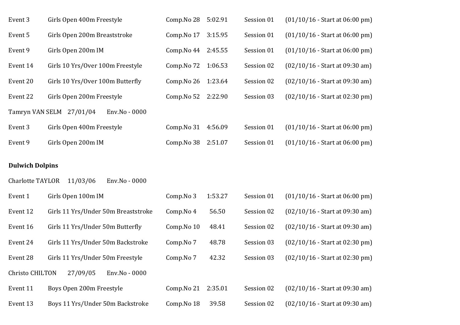| Event 3  | Girls Open 400m Freestyle                 | Comp.No 28 | 5:02.91 | Session 01 | $(01/10/16 - Start at 06:00 pm)$ |
|----------|-------------------------------------------|------------|---------|------------|----------------------------------|
| Event 5  | Girls Open 200m Breaststroke              | Comp.No 17 | 3:15.95 | Session 01 | $(01/10/16 - Start at 06:00 pm)$ |
| Event 9  | Girls Open 200m IM                        | Comp.No 44 | 2:45.55 | Session 01 | $(01/10/16 - Start at 06:00 pm)$ |
| Event 14 | Girls 10 Yrs/Over 100m Freestyle          | Comp.No 72 | 1:06.53 | Session 02 | $(02/10/16 - Start at 09:30 am)$ |
| Event 20 | Girls 10 Yrs/Over 100m Butterfly          | Comp.No 26 | 1:23.64 | Session 02 | $(02/10/16 - Start at 09:30 am)$ |
| Event 22 | Girls Open 200m Freestyle                 | Comp.No 52 | 2:22.90 | Session 03 | $(02/10/16 - Start at 02:30 pm)$ |
|          | Tamryn VAN SELM 27/01/04<br>Env.No - 0000 |            |         |            |                                  |
| Event 3  | Girls Open 400m Freestyle                 | Comp.No 31 | 4:56.09 | Session 01 | $(01/10/16 - Start at 06:00 pm)$ |
| Event 9  | Girls Open 200m IM                        | Comp.No 38 | 2:51.07 | Session 01 | $(01/10/16 - Start at 06:00 pm)$ |

### **Dulwich Dolpins**

| <b>Charlotte TAYLOR</b> | 11/03/06<br>Env.No - 0000           |            |         |            |                                  |
|-------------------------|-------------------------------------|------------|---------|------------|----------------------------------|
| Event 1                 | Girls Open 100m IM                  | Comp.No 3  | 1:53.27 | Session 01 | $(01/10/16 - Start at 06:00 pm)$ |
| Event 12                | Girls 11 Yrs/Under 50m Breaststroke | Comp.No 4  | 56.50   | Session 02 | $(02/10/16 - Start at 09:30 am)$ |
| Event 16                | Girls 11 Yrs/Under 50m Butterfly    | Comp.No 10 | 48.41   | Session 02 | $(02/10/16 - Start at 09:30 am)$ |
| Event 24                | Girls 11 Yrs/Under 50m Backstroke   | Comp.No 7  | 48.78   | Session 03 | $(02/10/16 - Start at 02:30 pm)$ |
| Event 28                | Girls 11 Yrs/Under 50m Freestyle    | Comp.No 7  | 42.32   | Session 03 | $(02/10/16 - Start at 02:30 pm)$ |
| <b>Christo CHILTON</b>  | 27/09/05<br>Env.No - 0000           |            |         |            |                                  |
| Event 11                | Boys Open 200m Freestyle            | Comp.No 21 | 2:35.01 | Session 02 | $(02/10/16 - Start at 09:30 am)$ |
| Event 13                | Boys 11 Yrs/Under 50m Backstroke    | Comp.No 18 | 39.58   | Session 02 | $(02/10/16 - Start at 09:30 am)$ |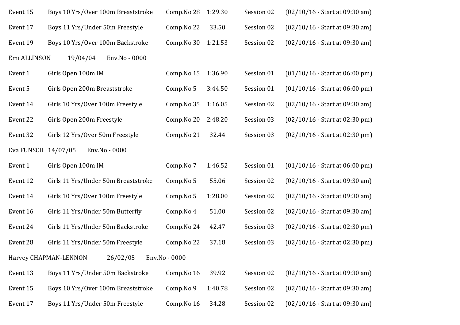| Event 15            | Boys 10 Yrs/Over 100m Breaststroke  | Comp.No 28    | 1:29.30 | Session 02 | $(02/10/16 - Start at 09:30 am)$ |
|---------------------|-------------------------------------|---------------|---------|------------|----------------------------------|
| Event 17            | Boys 11 Yrs/Under 50m Freestyle     | Comp.No 22    | 33.50   | Session 02 | $(02/10/16 - Start at 09:30 am)$ |
| Event 19            | Boys 10 Yrs/Over 100m Backstroke    | Comp.No 30    | 1:21.53 | Session 02 | $(02/10/16 - Start at 09:30 am)$ |
| Emi ALLINSON        | 19/04/04<br>Env.No - 0000           |               |         |            |                                  |
| Event 1             | Girls Open 100m IM                  | Comp.No 15    | 1:36.90 | Session 01 | $(01/10/16 - Start at 06:00 pm)$ |
| Event 5             | Girls Open 200m Breaststroke        | Comp.No 5     | 3:44.50 | Session 01 | $(01/10/16 - Start at 06:00 pm)$ |
| Event 14            | Girls 10 Yrs/Over 100m Freestyle    | Comp.No 35    | 1:16.05 | Session 02 | $(02/10/16 - Start at 09:30 am)$ |
| Event 22            | Girls Open 200m Freestyle           | Comp.No 20    | 2:48.20 | Session 03 | $(02/10/16 - Start at 02:30 pm)$ |
| Event 32            | Girls 12 Yrs/Over 50m Freestyle     | Comp.No 21    | 32.44   | Session 03 | $(02/10/16 - Start at 02:30 pm)$ |
| Eva FUNSCH 14/07/05 | Env.No - 0000                       |               |         |            |                                  |
| Event 1             | Girls Open 100m IM                  | Comp.No 7     | 1:46.52 | Session 01 | $(01/10/16 - Start at 06:00 pm)$ |
| Event 12            | Girls 11 Yrs/Under 50m Breaststroke | Comp.No 5     | 55.06   | Session 02 | $(02/10/16 - Start at 09:30 am)$ |
| Event 14            | Girls 10 Yrs/Over 100m Freestyle    | Comp.No 5     | 1:28.00 | Session 02 | $(02/10/16 - Start at 09:30 am)$ |
| Event 16            | Girls 11 Yrs/Under 50m Butterfly    | Comp.No 4     | 51.00   | Session 02 | $(02/10/16 - Start at 09:30 am)$ |
| Event 24            | Girls 11 Yrs/Under 50m Backstroke   | Comp.No 24    | 42.47   | Session 03 | $(02/10/16 - Start at 02:30 pm)$ |
| Event 28            | Girls 11 Yrs/Under 50m Freestyle    | Comp.No 22    | 37.18   | Session 03 | $(02/10/16 - Start at 02:30 pm)$ |
|                     | 26/02/05<br>Harvey CHAPMAN-LENNON   | Env.No - 0000 |         |            |                                  |
| Event 13            | Boys 11 Yrs/Under 50m Backstroke    | Comp.No 16    | 39.92   | Session 02 | $(02/10/16 - Start at 09:30 am)$ |
| Event 15            | Boys 10 Yrs/Over 100m Breaststroke  | Comp.No 9     | 1:40.78 | Session 02 | $(02/10/16 - Start at 09:30 am)$ |
| Event 17            | Boys 11 Yrs/Under 50m Freestyle     | Comp.No 16    | 34.28   | Session 02 | $(02/10/16 - Start at 09:30 am)$ |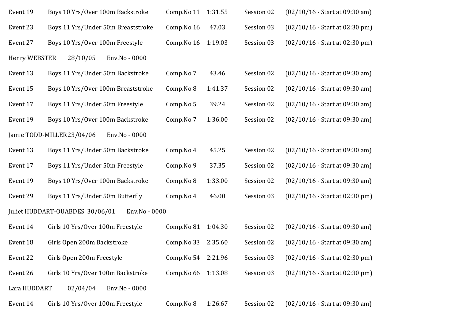| Event 19             | Boys 10 Yrs/Over 100m Backstroke                 | Comp.No 11          | 1:31.55 | Session 02 | $(02/10/16 - Start at 09:30 am)$ |
|----------------------|--------------------------------------------------|---------------------|---------|------------|----------------------------------|
| Event 23             | Boys 11 Yrs/Under 50m Breaststroke               | Comp.No 16          | 47.03   | Session 03 | (02/10/16 - Start at 02:30 pm)   |
| Event 27             | Boys 10 Yrs/Over 100m Freestyle                  | Comp.No 16          | 1:19.03 | Session 03 | $(02/10/16 - Start at 02:30 pm)$ |
| <b>Henry WEBSTER</b> | 28/10/05<br>Env.No - 0000                        |                     |         |            |                                  |
| Event 13             | Boys 11 Yrs/Under 50m Backstroke                 | Comp.No 7           | 43.46   | Session 02 | $(02/10/16 - Start at 09:30 am)$ |
| Event 15             | Boys 10 Yrs/Over 100m Breaststroke               | Comp.No 8           | 1:41.37 | Session 02 | $(02/10/16 - Start at 09:30 am)$ |
| Event 17             | Boys 11 Yrs/Under 50m Freestyle                  | Comp.No 5           | 39.24   | Session 02 | $(02/10/16 - Start at 09:30 am)$ |
| Event 19             | Boys 10 Yrs/Over 100m Backstroke                 | Comp.No 7           | 1:36.00 | Session 02 | $(02/10/16 - Start at 09:30 am)$ |
|                      | Jamie TODD-MILLER23/04/06<br>Env.No - 0000       |                     |         |            |                                  |
| Event 13             | Boys 11 Yrs/Under 50m Backstroke                 | Comp.No 4           | 45.25   | Session 02 | $(02/10/16 - Start at 09:30 am)$ |
| Event 17             | Boys 11 Yrs/Under 50m Freestyle                  | Comp.No 9           | 37.35   | Session 02 | $(02/10/16 - Start at 09:30 am)$ |
| Event 19             | Boys 10 Yrs/Over 100m Backstroke                 | Comp.No 8           | 1:33.00 | Session 02 | $(02/10/16 - Start at 09:30 am)$ |
| Event 29             | Boys 11 Yrs/Under 50m Butterfly                  | Comp.No 4           | 46.00   | Session 03 | $(02/10/16 - Start at 02:30 pm)$ |
|                      | Juliet HUDDART-OUABDES 30/06/01<br>Env.No - 0000 |                     |         |            |                                  |
| Event 14             | Girls 10 Yrs/Over 100m Freestyle                 | Comp.No 81          | 1:04.30 | Session 02 | $(02/10/16 - Start at 09:30 am)$ |
| Event 18             | Girls Open 200m Backstroke                       | Comp.No 33          | 2:35.60 | Session 02 | $(02/10/16 - Start at 09:30 am)$ |
| Event 22             | Girls Open 200m Freestyle                        | Comp. No 54 2:21.96 |         | Session 03 | $(02/10/16 - Start at 02:30 pm)$ |
| Event 26             | Girls 10 Yrs/Over 100m Backstroke                | Comp.No 66          | 1:13.08 | Session 03 | (02/10/16 - Start at 02:30 pm)   |
| Lara HUDDART         | 02/04/04<br>Env.No - 0000                        |                     |         |            |                                  |
| Event 14             | Girls 10 Yrs/Over 100m Freestyle                 | Comp.No 8           | 1:26.67 | Session 02 | $(02/10/16 - Start at 09:30 am)$ |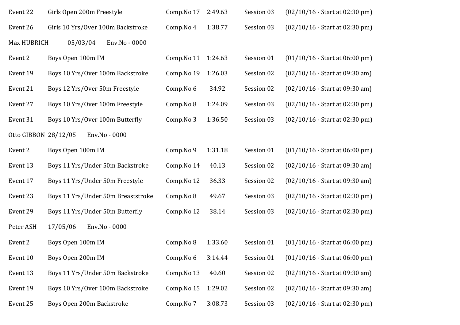| Event 22             | Girls Open 200m Freestyle          | Comp.No 17 | 2:49.63 | Session 03 | $(02/10/16 - Start at 02:30 pm)$ |
|----------------------|------------------------------------|------------|---------|------------|----------------------------------|
| Event 26             | Girls 10 Yrs/Over 100m Backstroke  | Comp.No 4  | 1:38.77 | Session 03 | $(02/10/16 - Start at 02:30 pm)$ |
| Max HUBRICH          | 05/03/04<br>Env.No - 0000          |            |         |            |                                  |
| Event 2              | Boys Open 100m IM                  | Comp.No 11 | 1:24.63 | Session 01 | $(01/10/16 - Start at 06:00 pm)$ |
| Event 19             | Boys 10 Yrs/Over 100m Backstroke   | Comp.No 19 | 1:26.03 | Session 02 | $(02/10/16 - Start at 09:30 am)$ |
| Event 21             | Boys 12 Yrs/Over 50m Freestyle     | Comp.No 6  | 34.92   | Session 02 | $(02/10/16 - Start at 09:30 am)$ |
| Event 27             | Boys 10 Yrs/Over 100m Freestyle    | Comp.No 8  | 1:24.09 | Session 03 | $(02/10/16 - Start at 02:30 pm)$ |
| Event 31             | Boys 10 Yrs/Over 100m Butterfly    | Comp.No 3  | 1:36.50 | Session 03 | $(02/10/16 - Start at 02:30 pm)$ |
| Otto GIBBON 28/12/05 | Env.No - 0000                      |            |         |            |                                  |
| Event 2              | Boys Open 100m IM                  | Comp.No 9  | 1:31.18 | Session 01 | $(01/10/16 - Start at 06:00 pm)$ |
| Event 13             | Boys 11 Yrs/Under 50m Backstroke   | Comp.No 14 | 40.13   | Session 02 | $(02/10/16 - Start at 09:30 am)$ |
| Event 17             | Boys 11 Yrs/Under 50m Freestyle    | Comp.No 12 | 36.33   | Session 02 | $(02/10/16 - Start at 09:30 am)$ |
| Event 23             | Boys 11 Yrs/Under 50m Breaststroke | Comp.No 8  | 49.67   | Session 03 | $(02/10/16 - Start at 02:30 pm)$ |
| Event 29             | Boys 11 Yrs/Under 50m Butterfly    | Comp.No 12 | 38.14   | Session 03 | $(02/10/16 - Start at 02:30 pm)$ |
| Peter ASH            | 17/05/06<br>Env.No - 0000          |            |         |            |                                  |
| Event 2              | Boys Open 100m IM                  | Comp.No 8  | 1:33.60 | Session 01 | $(01/10/16 - Start at 06:00 pm)$ |
| Event 10             | Boys Open 200m IM                  | Comp.No 6  | 3:14.44 | Session 01 | $(01/10/16 - Start at 06:00 pm)$ |
| Event 13             | Boys 11 Yrs/Under 50m Backstroke   | Comp.No 13 | 40.60   | Session 02 | $(02/10/16 - Start at 09:30 am)$ |
| Event 19             | Boys 10 Yrs/Over 100m Backstroke   | Comp.No 15 | 1:29.02 | Session 02 | $(02/10/16 - Start at 09:30 am)$ |
| Event 25             | Boys Open 200m Backstroke          | Comp.No 7  | 3:08.73 | Session 03 | $(02/10/16 - Start at 02:30 pm)$ |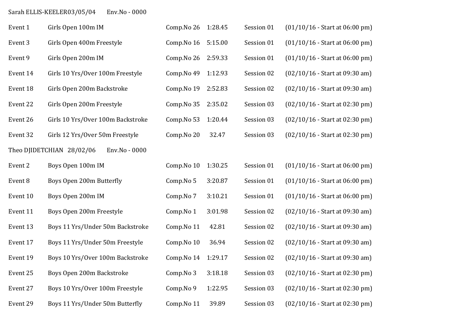# Sarah ELLIS-KEELER03/05/04 Env.No - 0000

| Event 1  | Girls Open 100m IM                         | Comp.No 26 | 1:28.45 | Session 01 | $(01/10/16 - Start at 06:00 pm)$ |
|----------|--------------------------------------------|------------|---------|------------|----------------------------------|
| Event 3  | Girls Open 400m Freestyle                  | Comp.No 16 | 5:15.00 | Session 01 | $(01/10/16 - Start at 06:00 pm)$ |
| Event 9  | Girls Open 200m IM                         | Comp.No 26 | 2:59.33 | Session 01 | $(01/10/16 - Start at 06:00 pm)$ |
| Event 14 | Girls 10 Yrs/Over 100m Freestyle           | Comp.No 49 | 1:12.93 | Session 02 | $(02/10/16 - Start at 09:30 am)$ |
| Event 18 | Girls Open 200m Backstroke                 | Comp.No 19 | 2:52.83 | Session 02 | (02/10/16 - Start at 09:30 am)   |
| Event 22 | Girls Open 200m Freestyle                  | Comp.No 35 | 2:35.02 | Session 03 | $(02/10/16 - Start at 02:30 pm)$ |
| Event 26 | Girls 10 Yrs/Over 100m Backstroke          | Comp.No 53 | 1:20.44 | Session 03 | $(02/10/16 - Start at 02:30 pm)$ |
| Event 32 | Girls 12 Yrs/Over 50m Freestyle            | Comp.No 20 | 32.47   | Session 03 | $(02/10/16 - Start at 02:30 pm)$ |
|          | Theo DJIDETCHIAN 28/02/06<br>Env.No - 0000 |            |         |            |                                  |
| Event 2  | Boys Open 100m IM                          | Comp.No 10 | 1:30.25 | Session 01 | $(01/10/16 - Start at 06:00 pm)$ |
| Event 8  | Boys Open 200m Butterfly                   | Comp.No 5  | 3:20.87 | Session 01 | $(01/10/16 - Start at 06:00 pm)$ |
| Event 10 | Boys Open 200m IM                          | Comp.No 7  | 3:10.21 | Session 01 | $(01/10/16 - Start at 06:00 pm)$ |
| Event 11 | Boys Open 200m Freestyle                   | Comp.No 1  | 3:01.98 | Session 02 | $(02/10/16 - Start at 09:30 am)$ |
| Event 13 | Boys 11 Yrs/Under 50m Backstroke           | Comp.No 11 | 42.81   | Session 02 | $(02/10/16 - Start at 09:30 am)$ |
| Event 17 | Boys 11 Yrs/Under 50m Freestyle            | Comp.No 10 | 36.94   | Session 02 | $(02/10/16 - Start at 09:30 am)$ |
| Event 19 | Boys 10 Yrs/Over 100m Backstroke           | Comp.No 14 | 1:29.17 | Session 02 | $(02/10/16 - Start at 09:30 am)$ |
| Event 25 | Boys Open 200m Backstroke                  | Comp.No 3  | 3:18.18 | Session 03 | $(02/10/16 - Start at 02:30 pm)$ |
| Event 27 | Boys 10 Yrs/Over 100m Freestyle            | Comp.No 9  | 1:22.95 | Session 03 | $(02/10/16 - Start at 02:30 pm)$ |
| Event 29 | Boys 11 Yrs/Under 50m Butterfly            | Comp.No 11 | 39.89   | Session 03 | $(02/10/16 - Start at 02:30 pm)$ |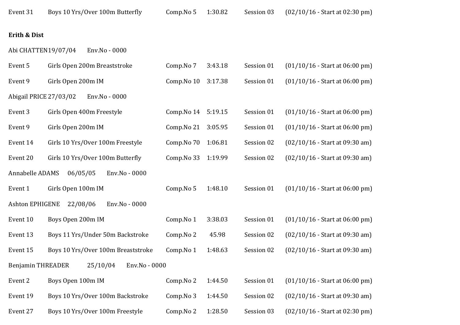#### **Erith & Dist**

Abi CHATTEN19/07/04 Env.No - 0000

| Event 5                  | Girls Open 200m Breaststroke       | Comp.No 7  | 3:43.18 | Session 01 | $(01/10/16 - Start at 06:00 pm)$ |
|--------------------------|------------------------------------|------------|---------|------------|----------------------------------|
| Event 9                  | Girls Open 200m IM                 | Comp.No 10 | 3:17.38 | Session 01 | $(01/10/16 - Start at 06:00 pm)$ |
| Abigail PRICE 27/03/02   | Env.No - 0000                      |            |         |            |                                  |
| Event 3                  | Girls Open 400m Freestyle          | Comp.No 14 | 5:19.15 | Session 01 | $(01/10/16 - Start at 06:00 pm)$ |
| Event 9                  | Girls Open 200m IM                 | Comp.No 21 | 3:05.95 | Session 01 | $(01/10/16 - Start at 06:00 pm)$ |
| Event 14                 | Girls 10 Yrs/Over 100m Freestyle   | Comp.No 70 | 1:06.81 | Session 02 | $(02/10/16 - Start at 09:30 am)$ |
| Event 20                 | Girls 10 Yrs/Over 100m Butterfly   | Comp.No 33 | 1:19.99 | Session 02 | $(02/10/16 - Start at 09:30 am)$ |
| Annabelle ADAMS          | Env.No - 0000<br>06/05/05          |            |         |            |                                  |
| Event 1                  | Girls Open 100m IM                 | Comp.No 5  | 1:48.10 | Session 01 | $(01/10/16 - Start at 06:00 pm)$ |
| <b>Ashton EPHIGENE</b>   | 22/08/06<br>Env.No - 0000          |            |         |            |                                  |
| Event 10                 | Boys Open 200m IM                  | Comp.No 1  | 3:38.03 | Session 01 | $(01/10/16 - Start at 06:00 pm)$ |
| Event 13                 | Boys 11 Yrs/Under 50m Backstroke   | Comp.No 2  | 45.98   | Session 02 | $(02/10/16 - Start at 09:30 am)$ |
| Event 15                 | Boys 10 Yrs/Over 100m Breaststroke | Comp.No 1  | 1:48.63 | Session 02 | $(02/10/16 - Start at 09:30 am)$ |
| <b>Benjamin THREADER</b> | 25/10/04<br>Env.No - 0000          |            |         |            |                                  |
| Event 2                  | Boys Open 100m IM                  | Comp.No 2  | 1:44.50 | Session 01 | $(01/10/16 - Start at 06:00 pm)$ |
| Event 19                 | Boys 10 Yrs/Over 100m Backstroke   | Comp.No 3  | 1:44.50 | Session 02 | $(02/10/16 - Start at 09:30 am)$ |
| Event 27                 | Boys 10 Yrs/Over 100m Freestyle    | Comp.No 2  | 1:28.50 | Session 03 | $(02/10/16 - Start at 02:30 pm)$ |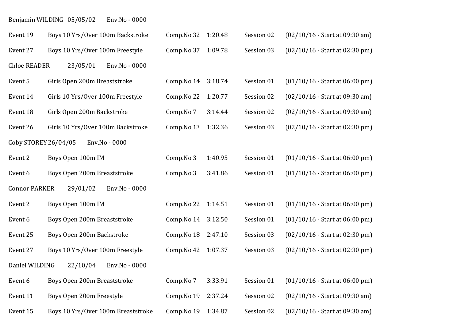| Benjamin WILDING 05/05/02 | Env.No - 0000 |
|---------------------------|---------------|

| Event 19             | Boys 10 Yrs/Over 100m Backstroke   | Comp. No 32 1:20.48 |         | Session 02 | $(02/10/16 - Start at 09:30 am)$ |
|----------------------|------------------------------------|---------------------|---------|------------|----------------------------------|
| Event 27             | Boys 10 Yrs/Over 100m Freestyle    | Comp. No 37 1:09.78 |         | Session 03 | (02/10/16 - Start at 02:30 pm)   |
| <b>Chloe READER</b>  | 23/05/01<br>Env.No - 0000          |                     |         |            |                                  |
| Event 5              | Girls Open 200m Breaststroke       | Comp.No 14          | 3:18.74 | Session 01 | $(01/10/16 - Start at 06:00 pm)$ |
| Event 14             | Girls 10 Yrs/Over 100m Freestyle   | Comp.No 22          | 1:20.77 | Session 02 | $(02/10/16 - Start at 09:30 am)$ |
| Event 18             | Girls Open 200m Backstroke         | Comp.No 7           | 3:14.44 | Session 02 | $(02/10/16 - Start at 09:30 am)$ |
| Event 26             | Girls 10 Yrs/Over 100m Backstroke  | Comp.No 13          | 1:32.36 | Session 03 | $(02/10/16 - Start at 02:30 pm)$ |
| Coby STOREY 26/04/05 | Env.No - 0000                      |                     |         |            |                                  |
| Event 2              | Boys Open 100m IM                  | Comp.No 3           | 1:40.95 | Session 01 | $(01/10/16 - Start at 06:00 pm)$ |
| Event 6              | Boys Open 200m Breaststroke        | Comp.No 3           | 3:41.86 | Session 01 | $(01/10/16 - Start at 06:00 pm)$ |
| <b>Connor PARKER</b> | 29/01/02<br>Env.No - 0000          |                     |         |            |                                  |
| Event 2              | Boys Open 100m IM                  | Comp. No 22 1:14.51 |         | Session 01 | $(01/10/16 - Start at 06:00 pm)$ |
| Event 6              | Boys Open 200m Breaststroke        | Comp. No 14 3:12.50 |         | Session 01 | $(01/10/16 - Start at 06:00 pm)$ |
| Event 25             | Boys Open 200m Backstroke          | Comp.No 18          | 2:47.10 | Session 03 | $(02/10/16 - Start at 02:30 pm)$ |
| Event 27             | Boys 10 Yrs/Over 100m Freestyle    | Comp. No 42 1:07.37 |         | Session 03 | $(02/10/16 - Start at 02:30 pm)$ |
| Daniel WILDING       | 22/10/04<br>Env.No - 0000          |                     |         |            |                                  |
| Event 6              | Boys Open 200m Breaststroke        | Comp.No 7           | 3:33.91 | Session 01 | $(01/10/16 - Start at 06:00 pm)$ |
| Event 11             | Boys Open 200m Freestyle           | Comp.No 19          | 2:37.24 | Session 02 | $(02/10/16 - Start at 09:30 am)$ |
| Event 15             | Boys 10 Yrs/Over 100m Breaststroke | Comp.No 19          | 1:34.87 | Session 02 | $(02/10/16 - Start at 09:30 am)$ |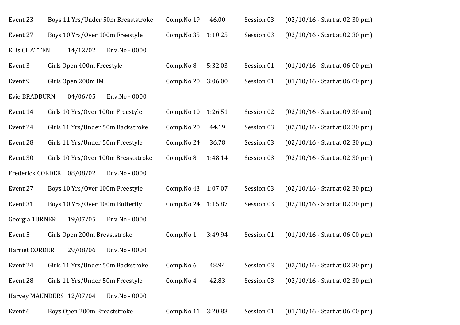| Event 23                  |                              | Boys 11 Yrs/Under 50m Breaststroke  | Comp.No 19 | 46.00   | Session 03 | $(02/10/16 - Start at 02:30 pm)$ |
|---------------------------|------------------------------|-------------------------------------|------------|---------|------------|----------------------------------|
| Event 27                  |                              | Boys 10 Yrs/Over 100m Freestyle     | Comp.No 35 | 1:10.25 | Session 03 | $(02/10/16 - Start at 02:30 pm)$ |
| <b>Ellis CHATTEN</b>      | 14/12/02                     | Env.No - 0000                       |            |         |            |                                  |
| Event 3                   | Girls Open 400m Freestyle    |                                     | Comp.No 8  | 5:32.03 | Session 01 | $(01/10/16 - Start at 06:00 pm)$ |
| Event 9                   | Girls Open 200m IM           |                                     | Comp.No 20 | 3:06.00 | Session 01 | $(01/10/16 - Start at 06:00 pm)$ |
| <b>Evie BRADBURN</b>      | 04/06/05                     | Env.No - 0000                       |            |         |            |                                  |
| Event 14                  |                              | Girls 10 Yrs/Over 100m Freestyle    | Comp.No 10 | 1:26.51 | Session 02 | $(02/10/16 - Start at 09:30 am)$ |
| Event 24                  |                              | Girls 11 Yrs/Under 50m Backstroke   | Comp.No 20 | 44.19   | Session 03 | $(02/10/16 - Start at 02:30 pm)$ |
| Event 28                  |                              | Girls 11 Yrs/Under 50m Freestyle    | Comp.No 24 | 36.78   | Session 03 | $(02/10/16 - Start at 02:30 pm)$ |
| Event 30                  |                              | Girls 10 Yrs/Over 100m Breaststroke | Comp.No 8  | 1:48.14 | Session 03 | $(02/10/16 - Start at 02:30 pm)$ |
| Frederick CORDER 08/08/02 |                              | Env.No - 0000                       |            |         |            |                                  |
| Event 27                  |                              | Boys 10 Yrs/Over 100m Freestyle     | Comp.No 43 | 1:07.07 | Session 03 | $(02/10/16 - Start at 02:30 pm)$ |
| Event 31                  |                              | Boys 10 Yrs/Over 100m Butterfly     | Comp.No 24 | 1:15.87 | Session 03 | (02/10/16 - Start at 02:30 pm)   |
| Georgia TURNER            | 19/07/05                     | Env.No - 0000                       |            |         |            |                                  |
| Event 5                   | Girls Open 200m Breaststroke |                                     | Comp.No 1  | 3:49.94 | Session 01 | $(01/10/16 - Start at 06:00 pm)$ |
| Harriet CORDER            | 29/08/06                     | Env.No - 0000                       |            |         |            |                                  |
| Event 24                  |                              | Girls 11 Yrs/Under 50m Backstroke   | Comp.No 6  | 48.94   | Session 03 | $(02/10/16 - Start at 02:30 pm)$ |
| Event 28                  |                              | Girls 11 Yrs/Under 50m Freestyle    | Comp.No 4  | 42.83   | Session 03 | $(02/10/16 - Start at 02:30 pm)$ |
| Harvey MAUNDERS 12/07/04  |                              | Env.No - 0000                       |            |         |            |                                  |
| Event 6                   | Boys Open 200m Breaststroke  |                                     | Comp.No 11 | 3:20.83 | Session 01 | $(01/10/16 - Start at 06:00 pm)$ |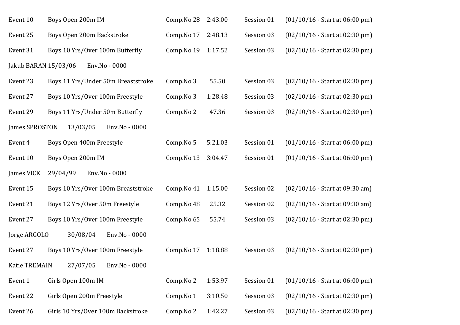| Event 10             | Boys Open 200m IM                  | Comp.No 28 | 2:43.00 | Session 01 | $(01/10/16 - Start at 06:00 pm)$ |
|----------------------|------------------------------------|------------|---------|------------|----------------------------------|
| Event 25             | Boys Open 200m Backstroke          | Comp.No 17 | 2:48.13 | Session 03 | $(02/10/16 - Start at 02:30 pm)$ |
| Event 31             | Boys 10 Yrs/Over 100m Butterfly    | Comp.No 19 | 1:17.52 | Session 03 | $(02/10/16 - Start at 02:30 pm)$ |
| Jakub BARAN 15/03/06 | Env.No - 0000                      |            |         |            |                                  |
| Event 23             | Boys 11 Yrs/Under 50m Breaststroke | Comp.No 3  | 55.50   | Session 03 | $(02/10/16 - Start at 02:30 pm)$ |
| Event 27             | Boys 10 Yrs/Over 100m Freestyle    | Comp.No 3  | 1:28.48 | Session 03 | $(02/10/16 - Start at 02:30 pm)$ |
| Event 29             | Boys 11 Yrs/Under 50m Butterfly    | Comp.No 2  | 47.36   | Session 03 | $(02/10/16 - Start at 02:30 pm)$ |
| James SPROSTON       | 13/03/05<br>Env.No - 0000          |            |         |            |                                  |
| Event 4              | Boys Open 400m Freestyle           | Comp.No 5  | 5:21.03 | Session 01 | $(01/10/16 - Start at 06:00 pm)$ |
| Event 10             | Boys Open 200m IM                  | Comp.No 13 | 3:04.47 | Session 01 | $(01/10/16 - Start at 06:00 pm)$ |
| James VICK           | Env.No - 0000<br>29/04/99          |            |         |            |                                  |
| Event 15             | Boys 10 Yrs/Over 100m Breaststroke | Comp.No 41 | 1:15.00 | Session 02 | $(02/10/16 - Start at 09:30 am)$ |
| Event 21             | Boys 12 Yrs/Over 50m Freestyle     | Comp.No 48 | 25.32   | Session 02 | $(02/10/16 - Start at 09:30 am)$ |
| Event 27             | Boys 10 Yrs/Over 100m Freestyle    | Comp.No 65 | 55.74   | Session 03 | $(02/10/16 - Start at 02:30 pm)$ |
| Jorge ARGOLO         | 30/08/04<br>Env.No - 0000          |            |         |            |                                  |
| Event 27             | Boys 10 Yrs/Over 100m Freestyle    | Comp.No 17 | 1:18.88 | Session 03 | $(02/10/16 - Start at 02:30 pm)$ |
| <b>Katie TREMAIN</b> | 27/07/05<br>Env.No - 0000          |            |         |            |                                  |
| Event 1              | Girls Open 100m IM                 | Comp.No 2  | 1:53.97 | Session 01 | $(01/10/16 - Start at 06:00 pm)$ |
| Event 22             | Girls Open 200m Freestyle          | Comp.No 1  | 3:10.50 | Session 03 | $(02/10/16 - Start at 02:30 pm)$ |
| Event 26             | Girls 10 Yrs/Over 100m Backstroke  | Comp.No 2  | 1:42.27 | Session 03 | $(02/10/16 - Start at 02:30 pm)$ |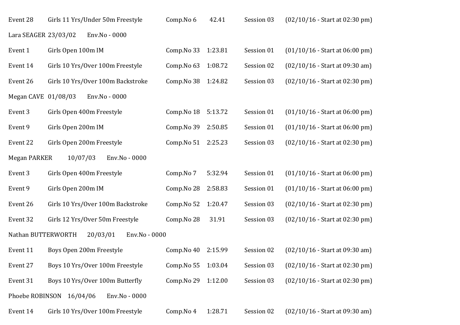| Event 28             | Girls 11 Yrs/Under 50m Freestyle          | Comp.No 6  | 42.41   | Session 03 | $(02/10/16 - Start at 02:30 pm)$ |
|----------------------|-------------------------------------------|------------|---------|------------|----------------------------------|
| Lara SEAGER 23/03/02 | Env.No - 0000                             |            |         |            |                                  |
| Event 1              | Girls Open 100m IM                        | Comp.No 33 | 1:23.81 | Session 01 | $(01/10/16 - Start at 06:00 pm)$ |
| Event 14             | Girls 10 Yrs/Over 100m Freestyle          | Comp.No 63 | 1:08.72 | Session 02 | $(02/10/16 - Start at 09:30 am)$ |
| Event 26             | Girls 10 Yrs/Over 100m Backstroke         | Comp.No 38 | 1:24.82 | Session 03 | $(02/10/16 - Start at 02:30 pm)$ |
| Megan CAVE 01/08/03  | Env.No - 0000                             |            |         |            |                                  |
| Event 3              | Girls Open 400m Freestyle                 | Comp.No 18 | 5:13.72 | Session 01 | $(01/10/16 - Start at 06:00 pm)$ |
| Event 9              | Girls Open 200m IM                        | Comp.No 39 | 2:50.85 | Session 01 | $(01/10/16 - Start at 06:00 pm)$ |
| Event 22             | Girls Open 200m Freestyle                 | Comp.No 51 | 2:25.23 | Session 03 | $(02/10/16 - Start at 02:30 pm)$ |
| <b>Megan PARKER</b>  | 10/07/03<br>Env.No - 0000                 |            |         |            |                                  |
| Event 3              | Girls Open 400m Freestyle                 | Comp.No 7  | 5:32.94 | Session 01 | $(01/10/16 - Start at 06:00 pm)$ |
| Event 9              | Girls Open 200m IM                        | Comp.No 28 | 2:58.83 | Session 01 | $(01/10/16 - Start at 06:00 pm)$ |
| Event 26             | Girls 10 Yrs/Over 100m Backstroke         | Comp.No 52 | 1:20.47 | Session 03 | $(02/10/16 - Start at 02:30 pm)$ |
| Event 32             | Girls 12 Yrs/Over 50m Freestyle           | Comp.No 28 | 31.91   | Session 03 | $(02/10/16 - Start at 02:30 pm)$ |
| Nathan BUTTERWORTH   | 20/03/01<br>Env.No - 0000                 |            |         |            |                                  |
| Event 11             | Boys Open 200m Freestyle                  | Comp.No 40 | 2:15.99 | Session 02 | $(02/10/16 - Start at 09:30 am)$ |
| Event 27             | Boys 10 Yrs/Over 100m Freestyle           | Comp.No 55 | 1:03.04 | Session 03 | $(02/10/16 - Start at 02:30 pm)$ |
| Event 31             | Boys 10 Yrs/Over 100m Butterfly           | Comp.No 29 | 1:12.00 | Session 03 | $(02/10/16 - Start at 02:30 pm)$ |
|                      | Phoebe ROBINSON 16/04/06<br>Env.No - 0000 |            |         |            |                                  |
| Event 14             | Girls 10 Yrs/Over 100m Freestyle          | Comp.No 4  | 1:28.71 | Session 02 | $(02/10/16 - Start at 09:30 am)$ |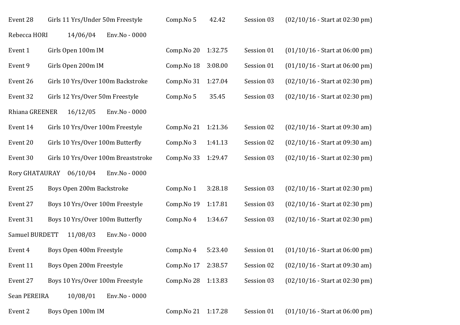| Event 28       | Girls 11 Yrs/Under 50m Freestyle    |               | Comp.No 5           | 42.42   | Session 03 | $(02/10/16 - Start at 02:30 pm)$ |
|----------------|-------------------------------------|---------------|---------------------|---------|------------|----------------------------------|
| Rebecca HORI   | 14/06/04                            | Env.No - 0000 |                     |         |            |                                  |
| Event 1        | Girls Open 100m IM                  |               | Comp.No 20          | 1:32.75 | Session 01 | $(01/10/16 - Start at 06:00 pm)$ |
| Event 9        | Girls Open 200m IM                  |               | Comp.No 18          | 3:08.00 | Session 01 | $(01/10/16 - Start at 06:00 pm)$ |
| Event 26       | Girls 10 Yrs/Over 100m Backstroke   |               | Comp.No 31          | 1:27.04 | Session 03 | $(02/10/16 - Start at 02:30 pm)$ |
| Event 32       | Girls 12 Yrs/Over 50m Freestyle     |               | Comp.No 5           | 35.45   | Session 03 | $(02/10/16 - Start at 02:30 pm)$ |
| Rhiana GREENER | 16/12/05                            | Env.No - 0000 |                     |         |            |                                  |
| Event 14       | Girls 10 Yrs/Over 100m Freestyle    |               | Comp.No 21          | 1:21.36 | Session 02 | $(02/10/16 - Start at 09:30 am)$ |
| Event 20       | Girls 10 Yrs/Over 100m Butterfly    |               | Comp.No 3           | 1:41.13 | Session 02 | $(02/10/16 - Start at 09:30 am)$ |
| Event 30       | Girls 10 Yrs/Over 100m Breaststroke |               | Comp.No 33          | 1:29.47 | Session 03 | $(02/10/16 - Start at 02:30 pm)$ |
| Rory GHATAURAY | 06/10/04                            | Env.No - 0000 |                     |         |            |                                  |
| Event 25       | Boys Open 200m Backstroke           |               | Comp.No 1           | 3:28.18 | Session 03 | $(02/10/16 - Start at 02:30 pm)$ |
| Event 27       | Boys 10 Yrs/Over 100m Freestyle     |               | Comp.No 19          | 1:17.81 | Session 03 | $(02/10/16 - Start at 02:30 pm)$ |
| Event 31       | Boys 10 Yrs/Over 100m Butterfly     |               | Comp.No 4           | 1:34.67 | Session 03 | $(02/10/16 - Start at 02:30 pm)$ |
| Samuel BURDETT | 11/08/03                            | Env.No - 0000 |                     |         |            |                                  |
| Event 4        | Boys Open 400m Freestyle            |               | Comp.No 4           | 5:23.40 | Session 01 | $(01/10/16 - Start at 06:00 pm)$ |
| Event 11       | Boys Open 200m Freestyle            |               | Comp.No 17          | 2:38.57 | Session 02 | $(02/10/16 - Start at 09:30 am)$ |
| Event 27       | Boys 10 Yrs/Over 100m Freestyle     |               | Comp.No 28          | 1:13.83 | Session 03 | $(02/10/16 - Start at 02:30 pm)$ |
| Sean PEREIRA   | 10/08/01                            | Env.No - 0000 |                     |         |            |                                  |
| Event 2        | Boys Open 100m IM                   |               | Comp. No 21 1:17.28 |         | Session 01 | $(01/10/16 - Start at 06:00 pm)$ |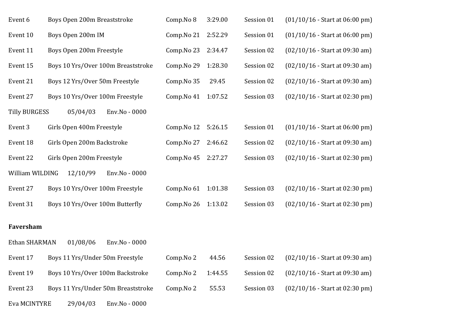| Event 6              | Boys Open 200m Breaststroke        | Comp.No 8  | 3:29.00 | Session 01 | $(01/10/16 - Start at 06:00 pm)$ |
|----------------------|------------------------------------|------------|---------|------------|----------------------------------|
| Event 10             | Boys Open 200m IM                  | Comp.No 21 | 2:52.29 | Session 01 | $(01/10/16 - Start at 06:00 pm)$ |
| Event 11             | Boys Open 200m Freestyle           | Comp.No 23 | 2:34.47 | Session 02 | $(02/10/16 - Start at 09:30 am)$ |
| Event 15             | Boys 10 Yrs/Over 100m Breaststroke | Comp.No 29 | 1:28.30 | Session 02 | $(02/10/16 - Start at 09:30 am)$ |
| Event 21             | Boys 12 Yrs/Over 50m Freestyle     | Comp.No 35 | 29.45   | Session 02 | $(02/10/16 - Start at 09:30 am)$ |
| Event 27             | Boys 10 Yrs/Over 100m Freestyle    | Comp.No 41 | 1:07.52 | Session 03 | (02/10/16 - Start at 02:30 pm)   |
| <b>Tilly BURGESS</b> | 05/04/03<br>Env.No - 0000          |            |         |            |                                  |
| Event 3              | Girls Open 400m Freestyle          | Comp.No 12 | 5:26.15 | Session 01 | $(01/10/16 - Start at 06:00 pm)$ |
| Event 18             | Girls Open 200m Backstroke         | Comp.No 27 | 2:46.62 | Session 02 | $(02/10/16 - Start at 09:30 am)$ |
| Event 22             | Girls Open 200m Freestyle          | Comp.No 45 | 2:27.27 | Session 03 | $(02/10/16 - Start at 02:30 pm)$ |
| William WILDING      | 12/10/99<br>Env.No - 0000          |            |         |            |                                  |
| Event 27             | Boys 10 Yrs/Over 100m Freestyle    | Comp.No 61 | 1:01.38 | Session 03 | $(02/10/16 - Start at 02:30 pm)$ |
| Event 31             | Boys 10 Yrs/Over 100m Butterfly    | Comp.No 26 | 1:13.02 | Session 03 | $(02/10/16 - Start at 02:30 pm)$ |
|                      |                                    |            |         |            |                                  |
| Faversham            |                                    |            |         |            |                                  |
| Ethan SHARMAN        | 01/08/06<br>Env.No - 0000          |            |         |            |                                  |
| Event 17             | Boys 11 Yrs/Under 50m Freestyle    | Comp.No 2  | 44.56   | Session 02 | $(02/10/16 - Start at 09:30 am)$ |
| Event 19             | Boys 10 Yrs/Over 100m Backstroke   | Comp.No 2  | 1:44.55 | Session 02 | $(02/10/16 - Start at 09:30 am)$ |
| Event 23             | Boys 11 Yrs/Under 50m Breaststroke | Comp.No 2  | 55.53   | Session 03 | $(02/10/16 - Start at 02:30 pm)$ |
| Eva MCINTYRE         | Env.No - 0000<br>29/04/03          |            |         |            |                                  |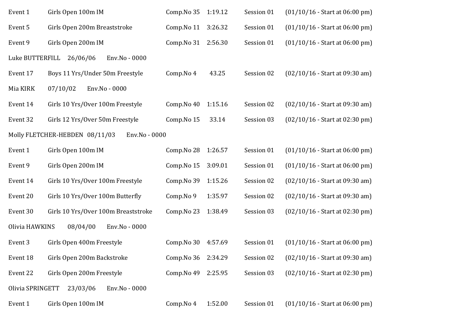| Event 1                                         | Girls Open 100m IM                  | Comp.No 35          | 1:19.12 | Session 01 | $(01/10/16 - Start at 06:00 pm)$ |  |  |
|-------------------------------------------------|-------------------------------------|---------------------|---------|------------|----------------------------------|--|--|
| Event 5                                         | Girls Open 200m Breaststroke        | Comp.No 11          | 3:26.32 | Session 01 | $(01/10/16 - Start at 06:00 pm)$ |  |  |
| Event 9                                         | Girls Open 200m IM                  | Comp. No 31 2:56.30 |         | Session 01 | $(01/10/16 - Start at 06.00 pm)$ |  |  |
| Luke BUTTERFILL<br>26/06/06<br>Env.No - 0000    |                                     |                     |         |            |                                  |  |  |
| Event 17                                        | Boys 11 Yrs/Under 50m Freestyle     | Comp.No 4           | 43.25   | Session 02 | $(02/10/16 - Start at 09:30 am)$ |  |  |
| Mia KIRK                                        | 07/10/02<br>Env.No - 0000           |                     |         |            |                                  |  |  |
| Event 14                                        | Girls 10 Yrs/Over 100m Freestyle    | Comp.No 40          | 1:15.16 | Session 02 | $(02/10/16 - Start at 09:30 am)$ |  |  |
| Event 32                                        | Girls 12 Yrs/Over 50m Freestyle     | Comp.No 15          | 33.14   | Session 03 | $(02/10/16 - Start at 02:30 pm)$ |  |  |
| Molly FLETCHER-HEBDEN 08/11/03<br>Env.No - 0000 |                                     |                     |         |            |                                  |  |  |
| Event 1                                         | Girls Open 100m IM                  | Comp.No 28          | 1:26.57 | Session 01 | $(01/10/16 - Start at 06:00 pm)$ |  |  |
| Event 9                                         | Girls Open 200m IM                  | Comp.No 15          | 3:09.01 | Session 01 | $(01/10/16 - Start at 06:00 pm)$ |  |  |
| Event 14                                        | Girls 10 Yrs/Over 100m Freestyle    | Comp.No 39          | 1:15.26 | Session 02 | $(02/10/16 - Start at 09:30 am)$ |  |  |
| Event 20                                        | Girls 10 Yrs/Over 100m Butterfly    | Comp.No 9           | 1:35.97 | Session 02 | $(02/10/16 - Start at 09:30 am)$ |  |  |
| Event 30                                        | Girls 10 Yrs/Over 100m Breaststroke | Comp.No 23          | 1:38.49 | Session 03 | $(02/10/16 - Start at 02:30 pm)$ |  |  |
| Olivia HAWKINS<br>08/04/00<br>Env.No - 0000     |                                     |                     |         |            |                                  |  |  |
| Event 3                                         | Girls Open 400m Freestyle           | Comp.No 30          | 4:57.69 | Session 01 | $(01/10/16 - Start at 06:00 pm)$ |  |  |
| Event 18                                        | Girls Open 200m Backstroke          | Comp.No 36          | 2:34.29 | Session 02 | $(02/10/16 - Start at 09:30 am)$ |  |  |
| Event 22                                        | Girls Open 200m Freestyle           | Comp.No 49          | 2:25.95 | Session 03 | $(02/10/16 - Start at 02:30 pm)$ |  |  |
| Olivia SPRINGETT<br>23/03/06<br>Env.No - 0000   |                                     |                     |         |            |                                  |  |  |
| Event 1                                         | Girls Open 100m IM                  | Comp.No 4           | 1:52.00 | Session 01 | $(01/10/16 - Start at 06:00 pm)$ |  |  |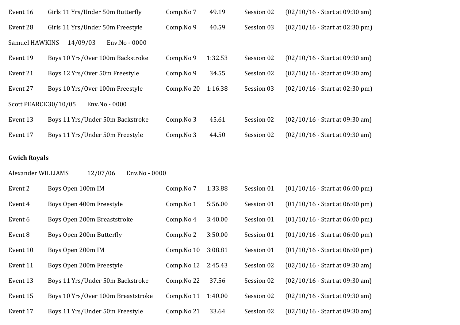| Event 16                               | Girls 11 Yrs/Under 50m Butterfly | Comp.No 7  | 49.19   | Session 02 | $(02/10/16 - Start at 09:30 am)$ |  |
|----------------------------------------|----------------------------------|------------|---------|------------|----------------------------------|--|
| Event 28                               | Girls 11 Yrs/Under 50m Freestyle | Comp.No 9  | 40.59   | Session 03 | $(02/10/16 - Start at 02:30 pm)$ |  |
| Samuel HAWKINS                         | 14/09/03<br>Env.No - 0000        |            |         |            |                                  |  |
| Event 19                               | Boys 10 Yrs/Over 100m Backstroke | Comp.No 9  | 1:32.53 | Session 02 | $(02/10/16 - Start at 09:30 am)$ |  |
| Event 21                               | Boys 12 Yrs/Over 50m Freestyle   | Comp.No 9  | 34.55   | Session 02 | $(02/10/16 - Start at 09:30 am)$ |  |
| Event 27                               | Boys 10 Yrs/Over 100m Freestyle  | Comp.No 20 | 1:16.38 | Session 03 | $(02/10/16 - Start at 02:30 pm)$ |  |
| Scott PEARCE 30/10/05<br>Env.No - 0000 |                                  |            |         |            |                                  |  |
| Event 13                               | Boys 11 Yrs/Under 50m Backstroke | Comp.No 3  | 45.61   | Session 02 | $(02/10/16 - Start at 09:30 am)$ |  |
| Event 17                               | Boys 11 Yrs/Under 50m Freestyle  | Comp.No 3  | 44.50   | Session 02 | $(02/10/16 - Start at 09:30 am)$ |  |
|                                        |                                  |            |         |            |                                  |  |

## **Gwich Royals**

| Alexander WILLIAMS<br>12/07/06<br>Env.No - 0000 |                                    |            |         |            |                                  |  |  |
|-------------------------------------------------|------------------------------------|------------|---------|------------|----------------------------------|--|--|
| Event 2                                         | Boys Open 100m IM                  | Comp.No 7  | 1:33.88 | Session 01 | $(01/10/16 - Start at 06.00 pm)$ |  |  |
| Event 4                                         | Boys Open 400m Freestyle           | Comp.No 1  | 5:56.00 | Session 01 | $(01/10/16 - Start at 06.00 pm)$ |  |  |
| Event 6                                         | Boys Open 200m Breaststroke        | Comp.No 4  | 3:40.00 | Session 01 | $(01/10/16 - Start at 06.00 pm)$ |  |  |
| Event 8                                         | Boys Open 200m Butterfly           | Comp.No 2  | 3:50.00 | Session 01 | $(01/10/16 - Start at 06.00 pm)$ |  |  |
| Event 10                                        | Boys Open 200m IM                  | Comp.No 10 | 3:08.81 | Session 01 | $(01/10/16 - Start at 06:00 pm)$ |  |  |
| Event 11                                        | Boys Open 200m Freestyle           | Comp.No 12 | 2:45.43 | Session 02 | $(02/10/16 - Start at 09:30 am)$ |  |  |
| Event 13                                        | Boys 11 Yrs/Under 50m Backstroke   | Comp.No 22 | 37.56   | Session 02 | $(02/10/16 - Start at 09:30 am)$ |  |  |
| Event 15                                        | Boys 10 Yrs/Over 100m Breaststroke | Comp.No 11 | 1:40.00 | Session 02 | $(02/10/16 - Start at 09:30 am)$ |  |  |
| Event 17                                        | Boys 11 Yrs/Under 50m Freestyle    | Comp.No 21 | 33.64   | Session 02 | $(02/10/16 - Start at 09:30 am)$ |  |  |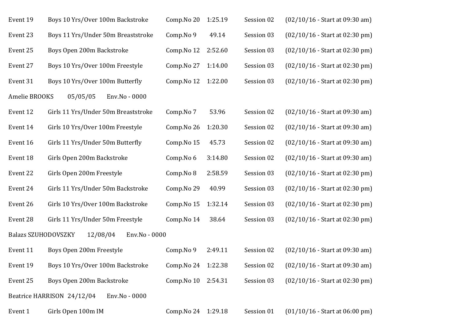| Event 19                   | Boys 10 Yrs/Over 100m Backstroke            | Comp.No 20          | 1:25.19 | Session 02 | $(02/10/16 - Start at 09:30 am)$ |
|----------------------------|---------------------------------------------|---------------------|---------|------------|----------------------------------|
| Event 23                   | Boys 11 Yrs/Under 50m Breaststroke          | Comp.No 9           | 49.14   | Session 03 | (02/10/16 - Start at 02:30 pm)   |
| Event 25                   | Boys Open 200m Backstroke                   | Comp.No 12          | 2:52.60 | Session 03 | $(02/10/16 - Start at 02:30 pm)$ |
| Event 27                   | Boys 10 Yrs/Over 100m Freestyle             | Comp.No 27          | 1:14.00 | Session 03 | (02/10/16 - Start at 02:30 pm)   |
| Event 31                   | Boys 10 Yrs/Over 100m Butterfly             | Comp.No 12          | 1:22.00 | Session 03 | $(02/10/16 - Start at 02:30 pm)$ |
| Amelie BROOKS              | 05/05/05<br>Env.No - 0000                   |                     |         |            |                                  |
| Event 12                   | Girls 11 Yrs/Under 50m Breaststroke         | Comp.No 7           | 53.96   | Session 02 | $(02/10/16 - Start at 09:30 am)$ |
| Event 14                   | Girls 10 Yrs/Over 100m Freestyle            | Comp.No 26          | 1:20.30 | Session 02 | $(02/10/16 - Start at 09:30 am)$ |
| Event 16                   | Girls 11 Yrs/Under 50m Butterfly            | Comp.No 15          | 45.73   | Session 02 | $(02/10/16 - Start at 09:30 am)$ |
| Event 18                   | Girls Open 200m Backstroke                  | Comp.No 6           | 3:14.80 | Session 02 | $(02/10/16 - Start at 09:30 am)$ |
| Event 22                   | Girls Open 200m Freestyle                   | Comp.No 8           | 2:58.59 | Session 03 | $(02/10/16 - Start at 02:30 pm)$ |
| Event 24                   | Girls 11 Yrs/Under 50m Backstroke           | Comp.No 29          | 40.99   | Session 03 | $(02/10/16 - Start at 02:30 pm)$ |
| Event 26                   | Girls 10 Yrs/Over 100m Backstroke           | Comp.No 15          | 1:32.14 | Session 03 | $(02/10/16 - Start at 02:30 pm)$ |
| Event 28                   | Girls 11 Yrs/Under 50m Freestyle            | Comp.No 14          | 38.64   | Session 03 | $(02/10/16 - Start at 02:30 pm)$ |
| <b>Balazs SZUHODOVSZKY</b> | 12/08/04<br>Env.No - 0000                   |                     |         |            |                                  |
| Event 11                   | Boys Open 200m Freestyle                    | Comp.No 9           | 2:49.11 | Session 02 | $(02/10/16 - Start at 09:30 am)$ |
| Event 19                   | Boys 10 Yrs/Over 100m Backstroke            | Comp. No 24 1:22.38 |         | Session 02 | $(02/10/16 - Start at 09:30 am)$ |
| Event 25                   | Boys Open 200m Backstroke                   | Comp.No 10          | 2:54.31 | Session 03 | $(02/10/16 - Start at 02:30 pm)$ |
|                            | Beatrice HARRISON 24/12/04<br>Env.No - 0000 |                     |         |            |                                  |
| Event 1                    | Girls Open 100m IM                          | Comp. No 24 1:29.18 |         | Session 01 | $(01/10/16 - Start at 06:00 pm)$ |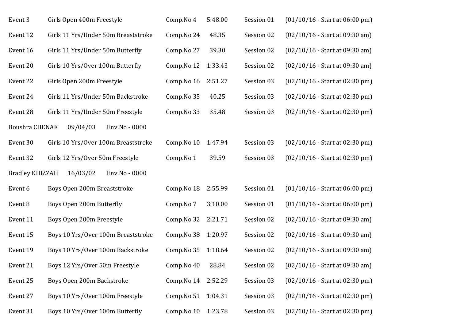| Event 3                | Girls Open 400m Freestyle           | Comp.No 4  | 5:48.00 | Session 01 | $(01/10/16 - Start at 06:00 pm)$ |
|------------------------|-------------------------------------|------------|---------|------------|----------------------------------|
| Event 12               | Girls 11 Yrs/Under 50m Breaststroke | Comp.No 24 | 48.35   | Session 02 | (02/10/16 - Start at 09:30 am)   |
| Event 16               | Girls 11 Yrs/Under 50m Butterfly    | Comp.No 27 | 39.30   | Session 02 | $(02/10/16 - Start at 09:30 am)$ |
| Event 20               | Girls 10 Yrs/Over 100m Butterfly    | Comp.No 12 | 1:33.43 | Session 02 | $(02/10/16 - Start at 09:30 am)$ |
| Event 22               | Girls Open 200m Freestyle           | Comp.No 16 | 2:51.27 | Session 03 | $(02/10/16 - Start at 02:30 pm)$ |
| Event 24               | Girls 11 Yrs/Under 50m Backstroke   | Comp.No 35 | 40.25   | Session 03 | $(02/10/16 - Start at 02:30 pm)$ |
| Event 28               | Girls 11 Yrs/Under 50m Freestyle    | Comp.No 33 | 35.48   | Session 03 | $(02/10/16 - Start at 02:30 pm)$ |
| <b>Boushra CHENAF</b>  | 09/04/03<br>Env.No - 0000           |            |         |            |                                  |
| Event 30               | Girls 10 Yrs/Over 100m Breaststroke | Comp.No 10 | 1:47.94 | Session 03 | $(02/10/16 - Start at 02:30 pm)$ |
| Event 32               | Girls 12 Yrs/Over 50m Freestyle     | Comp.No 1  | 39.59   | Session 03 | $(02/10/16 - Start at 02:30 pm)$ |
| <b>Bradley KHIZZAH</b> | 16/03/02<br>Env.No - 0000           |            |         |            |                                  |
| Event 6                | Boys Open 200m Breaststroke         | Comp.No 18 | 2:55.99 | Session 01 | $(01/10/16 - Start at 06:00 pm)$ |
| Event 8                | Boys Open 200m Butterfly            | Comp.No 7  | 3:10.00 | Session 01 | $(01/10/16 - Start at 06:00 pm)$ |
| Event 11               | Boys Open 200m Freestyle            | Comp.No 32 | 2:21.71 | Session 02 | $(02/10/16 - Start at 09:30 am)$ |
| Event 15               | Boys 10 Yrs/Over 100m Breaststroke  | Comp.No 38 | 1:20.97 | Session 02 | $(02/10/16 - Start at 09:30 am)$ |
| Event 19               | Boys 10 Yrs/Over 100m Backstroke    | Comp.No 35 | 1:18.64 | Session 02 | $(02/10/16 - Start at 09:30 am)$ |
| Event 21               | Boys 12 Yrs/Over 50m Freestyle      | Comp.No 40 | 28.84   | Session 02 | $(02/10/16 - Start at 09:30 am)$ |
| Event 25               | Boys Open 200m Backstroke           | Comp.No 14 | 2:52.29 | Session 03 | $(02/10/16 - Start at 02:30 pm)$ |
| Event 27               | Boys 10 Yrs/Over 100m Freestyle     | Comp.No 51 | 1:04.31 | Session 03 | $(02/10/16 - Start at 02:30 pm)$ |
| Event 31               | Boys 10 Yrs/Over 100m Butterfly     | Comp.No 10 | 1:23.78 | Session 03 | $(02/10/16 - Start at 02:30 pm)$ |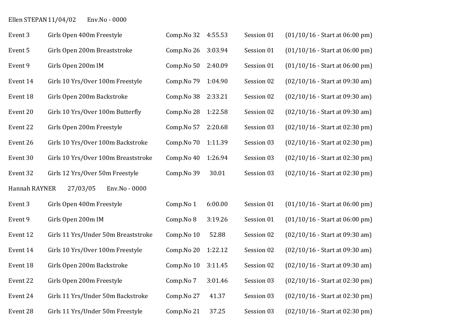## Ellen STEPAN 11/04/02 Env.No - 0000

| Event 3       | Girls Open 400m Freestyle           | Comp.No 32 | 4:55.53 | Session 01 | $(01/10/16 - Start at 06:00 pm)$ |
|---------------|-------------------------------------|------------|---------|------------|----------------------------------|
| Event 5       | Girls Open 200m Breaststroke        | Comp.No 26 | 3:03.94 | Session 01 | $(01/10/16 - Start at 06:00 pm)$ |
| Event 9       | Girls Open 200m IM                  | Comp.No 50 | 2:40.09 | Session 01 | $(01/10/16 - Start at 06:00 pm)$ |
| Event 14      | Girls 10 Yrs/Over 100m Freestyle    | Comp.No 79 | 1:04.90 | Session 02 | $(02/10/16 - Start at 09:30 am)$ |
| Event 18      | Girls Open 200m Backstroke          | Comp.No 38 | 2:33.21 | Session 02 | $(02/10/16 - Start at 09:30 am)$ |
| Event 20      | Girls 10 Yrs/Over 100m Butterfly    | Comp.No 28 | 1:22.58 | Session 02 | $(02/10/16 - Start at 09:30 am)$ |
| Event 22      | Girls Open 200m Freestyle           | Comp.No 57 | 2:20.68 | Session 03 | $(02/10/16 - Start at 02:30 pm)$ |
| Event 26      | Girls 10 Yrs/Over 100m Backstroke   | Comp.No 70 | 1:11.39 | Session 03 | $(02/10/16 - Start at 02:30 pm)$ |
| Event 30      | Girls 10 Yrs/Over 100m Breaststroke | Comp.No 40 | 1:26.94 | Session 03 | $(02/10/16 - Start at 02:30 pm)$ |
| Event 32      | Girls 12 Yrs/Over 50m Freestyle     | Comp.No 39 | 30.01   | Session 03 | $(02/10/16 - Start at 02:30 pm)$ |
| Hannah RAYNER | 27/03/05<br>Env.No - 0000           |            |         |            |                                  |
| Event 3       | Girls Open 400m Freestyle           | Comp.No 1  | 6:00.00 | Session 01 | $(01/10/16 - Start at 06:00 pm)$ |
| Event 9       | Girls Open 200m IM                  | Comp.No 8  | 3:19.26 | Session 01 | $(01/10/16 - Start at 06:00 pm)$ |
| Event 12      | Girls 11 Yrs/Under 50m Breaststroke | Comp.No 10 | 52.88   | Session 02 | $(02/10/16 - Start at 09:30 am)$ |
| Event 14      | Girls 10 Yrs/Over 100m Freestyle    | Comp.No 20 | 1:22.12 | Session 02 | $(02/10/16 - Start at 09:30 am)$ |
| Event 18      | Girls Open 200m Backstroke          | Comp.No 10 | 3:11.45 | Session 02 | $(02/10/16 - Start at 09:30 am)$ |
| Event 22      | Girls Open 200m Freestyle           | Comp.No 7  | 3:01.46 | Session 03 | $(02/10/16 - Start at 02:30 pm)$ |
| Event 24      | Girls 11 Yrs/Under 50m Backstroke   | Comp.No 27 | 41.37   | Session 03 | $(02/10/16 - Start at 02:30 pm)$ |
| Event 28      | Girls 11 Yrs/Under 50m Freestyle    | Comp.No 21 | 37.25   | Session 03 | $(02/10/16 - Start at 02:30 pm)$ |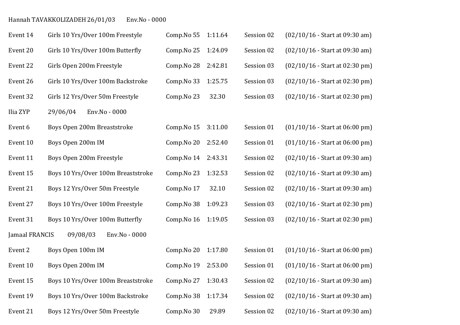## Hannah TAVAKKOLIZADEH 26/01/03 Env.No - 0000

| Event 14       | Girls 10 Yrs/Over 100m Freestyle   | Comp.No 55 | 1:11.64 | Session 02 | $(02/10/16 - Start at 09:30 am)$ |
|----------------|------------------------------------|------------|---------|------------|----------------------------------|
| Event 20       | Girls 10 Yrs/Over 100m Butterfly   | Comp.No 25 | 1:24.09 | Session 02 | $(02/10/16 - Start at 09:30 am)$ |
| Event 22       | Girls Open 200m Freestyle          | Comp.No 28 | 2:42.81 | Session 03 | $(02/10/16 - Start at 02:30 pm)$ |
| Event 26       | Girls 10 Yrs/Over 100m Backstroke  | Comp.No 33 | 1:25.75 | Session 03 | $(02/10/16 - Start at 02:30 pm)$ |
| Event 32       | Girls 12 Yrs/Over 50m Freestyle    | Comp.No 23 | 32.30   | Session 03 | (02/10/16 - Start at 02:30 pm)   |
| Ilia ZYP       | 29/06/04<br>Env.No - 0000          |            |         |            |                                  |
| Event 6        | Boys Open 200m Breaststroke        | Comp.No 15 | 3:11.00 | Session 01 | $(01/10/16 - Start at 06:00 pm)$ |
| Event 10       | Boys Open 200m IM                  | Comp.No 20 | 2:52.40 | Session 01 | $(01/10/16 - Start at 06:00 pm)$ |
| Event 11       | Boys Open 200m Freestyle           | Comp.No 14 | 2:43.31 | Session 02 | (02/10/16 - Start at 09:30 am)   |
| Event 15       | Boys 10 Yrs/Over 100m Breaststroke | Comp.No 23 | 1:32.53 | Session 02 | $(02/10/16 - Start at 09:30 am)$ |
| Event 21       | Boys 12 Yrs/Over 50m Freestyle     | Comp.No 17 | 32.10   | Session 02 | $(02/10/16 - Start at 09:30 am)$ |
| Event 27       | Boys 10 Yrs/Over 100m Freestyle    | Comp.No 38 | 1:09.23 | Session 03 | $(02/10/16 - Start at 02:30 pm)$ |
| Event 31       | Boys 10 Yrs/Over 100m Butterfly    | Comp.No 16 | 1:19.05 | Session 03 | $(02/10/16 - Start at 02:30 pm)$ |
| Jamaal FRANCIS | 09/08/03<br>Env.No - 0000          |            |         |            |                                  |
| Event 2        | Boys Open 100m IM                  | Comp.No 20 | 1:17.80 | Session 01 | $(01/10/16 - Start at 06:00 pm)$ |
| Event 10       | Boys Open 200m IM                  | Comp.No 19 | 2:53.00 | Session 01 | $(01/10/16 - Start at 06:00 pm)$ |
| Event 15       | Boys 10 Yrs/Over 100m Breaststroke | Comp.No 27 | 1:30.43 | Session 02 | $(02/10/16 - Start at 09:30 am)$ |
| Event 19       | Boys 10 Yrs/Over 100m Backstroke   | Comp.No 38 | 1:17.34 | Session 02 | $(02/10/16 - Start at 09:30 am)$ |
| Event 21       | Boys 12 Yrs/Over 50m Freestyle     | Comp.No 30 | 29.89   | Session 02 | (02/10/16 - Start at 09:30 am)   |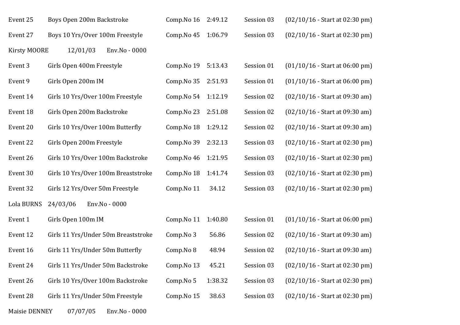| Event 25            | Boys Open 200m Backstroke           | Comp.No 16 | 2:49.12 | Session 03 | $(02/10/16 - Start at 02:30 pm)$ |
|---------------------|-------------------------------------|------------|---------|------------|----------------------------------|
| Event 27            | Boys 10 Yrs/Over 100m Freestyle     | Comp.No 45 | 1:06.79 | Session 03 | $(02/10/16 - Start at 02:30 pm)$ |
| <b>Kirsty MOORE</b> | 12/01/03<br>Env.No - 0000           |            |         |            |                                  |
| Event 3             | Girls Open 400m Freestyle           | Comp.No 19 | 5:13.43 | Session 01 | $(01/10/16 - Start at 06:00 pm)$ |
| Event 9             | Girls Open 200m IM                  | Comp.No 35 | 2:51.93 | Session 01 | $(01/10/16 - Start at 06:00 pm)$ |
| Event 14            | Girls 10 Yrs/Over 100m Freestyle    | Comp.No 54 | 1:12.19 | Session 02 | $(02/10/16 - Start at 09:30 am)$ |
| Event 18            | Girls Open 200m Backstroke          | Comp.No 23 | 2:51.08 | Session 02 | $(02/10/16 - Start at 09:30 am)$ |
| Event 20            | Girls 10 Yrs/Over 100m Butterfly    | Comp.No 18 | 1:29.12 | Session 02 | $(02/10/16 - Start at 09:30 am)$ |
| Event 22            | Girls Open 200m Freestyle           | Comp.No 39 | 2:32.13 | Session 03 | $(02/10/16 - Start at 02:30 pm)$ |
| Event 26            | Girls 10 Yrs/Over 100m Backstroke   | Comp.No 46 | 1:21.95 | Session 03 | $(02/10/16 - Start at 02:30 pm)$ |
| Event 30            | Girls 10 Yrs/Over 100m Breaststroke | Comp.No 18 | 1:41.74 | Session 03 | $(02/10/16 - Start at 02:30 pm)$ |
| Event 32            | Girls 12 Yrs/Over 50m Freestyle     | Comp.No 11 | 34.12   | Session 03 | $(02/10/16 - Start at 02:30 pm)$ |
| Lola BURNS          | 24/03/06<br>Env.No - 0000           |            |         |            |                                  |
| Event 1             | Girls Open 100m IM                  | Comp.No 11 | 1:40.80 | Session 01 | $(01/10/16 - Start at 06:00 pm)$ |
| Event 12            | Girls 11 Yrs/Under 50m Breaststroke | Comp.No 3  | 56.86   | Session 02 | $(02/10/16 - Start at 09:30 am)$ |
| Event 16            | Girls 11 Yrs/Under 50m Butterfly    | Comp.No 8  | 48.94   | Session 02 | $(02/10/16 - Start at 09:30 am)$ |
| Event 24            | Girls 11 Yrs/Under 50m Backstroke   | Comp.No 13 | 45.21   | Session 03 | $(02/10/16 - Start at 02:30 pm)$ |
| Event 26            | Girls 10 Yrs/Over 100m Backstroke   | Comp.No 5  | 1:38.32 | Session 03 | $(02/10/16 - Start at 02:30 pm)$ |
| Event 28            | Girls 11 Yrs/Under 50m Freestyle    | Comp.No 15 | 38.63   | Session 03 | $(02/10/16 - Start at 02:30 pm)$ |
|                     |                                     |            |         |            |                                  |

Maisie DENNEY 07/07/05 Env.No - 0000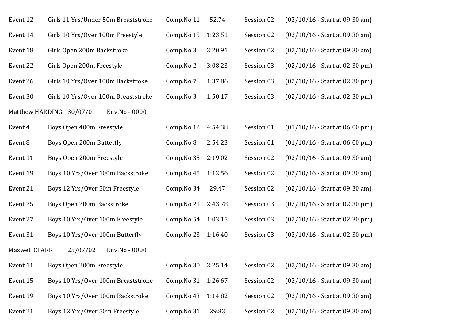| Event 12      | Girls 11 Yrs/Under 50m Breaststroke       | Comp.No 11 | 52.74   | Session 02 | $(02/10/16 - Start at 09:30 am)$ |
|---------------|-------------------------------------------|------------|---------|------------|----------------------------------|
| Event 14      | Girls 10 Yrs/Over 100m Freestyle          | Comp.No 15 | 1:23.51 | Session 02 | $(02/10/16 - Start at 09:30 am)$ |
| Event 18      | Girls Open 200m Backstroke                | Comp.No 3  | 3:20.91 | Session 02 | $(02/10/16 - Start at 09:30 am)$ |
| Event 22      | Girls Open 200m Freestyle                 | Comp.No 2  | 3:08.23 | Session 03 | $(02/10/16 - Start at 02:30 pm)$ |
| Event 26      | Girls 10 Yrs/Over 100m Backstroke         | Comp.No 7  | 1:37.86 | Session 03 | $(02/10/16 - Start at 02:30 pm)$ |
| Event 30      | Girls 10 Yrs/Over 100m Breaststroke       | Comp.No 3  | 1:50.17 | Session 03 | $(02/10/16 - Start at 02:30 pm)$ |
|               | Matthew HARDING 30/07/01<br>Env.No - 0000 |            |         |            |                                  |
| Event 4       | Boys Open 400m Freestyle                  | Comp.No 12 | 4:54.38 | Session 01 | $(01/10/16 - Start at 06:00 pm)$ |
| Event 8       | Boys Open 200m Butterfly                  | Comp.No 8  | 2:54.23 | Session 01 | $(01/10/16 - Start at 06:00 pm)$ |
| Event 11      | Boys Open 200m Freestyle                  | Comp.No 35 | 2:19.02 | Session 02 | $(02/10/16 - Start at 09:30 am)$ |
| Event 19      | Boys 10 Yrs/Over 100m Backstroke          | Comp.No 45 | 1:12.56 | Session 02 | $(02/10/16 - Start at 09:30 am)$ |
| Event 21      | Boys 12 Yrs/Over 50m Freestyle            | Comp.No 34 | 29.47   | Session 02 | $(02/10/16 - Start at 09:30 am)$ |
| Event 25      | Boys Open 200m Backstroke                 | Comp.No 21 | 2:43.78 | Session 03 | $(02/10/16 - Start at 02:30 pm)$ |
| Event 27      | Boys 10 Yrs/Over 100m Freestyle           | Comp.No 54 | 1:03.15 | Session 03 | $(02/10/16 - Start at 02:30 pm)$ |
| Event 31      | Boys 10 Yrs/Over 100m Butterfly           | Comp.No 23 | 1:16.40 | Session 03 | $(02/10/16 - Start at 02:30 pm)$ |
| Maxwell CLARK | 25/07/02<br>Env.No - 0000                 |            |         |            |                                  |
| Event 11      | Boys Open 200m Freestyle                  | Comp.No 30 | 2:25.14 | Session 02 | $(02/10/16 - Start at 09:30 am)$ |
| Event 15      | Boys 10 Yrs/Over 100m Breaststroke        | Comp.No 31 | 1:26.67 | Session 02 | $(02/10/16 - Start at 09:30 am)$ |
| Event 19      | Boys 10 Yrs/Over 100m Backstroke          | Comp.No 43 | 1:14.82 | Session 02 | $(02/10/16 - Start at 09:30 am)$ |
| Event 21      | Boys 12 Yrs/Over 50m Freestyle            | Comp.No 31 | 29.83   | Session 02 | $(02/10/16 - Start at 09:30 am)$ |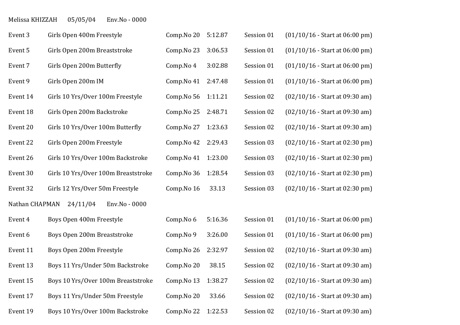### Melissa KHIZZAH 05/05/04 Env.No - 0000

| Event 3        | Girls Open 400m Freestyle           | Comp.No 20 | 5:12.87 | Session 01 | $(01/10/16 - Start at 06:00 pm)$ |
|----------------|-------------------------------------|------------|---------|------------|----------------------------------|
| Event 5        | Girls Open 200m Breaststroke        | Comp.No 23 | 3:06.53 | Session 01 | $(01/10/16 - Start at 06:00 pm)$ |
| Event 7        | Girls Open 200m Butterfly           | Comp.No 4  | 3:02.88 | Session 01 | $(01/10/16 - Start at 06:00 pm)$ |
| Event 9        | Girls Open 200m IM                  | Comp.No 41 | 2:47.48 | Session 01 | $(01/10/16 - Start at 06:00 pm)$ |
| Event 14       | Girls 10 Yrs/Over 100m Freestyle    | Comp.No 56 | 1:11.21 | Session 02 | $(02/10/16 - Start at 09:30 am)$ |
| Event 18       | Girls Open 200m Backstroke          | Comp.No 25 | 2:48.71 | Session 02 | $(02/10/16 - Start at 09:30 am)$ |
| Event 20       | Girls 10 Yrs/Over 100m Butterfly    | Comp.No 27 | 1:23.63 | Session 02 | $(02/10/16 - Start at 09:30 am)$ |
| Event 22       | Girls Open 200m Freestyle           | Comp.No 42 | 2:29.43 | Session 03 | $(02/10/16 - Start at 02:30 pm)$ |
| Event 26       | Girls 10 Yrs/Over 100m Backstroke   | Comp.No 41 | 1:23.00 | Session 03 | $(02/10/16 - Start at 02:30 pm)$ |
| Event 30       | Girls 10 Yrs/Over 100m Breaststroke | Comp.No 36 | 1:28.54 | Session 03 | $(02/10/16 - Start at 02:30 pm)$ |
| Event 32       | Girls 12 Yrs/Over 50m Freestyle     | Comp.No 16 | 33.13   | Session 03 | $(02/10/16 - Start at 02:30 pm)$ |
| Nathan CHAPMAN | 24/11/04<br>Env.No - 0000           |            |         |            |                                  |
| Event 4        | Boys Open 400m Freestyle            | Comp.No 6  | 5:16.36 | Session 01 | $(01/10/16 - Start at 06:00 pm)$ |
| Event 6        | Boys Open 200m Breaststroke         | Comp.No 9  | 3:26.00 | Session 01 | $(01/10/16 - Start at 06:00 pm)$ |
| Event 11       | Boys Open 200m Freestyle            | Comp.No 26 | 2:32.97 | Session 02 | $(02/10/16 - Start at 09:30 am)$ |
| Event 13       | Boys 11 Yrs/Under 50m Backstroke    | Comp.No 20 | 38.15   | Session 02 | $(02/10/16 - Start at 09:30 am)$ |
| Event 15       | Boys 10 Yrs/Over 100m Breaststroke  | Comp.No 13 | 1:38.27 | Session 02 | $(02/10/16 - Start at 09:30 am)$ |
| Event 17       | Boys 11 Yrs/Under 50m Freestyle     | Comp.No 20 | 33.66   | Session 02 | $(02/10/16 - Start at 09:30 am)$ |
| Event 19       | Boys 10 Yrs/Over 100m Backstroke    | Comp.No 22 | 1:22.53 | Session 02 | $(02/10/16 - Start at 09:30 am)$ |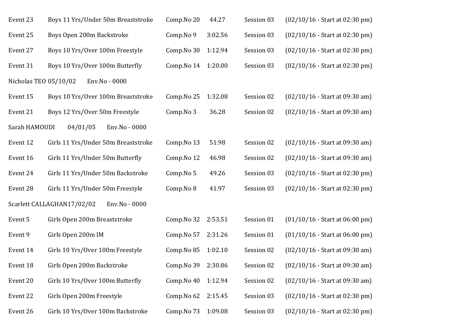| Event 23              | Boys 11 Yrs/Under 50m Breaststroke          | Comp.No 20 | 44.27   | Session 03 | $(02/10/16 - Start at 02:30 pm)$ |
|-----------------------|---------------------------------------------|------------|---------|------------|----------------------------------|
| Event 25              | Boys Open 200m Backstroke                   | Comp.No 9  | 3:02.56 | Session 03 | $(02/10/16 - Start at 02:30 pm)$ |
| Event 27              | Boys 10 Yrs/Over 100m Freestyle             | Comp.No 30 | 1:12.94 | Session 03 | $(02/10/16 - Start at 02:30 pm)$ |
| Event 31              | Boys 10 Yrs/Over 100m Butterfly             | Comp.No 14 | 1:20.00 | Session 03 | $(02/10/16 - Start at 02:30 pm)$ |
| Nicholas TEO 05/10/02 | Env.No - 0000                               |            |         |            |                                  |
| Event 15              | Boys 10 Yrs/Over 100m Breaststroke          | Comp.No 25 | 1:32.08 | Session 02 | $(02/10/16 - Start at 09:30 am)$ |
| Event 21              | Boys 12 Yrs/Over 50m Freestyle              | Comp.No 3  | 36.28   | Session 02 | $(02/10/16 - Start at 09:30 am)$ |
| Sarah HAMOUDI         | 04/01/05<br>Env.No - 0000                   |            |         |            |                                  |
| Event 12              | Girls 11 Yrs/Under 50m Breaststroke         | Comp.No 13 | 51.98   | Session 02 | $(02/10/16 - Start at 09:30 am)$ |
| Event 16              | Girls 11 Yrs/Under 50m Butterfly            | Comp.No 12 | 46.98   | Session 02 | $(02/10/16 - Start at 09:30 am)$ |
| Event 24              | Girls 11 Yrs/Under 50m Backstroke           | Comp.No 5  | 49.26   | Session 03 | $(02/10/16 - Start at 02:30 pm)$ |
| Event 28              | Girls 11 Yrs/Under 50m Freestyle            | Comp.No 8  | 41.97   | Session 03 | $(02/10/16 - Start at 02:30 pm)$ |
|                       | Scarlett CALLAGHAN17/02/02<br>Env.No - 0000 |            |         |            |                                  |
| Event 5               | Girls Open 200m Breaststroke                | Comp.No 32 | 2:53.51 | Session 01 | $(01/10/16 - Start at 06:00 pm)$ |
| Event 9               | Girls Open 200m IM                          | Comp.No 57 | 2:31.26 | Session 01 | $(01/10/16 - Start at 06:00 pm)$ |
| Event 14              | Girls 10 Yrs/Over 100m Freestyle            | Comp.No 85 | 1:02.10 | Session 02 | $(02/10/16 - Start at 09:30 am)$ |
| Event 18              | Girls Open 200m Backstroke                  | Comp.No 39 | 2:30.86 | Session 02 | $(02/10/16 - Start at 09:30 am)$ |
| Event 20              | Girls 10 Yrs/Over 100m Butterfly            | Comp.No 40 | 1:12.94 | Session 02 | $(02/10/16 - Start at 09:30 am)$ |
| Event 22              | Girls Open 200m Freestyle                   | Comp.No 62 | 2:15.45 | Session 03 | $(02/10/16 - Start at 02:30 pm)$ |
| Event 26              | Girls 10 Yrs/Over 100m Backstroke           | Comp.No 73 | 1:09.08 | Session 03 | $(02/10/16 - Start at 02:30 pm)$ |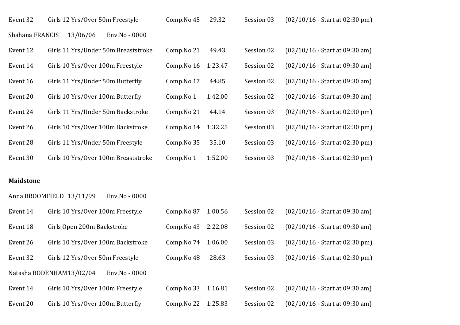| Event 32        | Girls 12 Yrs/Over 50m Freestyle     | Comp.No 45 | 29.32   | Session 03 | $(02/10/16 - Start at 02:30 pm)$ |
|-----------------|-------------------------------------|------------|---------|------------|----------------------------------|
| Shahana FRANCIS | 13/06/06<br>Env.No - 0000           |            |         |            |                                  |
| Event 12        | Girls 11 Yrs/Under 50m Breaststroke | Comp.No 21 | 49.43   | Session 02 | $(02/10/16 - Start at 09:30 am)$ |
| Event 14        | Girls 10 Yrs/Over 100m Freestyle    | Comp.No 16 | 1:23.47 | Session 02 | $(02/10/16 - Start at 09:30 am)$ |
| Event 16        | Girls 11 Yrs/Under 50m Butterfly    | Comp.No 17 | 44.85   | Session 02 | $(02/10/16 - Start at 09:30 am)$ |
| Event 20        | Girls 10 Yrs/Over 100m Butterfly    | Comp.No 1  | 1:42.00 | Session 02 | $(02/10/16 - Start at 09:30 am)$ |
| Event 24        | Girls 11 Yrs/Under 50m Backstroke   | Comp.No 21 | 44.14   | Session 03 | $(02/10/16 - Start at 02:30 pm)$ |
| Event 26        | Girls 10 Yrs/Over 100m Backstroke   | Comp.No 14 | 1:32.25 | Session 03 | $(02/10/16 - Start at 02:30 pm)$ |
| Event 28        | Girls 11 Yrs/Under 50m Freestyle    | Comp.No 35 | 35.10   | Session 03 | $(02/10/16 - Start at 02:30 pm)$ |
| Event 30        | Girls 10 Yrs/Over 100m Breaststroke | Comp.No 1  | 1:52.00 | Session 03 | $(02/10/16 - Start at 02:30 pm)$ |

#### **Maidstone**

|          | Anna BROOMFIELD 13/11/99<br>Env.No - 0000 |            |         |            |                                  |
|----------|-------------------------------------------|------------|---------|------------|----------------------------------|
| Event 14 | Girls 10 Yrs/Over 100m Freestyle          | Comp.No 87 | 1:00.56 | Session 02 | $(02/10/16 - Start at 09:30 am)$ |
| Event 18 | Girls Open 200m Backstroke                | Comp.No 43 | 2:22.08 | Session 02 | $(02/10/16 - Start at 09:30 am)$ |
| Event 26 | Girls 10 Yrs/Over 100m Backstroke         | Comp.No 74 | 1:06.00 | Session 03 | $(02/10/16 - Start at 02:30 pm)$ |
| Event 32 | Girls 12 Yrs/Over 50m Freestyle           | Comp.No 48 | 28.63   | Session 03 | $(02/10/16 - Start at 02:30 pm)$ |
|          | Natasha BODENHAM13/02/04<br>Env.No - 0000 |            |         |            |                                  |
| Event 14 | Girls 10 Yrs/Over 100m Freestyle          | Comp.No 33 | 1:16.81 | Session 02 | $(02/10/16 - Start at 09:30 am)$ |
| Event 20 | Girls 10 Yrs/Over 100m Butterfly          | Comp.No 22 | 1:25.83 | Session 02 | $(02/10/16 - Start at 09:30 am)$ |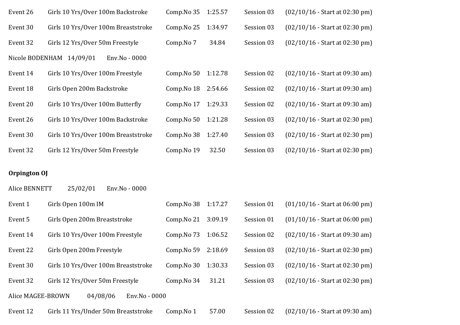| Event 26 | Girls 10 Yrs/Over 100m Backstroke         | Comp.No 35 | 1:25.57 | Session 03 | $(02/10/16 - Start at 02:30 pm)$ |
|----------|-------------------------------------------|------------|---------|------------|----------------------------------|
| Event 30 | Girls 10 Yrs/Over 100m Breaststroke       | Comp.No 25 | 1:34.97 | Session 03 | $(02/10/16 - Start at 02:30 pm)$ |
| Event 32 | Girls 12 Yrs/Over 50m Freestyle           | Comp.No 7  | 34.84   | Session 03 | $(02/10/16 - Start at 02:30 pm)$ |
|          | Nicole BODENHAM 14/09/01<br>Env.No - 0000 |            |         |            |                                  |
| Event 14 | Girls 10 Yrs/Over 100m Freestyle          | Comp.No 50 | 1:12.78 | Session 02 | $(02/10/16 - Start at 09:30 am)$ |
| Event 18 | Girls Open 200m Backstroke                | Comp.No 18 | 2:54.66 | Session 02 | $(02/10/16 - Start at 09:30 am)$ |
| Event 20 | Girls 10 Yrs/Over 100m Butterfly          | Comp.No 17 | 1:29.33 | Session 02 | $(02/10/16 - Start at 09:30 am)$ |
| Event 26 | Girls 10 Yrs/Over 100m Backstroke         | Comp.No 50 | 1:21.28 | Session 03 | $(02/10/16 - Start at 02:30 pm)$ |
| Event 30 | Girls 10 Yrs/Over 100m Breaststroke       | Comp.No 38 | 1:27.40 | Session 03 | $(02/10/16 - Start at 02:30 pm)$ |
| Event 32 | Girls 12 Yrs/Over 50m Freestyle           | Comp.No 19 | 32.50   | Session 03 | $(02/10/16 - Start at 02:30 pm)$ |

#### **Orpington OJ**

Alice BENNETT 25/02/01 Env.No - 0000

| Event 1           | Girls Open 100m IM                  | Comp.No 38 | 1:17.27 | Session 01 | $(01/10/16 - Start at 06:00 pm)$ |
|-------------------|-------------------------------------|------------|---------|------------|----------------------------------|
| Event 5           | Girls Open 200m Breaststroke        | Comp.No 21 | 3:09.19 | Session 01 | $(01/10/16 - Start at 06:00 pm)$ |
| Event 14          | Girls 10 Yrs/Over 100m Freestyle    | Comp.No 73 | 1:06.52 | Session 02 | $(02/10/16 - Start at 09:30 am)$ |
| Event 22          | Girls Open 200m Freestyle           | Comp.No 59 | 2:18.69 | Session 03 | $(02/10/16 - Start at 02:30 pm)$ |
| Event 30          | Girls 10 Yrs/Over 100m Breaststroke | Comp.No 30 | 1:30.33 | Session 03 | $(02/10/16 - Start at 02:30 pm)$ |
| Event 32          | Girls 12 Yrs/Over 50m Freestyle     | Comp.No 34 | 31.21   | Session 03 | $(02/10/16 - Start at 02:30 pm)$ |
| Alice MAGEE-BROWN | 04/08/06<br>Env.No - 0000           |            |         |            |                                  |
| Event 12          | Girls 11 Yrs/Under 50m Breaststroke | Comp.No 1  | 57.00   | Session 02 | $(02/10/16 - Start at 09:30 am)$ |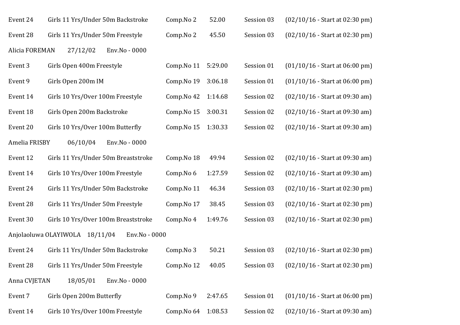| Event 24       | Girls 11 Yrs/Under 50m Backstroke   |               | Comp.No 2  | 52.00   | Session 03 | $(02/10/16 - Start at 02:30 pm)$ |
|----------------|-------------------------------------|---------------|------------|---------|------------|----------------------------------|
| Event 28       | Girls 11 Yrs/Under 50m Freestyle    |               | Comp.No 2  | 45.50   | Session 03 | $(02/10/16 - Start at 02:30 pm)$ |
| Alicia FOREMAN | 27/12/02                            | Env.No - 0000 |            |         |            |                                  |
| Event 3        | Girls Open 400m Freestyle           |               | Comp.No 11 | 5:29.00 | Session 01 | $(01/10/16 - Start at 06:00 pm)$ |
| Event 9        | Girls Open 200m IM                  |               | Comp.No 19 | 3:06.18 | Session 01 | $(01/10/16 - Start at 06:00 pm)$ |
| Event 14       | Girls 10 Yrs/Over 100m Freestyle    |               | Comp.No 42 | 1:14.68 | Session 02 | $(02/10/16 - Start at 09:30 am)$ |
| Event 18       | Girls Open 200m Backstroke          |               | Comp.No 15 | 3:00.31 | Session 02 | $(02/10/16 - Start at 09:30 am)$ |
| Event 20       | Girls 10 Yrs/Over 100m Butterfly    |               | Comp.No 15 | 1:30.33 | Session 02 | $(02/10/16 - Start at 09:30 am)$ |
| Amelia FRISBY  | 06/10/04                            | Env.No - 0000 |            |         |            |                                  |
| Event 12       | Girls 11 Yrs/Under 50m Breaststroke |               | Comp.No 18 | 49.94   | Session 02 | $(02/10/16 - Start at 09:30 am)$ |
| Event 14       | Girls 10 Yrs/Over 100m Freestyle    |               | Comp.No 6  | 1:27.59 | Session 02 | $(02/10/16 - Start at 09:30 am)$ |
| Event 24       | Girls 11 Yrs/Under 50m Backstroke   |               | Comp.No 11 | 46.34   | Session 03 | $(02/10/16 - Start at 02:30 pm)$ |
| Event 28       | Girls 11 Yrs/Under 50m Freestyle    |               | Comp.No 17 | 38.45   | Session 03 | $(02/10/16 - Start at 02:30 pm)$ |
| Event 30       | Girls 10 Yrs/Over 100m Breaststroke |               | Comp.No 4  | 1:49.76 | Session 03 | $(02/10/16 - Start at 02:30 pm)$ |
|                | Anjolaoluwa OLAYIWOLA<br>18/11/04   | Env.No - 0000 |            |         |            |                                  |
| Event 24       | Girls 11 Yrs/Under 50m Backstroke   |               | Comp.No 3  | 50.21   | Session 03 | $(02/10/16 - Start at 02:30 pm)$ |
| Event 28       | Girls 11 Yrs/Under 50m Freestyle    |               | Comp.No 12 | 40.05   | Session 03 | $(02/10/16 - Start at 02:30 pm)$ |
| Anna CVJETAN   | 18/05/01                            | Env.No - 0000 |            |         |            |                                  |
| Event 7        | Girls Open 200m Butterfly           |               | Comp.No 9  | 2:47.65 | Session 01 | $(01/10/16 - Start at 06:00 pm)$ |
| Event 14       | Girls 10 Yrs/Over 100m Freestyle    |               | Comp.No 64 | 1:08.53 | Session 02 | $(02/10/16 - Start at 09:30 am)$ |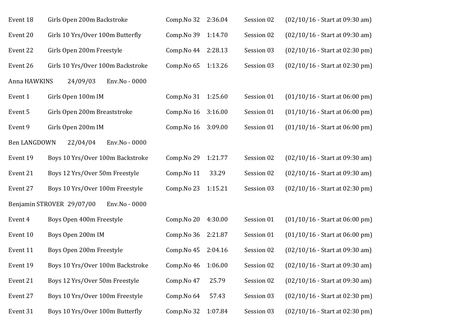| Event 18     | Girls Open 200m Backstroke                 | Comp.No 32 | 2:36.04 | Session 02 | $(02/10/16 - Start at 09:30 am)$ |
|--------------|--------------------------------------------|------------|---------|------------|----------------------------------|
| Event 20     | Girls 10 Yrs/Over 100m Butterfly           | Comp.No 39 | 1:14.70 | Session 02 | $(02/10/16 - Start at 09:30 am)$ |
| Event 22     | Girls Open 200m Freestyle                  | Comp.No 44 | 2:28.13 | Session 03 | $(02/10/16 - Start at 02:30 pm)$ |
| Event 26     | Girls 10 Yrs/Over 100m Backstroke          | Comp.No 65 | 1:13.26 | Session 03 | $(02/10/16 - Start at 02:30 pm)$ |
| Anna HAWKINS | 24/09/03<br>Env.No - 0000                  |            |         |            |                                  |
| Event 1      | Girls Open 100m IM                         | Comp.No 31 | 1:25.60 | Session 01 | $(01/10/16 - Start at 06:00 pm)$ |
| Event 5      | Girls Open 200m Breaststroke               | Comp.No 16 | 3:16.00 | Session 01 | $(01/10/16 - Start at 06:00 pm)$ |
| Event 9      | Girls Open 200m IM                         | Comp.No 16 | 3:09.00 | Session 01 | $(01/10/16 - Start at 06:00 pm)$ |
| Ben LANGDOWN | 22/04/04<br>Env.No - 0000                  |            |         |            |                                  |
| Event 19     | Boys 10 Yrs/Over 100m Backstroke           | Comp.No 29 | 1:21.77 | Session 02 | $(02/10/16 - Start at 09:30 am)$ |
| Event 21     | Boys 12 Yrs/Over 50m Freestyle             | Comp.No 11 | 33.29   | Session 02 | $(02/10/16 - Start at 09:30 am)$ |
| Event 27     | Boys 10 Yrs/Over 100m Freestyle            | Comp.No 23 | 1:15.21 | Session 03 | $(02/10/16 - Start at 02:30 pm)$ |
|              | Benjamin STROVER 29/07/00<br>Env.No - 0000 |            |         |            |                                  |
| Event 4      | Boys Open 400m Freestyle                   | Comp.No 20 | 4:30.00 | Session 01 | $(01/10/16 - Start at 06:00 pm)$ |
| Event 10     | Boys Open 200m IM                          | Comp.No 36 | 2:21.87 | Session 01 | $(01/10/16 - Start at 06:00 pm)$ |
| Event 11     | Boys Open 200m Freestyle                   | Comp.No 45 | 2:04.16 | Session 02 | $(02/10/16 - Start at 09:30 am)$ |
| Event 19     | Boys 10 Yrs/Over 100m Backstroke           | Comp.No 46 | 1:06.00 | Session 02 | $(02/10/16 - Start at 09:30 am)$ |
| Event 21     | Boys 12 Yrs/Over 50m Freestyle             | Comp.No 47 | 25.79   | Session 02 | $(02/10/16 - Start at 09:30 am)$ |
| Event 27     | Boys 10 Yrs/Over 100m Freestyle            | Comp.No 64 | 57.43   | Session 03 | $(02/10/16 - Start at 02:30 pm)$ |
| Event 31     | Boys 10 Yrs/Over 100m Butterfly            | Comp.No 32 | 1:07.84 | Session 03 | $(02/10/16 - Start at 02:30 pm)$ |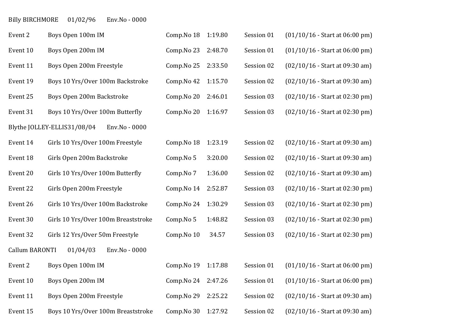## Billy BIRCHMORE 01/02/96 Env.No - 0000

| Event 2               | Boys Open 100m IM                            | Comp.No 18 | 1:19.80 | Session 01 | $(01/10/16 - Start at 06:00 pm)$ |
|-----------------------|----------------------------------------------|------------|---------|------------|----------------------------------|
| Event 10              | Boys Open 200m IM                            | Comp.No 23 | 2:48.70 | Session 01 | $(01/10/16 - Start at 06:00 pm)$ |
| Event 11              | Boys Open 200m Freestyle                     | Comp.No 25 | 2:33.50 | Session 02 | $(02/10/16 - Start at 09:30 am)$ |
| Event 19              | Boys 10 Yrs/Over 100m Backstroke             | Comp.No 42 | 1:15.70 | Session 02 | $(02/10/16 - Start at 09:30 am)$ |
| Event 25              | Boys Open 200m Backstroke                    | Comp.No 20 | 2:46.01 | Session 03 | $(02/10/16 - Start at 02:30 pm)$ |
| Event 31              | Boys 10 Yrs/Over 100m Butterfly              | Comp.No 20 | 1:16.97 | Session 03 | $(02/10/16 - Start at 02:30 pm)$ |
|                       | Blythe JOLLEY-ELLIS31/08/04<br>Env.No - 0000 |            |         |            |                                  |
| Event 14              | Girls 10 Yrs/Over 100m Freestyle             | Comp.No 18 | 1:23.19 | Session 02 | $(02/10/16 - Start at 09:30 am)$ |
| Event 18              | Girls Open 200m Backstroke                   | Comp.No 5  | 3:20.00 | Session 02 | $(02/10/16 - Start at 09:30 am)$ |
| Event 20              | Girls 10 Yrs/Over 100m Butterfly             | Comp.No 7  | 1:36.00 | Session 02 | $(02/10/16 - Start at 09:30 am)$ |
| Event 22              | Girls Open 200m Freestyle                    | Comp.No 14 | 2:52.87 | Session 03 | $(02/10/16 - Start at 02:30 pm)$ |
| Event 26              | Girls 10 Yrs/Over 100m Backstroke            | Comp.No 24 | 1:30.29 | Session 03 | (02/10/16 - Start at 02:30 pm)   |
| Event 30              | Girls 10 Yrs/Over 100m Breaststroke          | Comp.No 5  | 1:48.82 | Session 03 | $(02/10/16 - Start at 02:30 pm)$ |
| Event 32              | Girls 12 Yrs/Over 50m Freestyle              | Comp.No 10 | 34.57   | Session 03 | $(02/10/16 - Start at 02:30 pm)$ |
| <b>Callum BARONTI</b> | 01/04/03<br>Env.No - 0000                    |            |         |            |                                  |
| Event 2               | Boys Open 100m IM                            | Comp.No 19 | 1:17.88 | Session 01 | $(01/10/16 - Start at 06:00 pm)$ |
| Event 10              | Boys Open 200m IM                            | Comp.No 24 | 2:47.26 | Session 01 | $(01/10/16 - Start at 06:00 pm)$ |
| Event 11              | Boys Open 200m Freestyle                     | Comp.No 29 | 2:25.22 | Session 02 | $(02/10/16 - Start at 09:30 am)$ |
| Event 15              | Boys 10 Yrs/Over 100m Breaststroke           | Comp.No 30 | 1:27.92 | Session 02 | $(02/10/16 - Start at 09:30 am)$ |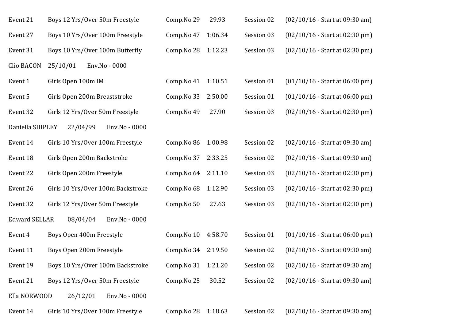| Event 21             | Boys 12 Yrs/Over 50m Freestyle    | Comp.No 29          | 29.93   | Session 02 | $(02/10/16 - Start at 09:30 am)$ |
|----------------------|-----------------------------------|---------------------|---------|------------|----------------------------------|
| Event 27             | Boys 10 Yrs/Over 100m Freestyle   | Comp.No 47          | 1:06.34 | Session 03 | $(02/10/16 - Start at 02:30 pm)$ |
| Event 31             | Boys 10 Yrs/Over 100m Butterfly   | Comp. No 28 1:12.23 |         | Session 03 | $(02/10/16 - Start at 02:30 pm)$ |
| Clio BACON           | 25/10/01<br>Env.No - 0000         |                     |         |            |                                  |
| Event 1              | Girls Open 100m IM                | Comp.No 41          | 1:10.51 | Session 01 | $(01/10/16 - Start at 06:00 pm)$ |
| Event 5              | Girls Open 200m Breaststroke      | Comp.No 33          | 2:50.00 | Session 01 | $(01/10/16 - Start at 06:00 pm)$ |
| Event 32             | Girls 12 Yrs/Over 50m Freestyle   | Comp.No 49          | 27.90   | Session 03 | $(02/10/16 - Start at 02:30 pm)$ |
| Daniella SHIPLEY     | 22/04/99<br>Env.No - 0000         |                     |         |            |                                  |
| Event 14             | Girls 10 Yrs/Over 100m Freestyle  | Comp.No 86          | 1:00.98 | Session 02 | $(02/10/16 - Start at 09:30 am)$ |
| Event 18             | Girls Open 200m Backstroke        | Comp.No 37          | 2:33.25 | Session 02 | $(02/10/16 - Start at 09:30 am)$ |
| Event 22             | Girls Open 200m Freestyle         | Comp. No 64 2:11.10 |         | Session 03 | $(02/10/16 - Start at 02:30 pm)$ |
| Event 26             | Girls 10 Yrs/Over 100m Backstroke | Comp.No 68          | 1:12.90 | Session 03 | $(02/10/16 - Start at 02:30 pm)$ |
| Event 32             | Girls 12 Yrs/Over 50m Freestyle   | Comp.No 50          | 27.63   | Session 03 | $(02/10/16 - Start at 02:30 pm)$ |
| <b>Edward SELLAR</b> | 08/04/04<br>Env.No - 0000         |                     |         |            |                                  |
| Event 4              | Boys Open 400m Freestyle          | Comp.No 10          | 4:58.70 | Session 01 | $(01/10/16 - Start at 06:00 pm)$ |
| Event 11             | Boys Open 200m Freestyle          | Comp.No 34          | 2:19.50 | Session 02 | $(02/10/16 - Start at 09:30 am)$ |
| Event 19             | Boys 10 Yrs/Over 100m Backstroke  | Comp.No 31          | 1:21.20 | Session 02 | $(02/10/16 - Start at 09:30 am)$ |
| Event 21             | Boys 12 Yrs/Over 50m Freestyle    | Comp.No 25          | 30.52   | Session 02 | $(02/10/16 - Start at 09:30 am)$ |
| Ella NORWOOD         | 26/12/01<br>Env.No - 0000         |                     |         |            |                                  |
| Event 14             | Girls 10 Yrs/Over 100m Freestyle  | Comp. No 28 1:18.63 |         | Session 02 | $(02/10/16 - Start at 09:30 am)$ |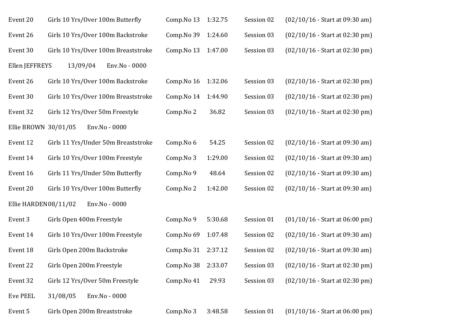| Event 20             | Girls 10 Yrs/Over 100m Butterfly    | Comp.No 13 | 1:32.75 | Session 02 | $(02/10/16 - Start at 09:30 am)$ |
|----------------------|-------------------------------------|------------|---------|------------|----------------------------------|
| Event 26             | Girls 10 Yrs/Over 100m Backstroke   | Comp.No 39 | 1:24.60 | Session 03 | $(02/10/16 - Start at 02:30 pm)$ |
| Event 30             | Girls 10 Yrs/Over 100m Breaststroke | Comp.No 13 | 1:47.00 | Session 03 | $(02/10/16 - Start at 02:30 pm)$ |
| Ellen JEFFREYS       | 13/09/04<br>Env.No - 0000           |            |         |            |                                  |
| Event 26             | Girls 10 Yrs/Over 100m Backstroke   | Comp.No 16 | 1:32.06 | Session 03 | $(02/10/16 - Start at 02:30 pm)$ |
| Event 30             | Girls 10 Yrs/Over 100m Breaststroke | Comp.No 14 | 1:44.90 | Session 03 | $(02/10/16 - Start at 02:30 pm)$ |
| Event 32             | Girls 12 Yrs/Over 50m Freestyle     | Comp.No 2  | 36.82   | Session 03 | $(02/10/16 - Start at 02:30 pm)$ |
| Ellie BROWN 30/01/05 | Env.No - 0000                       |            |         |            |                                  |
| Event 12             | Girls 11 Yrs/Under 50m Breaststroke | Comp.No 6  | 54.25   | Session 02 | $(02/10/16 - Start at 09:30 am)$ |
| Event 14             | Girls 10 Yrs/Over 100m Freestyle    | Comp.No 3  | 1:29.00 | Session 02 | $(02/10/16 - Start at 09:30 am)$ |
| Event 16             | Girls 11 Yrs/Under 50m Butterfly    | Comp.No 9  | 48.64   | Session 02 | $(02/10/16 - Start at 09:30 am)$ |
| Event 20             | Girls 10 Yrs/Over 100m Butterfly    | Comp.No 2  | 1:42.00 | Session 02 | $(02/10/16 - Start at 09:30 am)$ |
| Ellie HARDEN08/11/02 | Env.No - 0000                       |            |         |            |                                  |
| Event 3              | Girls Open 400m Freestyle           | Comp.No 9  | 5:30.68 | Session 01 | $(01/10/16 - Start at 06:00 pm)$ |
| Event 14             | Girls 10 Yrs/Over 100m Freestyle    | Comp.No 69 | 1:07.48 | Session 02 | $(02/10/16 - Start at 09:30 am)$ |
| Event 18             | Girls Open 200m Backstroke          | Comp.No 31 | 2:37.12 | Session 02 | $(02/10/16 - Start at 09:30 am)$ |
| Event 22             | Girls Open 200m Freestyle           | Comp.No 38 | 2:33.07 | Session 03 | $(02/10/16 - Start at 02:30 pm)$ |
| Event 32             | Girls 12 Yrs/Over 50m Freestyle     | Comp.No 41 | 29.93   | Session 03 | $(02/10/16 - Start at 02:30 pm)$ |
| <b>Eve PEEL</b>      | Env.No - 0000<br>31/08/05           |            |         |            |                                  |
| Event 5              | Girls Open 200m Breaststroke        | Comp.No 3  | 3:48.58 | Session 01 | $(01/10/16 - Start at 06:00 pm)$ |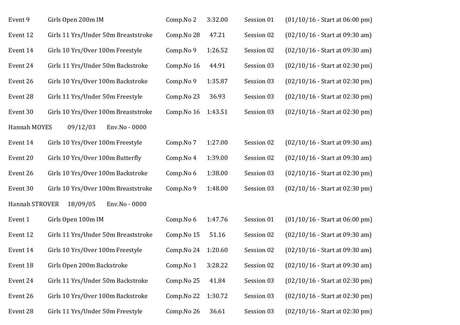| Event 9        | Girls Open 200m IM                  | Comp.No 2  | 3:32.00 | Session 01 | $(01/10/16 - Start at 06:00 pm)$ |
|----------------|-------------------------------------|------------|---------|------------|----------------------------------|
| Event 12       | Girls 11 Yrs/Under 50m Breaststroke | Comp.No 28 | 47.21   | Session 02 | $(02/10/16 - Start at 09:30 am)$ |
| Event 14       | Girls 10 Yrs/Over 100m Freestyle    | Comp.No 9  | 1:26.52 | Session 02 | $(02/10/16 - Start at 09:30 am)$ |
| Event 24       | Girls 11 Yrs/Under 50m Backstroke   | Comp.No 16 | 44.91   | Session 03 | $(02/10/16 - Start at 02:30 pm)$ |
| Event 26       | Girls 10 Yrs/Over 100m Backstroke   | Comp.No 9  | 1:35.87 | Session 03 | $(02/10/16 - Start at 02:30 pm)$ |
| Event 28       | Girls 11 Yrs/Under 50m Freestyle    | Comp.No 23 | 36.93   | Session 03 | $(02/10/16 - Start at 02:30 pm)$ |
| Event 30       | Girls 10 Yrs/Over 100m Breaststroke | Comp.No 16 | 1:43.51 | Session 03 | $(02/10/16 - Start at 02:30 pm)$ |
| Hannah MOYES   | 09/12/03<br>Env.No - 0000           |            |         |            |                                  |
| Event 14       | Girls 10 Yrs/Over 100m Freestyle    | Comp.No 7  | 1:27.00 | Session 02 | $(02/10/16 - Start at 09:30 am)$ |
| Event 20       | Girls 10 Yrs/Over 100m Butterfly    | Comp.No 4  | 1:39.00 | Session 02 | $(02/10/16 - Start at 09:30 am)$ |
| Event 26       | Girls 10 Yrs/Over 100m Backstroke   | Comp.No 6  | 1:38.00 | Session 03 | $(02/10/16 - Start at 02:30 pm)$ |
| Event 30       | Girls 10 Yrs/Over 100m Breaststroke | Comp.No 9  | 1:48.00 | Session 03 | $(02/10/16 - Start at 02:30 pm)$ |
| Hannah STROVER | 18/09/05<br>Env.No - 0000           |            |         |            |                                  |
| Event 1        | Girls Open 100m IM                  | Comp.No 6  | 1:47.76 | Session 01 | $(01/10/16 - Start at 06:00 pm)$ |
| Event 12       | Girls 11 Yrs/Under 50m Breaststroke | Comp.No 15 | 51.16   | Session 02 | $(02/10/16 - Start at 09:30 am)$ |
| Event 14       | Girls 10 Yrs/Over 100m Freestyle    | Comp.No 24 | 1:20.60 | Session 02 | $(02/10/16 - Start at 09:30 am)$ |
| Event 18       | Girls Open 200m Backstroke          | Comp.No 1  | 3:28.22 | Session 02 | $(02/10/16 - Start at 09:30 am)$ |
| Event 24       | Girls 11 Yrs/Under 50m Backstroke   | Comp.No 25 | 41.84   | Session 03 | $(02/10/16 - Start at 02:30 pm)$ |
| Event 26       | Girls 10 Yrs/Over 100m Backstroke   | Comp.No 22 | 1:30.72 | Session 03 | $(02/10/16 - Start at 02:30 pm)$ |
| Event 28       | Girls 11 Yrs/Under 50m Freestyle    | Comp.No 26 | 36.61   | Session 03 | $(02/10/16 - Start at 02:30 pm)$ |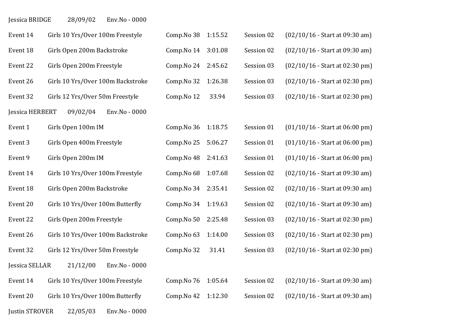Jessica BRIDGE 28/09/02 Env.No - 0000

| Event 14              | Girls 10 Yrs/Over 100m Freestyle  | Comp.No 38 | 1:15.52 | Session 02 | $(02/10/16 - Start at 09:30 am)$ |
|-----------------------|-----------------------------------|------------|---------|------------|----------------------------------|
| Event 18              | Girls Open 200m Backstroke        | Comp.No 14 | 3:01.08 | Session 02 | $(02/10/16 - Start at 09:30 am)$ |
| Event 22              | Girls Open 200m Freestyle         | Comp.No 24 | 2:45.62 | Session 03 | $(02/10/16 - Start at 02:30 pm)$ |
| Event 26              | Girls 10 Yrs/Over 100m Backstroke | Comp.No 32 | 1:26.38 | Session 03 | $(02/10/16 - Start at 02:30 pm)$ |
| Event 32              | Girls 12 Yrs/Over 50m Freestyle   | Comp.No 12 | 33.94   | Session 03 | $(02/10/16 - Start at 02:30 pm)$ |
| Jessica HERBERT       | 09/02/04<br>Env.No - 0000         |            |         |            |                                  |
| Event 1               | Girls Open 100m IM                | Comp.No 36 | 1:18.75 | Session 01 | $(01/10/16 - Start at 06:00 pm)$ |
| Event 3               | Girls Open 400m Freestyle         | Comp.No 25 | 5:06.27 | Session 01 | $(01/10/16 - Start at 06:00 pm)$ |
| Event 9               | Girls Open 200m IM                | Comp.No 48 | 2:41.63 | Session 01 | $(01/10/16 - Start at 06:00 pm)$ |
| Event 14              | Girls 10 Yrs/Over 100m Freestyle  | Comp.No 68 | 1:07.68 | Session 02 | $(02/10/16 - Start at 09:30 am)$ |
| Event 18              | Girls Open 200m Backstroke        | Comp.No 34 | 2:35.41 | Session 02 | $(02/10/16 - Start at 09:30 am)$ |
| Event 20              | Girls 10 Yrs/Over 100m Butterfly  | Comp.No 34 | 1:19.63 | Session 02 | $(02/10/16 - Start at 09:30 am)$ |
| Event 22              | Girls Open 200m Freestyle         | Comp.No 50 | 2:25.48 | Session 03 | $(02/10/16 - Start at 02:30 pm)$ |
| Event 26              | Girls 10 Yrs/Over 100m Backstroke | Comp.No 63 | 1:14.00 | Session 03 | $(02/10/16 - Start at 02:30 pm)$ |
| Event 32              | Girls 12 Yrs/Over 50m Freestyle   | Comp.No 32 | 31.41   | Session 03 | $(02/10/16 - Start at 02:30 pm)$ |
| Jessica SELLAR        | 21/12/00<br>Env.No - 0000         |            |         |            |                                  |
| Event 14              | Girls 10 Yrs/Over 100m Freestyle  | Comp.No 76 | 1:05.64 | Session 02 | $(02/10/16 - Start at 09:30 am)$ |
| Event 20              | Girls 10 Yrs/Over 100m Butterfly  | Comp.No 42 | 1:12.30 | Session 02 | $(02/10/16 - Start at 09:30 am)$ |
| <b>Justin STROVER</b> | 22/05/03<br>Env.No - 0000         |            |         |            |                                  |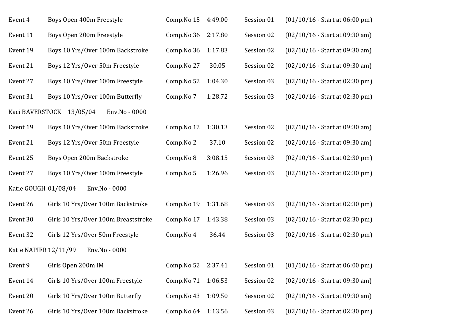| Event 4               | Boys Open 400m Freestyle                  | Comp.No 15 | 4:49.00 | Session 01 | $(01/10/16 - Start at 06:00 pm)$ |
|-----------------------|-------------------------------------------|------------|---------|------------|----------------------------------|
| Event 11              | Boys Open 200m Freestyle                  | Comp.No 36 | 2:17.80 | Session 02 | $(02/10/16 - Start at 09:30 am)$ |
| Event 19              | Boys 10 Yrs/Over 100m Backstroke          | Comp.No 36 | 1:17.83 | Session 02 | $(02/10/16 - Start at 09:30 am)$ |
| Event 21              | Boys 12 Yrs/Over 50m Freestyle            | Comp.No 27 | 30.05   | Session 02 | $(02/10/16 - Start at 09:30 am)$ |
| Event 27              | Boys 10 Yrs/Over 100m Freestyle           | Comp.No 52 | 1:04.30 | Session 03 | $(02/10/16 - Start at 02:30 pm)$ |
| Event 31              | Boys 10 Yrs/Over 100m Butterfly           | Comp.No 7  | 1:28.72 | Session 03 | $(02/10/16 - Start at 02:30 pm)$ |
|                       | Kaci BAVERSTOCK 13/05/04<br>Env.No - 0000 |            |         |            |                                  |
| Event 19              | Boys 10 Yrs/Over 100m Backstroke          | Comp.No 12 | 1:30.13 | Session 02 | $(02/10/16 - Start at 09:30 am)$ |
| Event 21              | Boys 12 Yrs/Over 50m Freestyle            | Comp.No 2  | 37.10   | Session 02 | $(02/10/16 - Start at 09:30 am)$ |
| Event 25              | Boys Open 200m Backstroke                 | Comp.No 8  | 3:08.15 | Session 03 | $(02/10/16 - Start at 02:30 pm)$ |
| Event 27              | Boys 10 Yrs/Over 100m Freestyle           | Comp.No 5  | 1:26.96 | Session 03 | (02/10/16 - Start at 02:30 pm)   |
|                       | Katie GOUGH 01/08/04<br>Env.No - 0000     |            |         |            |                                  |
| Event 26              | Girls 10 Yrs/Over 100m Backstroke         | Comp.No 19 | 1:31.68 | Session 03 | $(02/10/16 - Start at 02:30 pm)$ |
| Event 30              | Girls 10 Yrs/Over 100m Breaststroke       | Comp.No 17 | 1:43.38 | Session 03 | $(02/10/16 - Start at 02:30 pm)$ |
| Event 32              | Girls 12 Yrs/Over 50m Freestyle           | Comp.No 4  | 36.44   | Session 03 | $(02/10/16 - Start at 02:30 pm)$ |
| Katie NAPIER 12/11/99 | Env.No - 0000                             |            |         |            |                                  |
| Event 9               | Girls Open 200m IM                        | Comp.No 52 | 2:37.41 | Session 01 | $(01/10/16 - Start at 06:00 pm)$ |
| Event 14              | Girls 10 Yrs/Over 100m Freestyle          | Comp.No 71 | 1:06.53 | Session 02 | $(02/10/16 - Start at 09:30 am)$ |
| Event 20              | Girls 10 Yrs/Over 100m Butterfly          | Comp.No 43 | 1:09.50 | Session 02 | $(02/10/16 - Start at 09:30 am)$ |
| Event 26              | Girls 10 Yrs/Over 100m Backstroke         | Comp.No 64 | 1:13.56 | Session 03 | $(02/10/16 - Start at 02:30 pm)$ |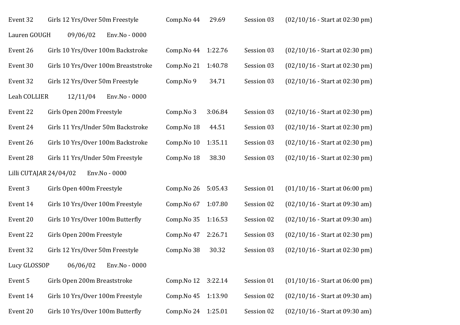| Event 32     | Girls 12 Yrs/Over 50m Freestyle         | Comp.No 44 | 29.69   | Session 03 | $(02/10/16 - Start at 02:30 pm)$ |
|--------------|-----------------------------------------|------------|---------|------------|----------------------------------|
| Lauren GOUGH | Env.No - 0000<br>09/06/02               |            |         |            |                                  |
| Event 26     | Girls 10 Yrs/Over 100m Backstroke       | Comp.No 44 | 1:22.76 | Session 03 | $(02/10/16 - Start at 02:30 pm)$ |
| Event 30     | Girls 10 Yrs/Over 100m Breaststroke     | Comp.No 21 | 1:40.78 | Session 03 | $(02/10/16 - Start at 02:30 pm)$ |
| Event 32     | Girls 12 Yrs/Over 50m Freestyle         | Comp.No 9  | 34.71   | Session 03 | $(02/10/16 - Start at 02:30 pm)$ |
| Leah COLLIER | 12/11/04<br>Env.No - 0000               |            |         |            |                                  |
| Event 22     | Girls Open 200m Freestyle               | Comp.No 3  | 3:06.84 | Session 03 | $(02/10/16 - Start at 02:30 pm)$ |
| Event 24     | Girls 11 Yrs/Under 50m Backstroke       | Comp.No 18 | 44.51   | Session 03 | $(02/10/16 - Start at 02:30 pm)$ |
| Event 26     | Girls 10 Yrs/Over 100m Backstroke       | Comp.No 10 | 1:35.11 | Session 03 | $(02/10/16 - Start at 02:30 pm)$ |
| Event 28     | Girls 11 Yrs/Under 50m Freestyle        | Comp.No 18 | 38.30   | Session 03 | $(02/10/16 - Start at 02:30 pm)$ |
|              | Lilli CUTAJAR 24/04/02<br>Env.No - 0000 |            |         |            |                                  |
| Event 3      | Girls Open 400m Freestyle               | Comp.No 26 | 5:05.43 | Session 01 | $(01/10/16 - Start at 06:00 pm)$ |
| Event 14     | Girls 10 Yrs/Over 100m Freestyle        | Comp.No 67 | 1:07.80 | Session 02 | $(02/10/16 - Start at 09:30 am)$ |
| Event 20     | Girls 10 Yrs/Over 100m Butterfly        | Comp.No 35 | 1:16.53 | Session 02 | $(02/10/16 - Start at 09:30 am)$ |
| Event 22     | Girls Open 200m Freestyle               | Comp.No 47 | 2:26.71 | Session 03 | $(02/10/16 - Start at 02:30 pm)$ |
| Event 32     | Girls 12 Yrs/Over 50m Freestyle         | Comp.No 38 | 30.32   | Session 03 | (02/10/16 - Start at 02:30 pm)   |
| Lucy GLOSSOP | 06/06/02<br>Env.No - 0000               |            |         |            |                                  |
| Event 5      | Girls Open 200m Breaststroke            | Comp.No 12 | 3:22.14 | Session 01 | $(01/10/16 - Start at 06:00 pm)$ |
| Event 14     | Girls 10 Yrs/Over 100m Freestyle        | Comp.No 45 | 1:13.90 | Session 02 | $(02/10/16 - Start at 09:30 am)$ |
| Event 20     | Girls 10 Yrs/Over 100m Butterfly        | Comp.No 24 | 1:25.01 | Session 02 | $(02/10/16 - Start at 09:30 am)$ |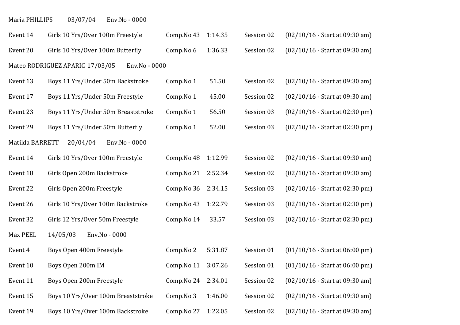| Maria PHILLIPS | 03/07/04 | Env.No - 0000 |  |
|----------------|----------|---------------|--|
|----------------|----------|---------------|--|

| Event 14        | Girls 10 Yrs/Over 100m Freestyle                 | Comp.No 43 | 1:14.35 | Session 02 | $(02/10/16 - Start at 09:30 am)$ |
|-----------------|--------------------------------------------------|------------|---------|------------|----------------------------------|
| Event 20        | Girls 10 Yrs/Over 100m Butterfly                 | Comp.No 6  | 1:36.33 | Session 02 | $(02/10/16 - Start at 09:30 am)$ |
|                 | Mateo RODRIGUEZ APARIC 17/03/05<br>Env.No - 0000 |            |         |            |                                  |
| Event 13        | Boys 11 Yrs/Under 50m Backstroke                 | Comp.No 1  | 51.50   | Session 02 | $(02/10/16 - Start at 09:30 am)$ |
| Event 17        | Boys 11 Yrs/Under 50m Freestyle                  | Comp.No 1  | 45.00   | Session 02 | $(02/10/16 - Start at 09:30 am)$ |
| Event 23        | Boys 11 Yrs/Under 50m Breaststroke               | Comp.No 1  | 56.50   | Session 03 | $(02/10/16 - Start at 02:30 pm)$ |
| Event 29        | Boys 11 Yrs/Under 50m Butterfly                  | Comp.No 1  | 52.00   | Session 03 | $(02/10/16 - Start at 02:30 pm)$ |
| Matilda BARRETT | 20/04/04<br>Env.No - 0000                        |            |         |            |                                  |
| Event 14        | Girls 10 Yrs/Over 100m Freestyle                 | Comp.No 48 | 1:12.99 | Session 02 | $(02/10/16 - Start at 09:30 am)$ |
| Event 18        | Girls Open 200m Backstroke                       | Comp.No 21 | 2:52.34 | Session 02 | $(02/10/16 - Start at 09:30 am)$ |
| Event 22        | Girls Open 200m Freestyle                        | Comp.No 36 | 2:34.15 | Session 03 | $(02/10/16 - Start at 02:30 pm)$ |
| Event 26        | Girls 10 Yrs/Over 100m Backstroke                | Comp.No 43 | 1:22.79 | Session 03 | $(02/10/16 - Start at 02:30 pm)$ |
| Event 32        | Girls 12 Yrs/Over 50m Freestyle                  | Comp.No 14 | 33.57   | Session 03 | $(02/10/16 - Start at 02:30 pm)$ |
| Max PEEL        | 14/05/03<br>Env.No - 0000                        |            |         |            |                                  |
| Event 4         | Boys Open 400m Freestyle                         | Comp.No 2  | 5:31.87 | Session 01 | $(01/10/16 - Start at 06:00 pm)$ |
| Event 10        | Boys Open 200m IM                                | Comp.No 11 | 3:07.26 | Session 01 | $(01/10/16 - Start at 06:00 pm)$ |
| Event 11        | Boys Open 200m Freestyle                         | Comp.No 24 | 2:34.01 | Session 02 | $(02/10/16 - Start at 09:30 am)$ |
| Event 15        | Boys 10 Yrs/Over 100m Breaststroke               | Comp.No 3  | 1:46.00 | Session 02 | $(02/10/16 - Start at 09:30 am)$ |
| Event 19        | Boys 10 Yrs/Over 100m Backstroke                 | Comp.No 27 | 1:22.05 | Session 02 | $(02/10/16 - Start at 09:30 am)$ |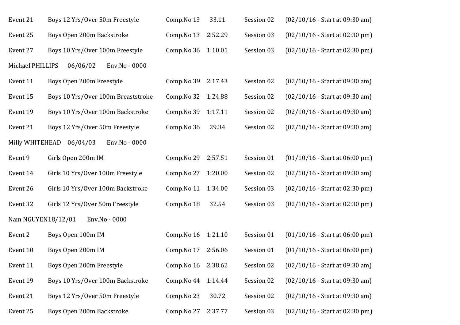| Event 21           | Boys 12 Yrs/Over 50m Freestyle     | Comp.No 13 | 33.11   | Session 02 | $(02/10/16 - Start at 09:30 am)$ |
|--------------------|------------------------------------|------------|---------|------------|----------------------------------|
| Event 25           | Boys Open 200m Backstroke          | Comp.No 13 | 2:52.29 | Session 03 | $(02/10/16 - Start at 02:30 pm)$ |
| Event 27           | Boys 10 Yrs/Over 100m Freestyle    | Comp.No 36 | 1:10.01 | Session 03 | $(02/10/16 - Start at 02:30 pm)$ |
| Michael PHILLIPS   | 06/06/02<br>Env.No - 0000          |            |         |            |                                  |
| Event 11           | Boys Open 200m Freestyle           | Comp.No 39 | 2:17.43 | Session 02 | $(02/10/16 - Start at 09:30 am)$ |
| Event 15           | Boys 10 Yrs/Over 100m Breaststroke | Comp.No 32 | 1:24.88 | Session 02 | $(02/10/16 - Start at 09:30 am)$ |
| Event 19           | Boys 10 Yrs/Over 100m Backstroke   | Comp.No 39 | 1:17.11 | Session 02 | $(02/10/16 - Start at 09:30 am)$ |
| Event 21           | Boys 12 Yrs/Over 50m Freestyle     | Comp.No 36 | 29.34   | Session 02 | $(02/10/16 - Start at 09:30 am)$ |
| Milly WHITEHEAD    | 06/04/03<br>Env.No - 0000          |            |         |            |                                  |
| Event 9            | Girls Open 200m IM                 | Comp.No 29 | 2:57.51 | Session 01 | $(01/10/16 - Start at 06:00 pm)$ |
| Event 14           | Girls 10 Yrs/Over 100m Freestyle   | Comp.No 27 | 1:20.00 | Session 02 | $(02/10/16 - Start at 09:30 am)$ |
| Event 26           | Girls 10 Yrs/Over 100m Backstroke  | Comp.No 11 | 1:34.00 | Session 03 | $(02/10/16 - Start at 02:30 pm)$ |
| Event 32           | Girls 12 Yrs/Over 50m Freestyle    | Comp.No 18 | 32.54   | Session 03 | $(02/10/16 - Start at 02:30 pm)$ |
| Nam NGUYEN18/12/01 | Env.No - 0000                      |            |         |            |                                  |
| Event 2            | Boys Open 100m IM                  | Comp.No 16 | 1:21.10 | Session 01 | $(01/10/16 - Start at 06:00 pm)$ |
| Event 10           | Boys Open 200m IM                  | Comp.No 17 | 2:56.06 | Session 01 | $(01/10/16 - Start at 06:00 pm)$ |
| Event 11           | Boys Open 200m Freestyle           | Comp.No 16 | 2:38.62 | Session 02 | $(02/10/16 - Start at 09:30 am)$ |
| Event 19           | Boys 10 Yrs/Over 100m Backstroke   | Comp.No 44 | 1:14.44 | Session 02 | $(02/10/16 - Start at 09:30 am)$ |
| Event 21           | Boys 12 Yrs/Over 50m Freestyle     | Comp.No 23 | 30.72   | Session 02 | $(02/10/16 - Start at 09:30 am)$ |
| Event 25           | Boys Open 200m Backstroke          | Comp.No 27 | 2:37.77 | Session 03 | $(02/10/16 - Start at 02:30 pm)$ |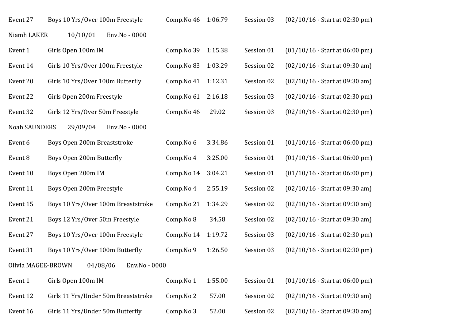| Event 27             | Boys 10 Yrs/Over 100m Freestyle     | Comp.No 46 | 1:06.79 | Session 03 | $(02/10/16 - Start at 02:30 pm)$ |
|----------------------|-------------------------------------|------------|---------|------------|----------------------------------|
| Niamh LAKER          | Env.No - 0000<br>10/10/01           |            |         |            |                                  |
| Event 1              | Girls Open 100m IM                  | Comp.No 39 | 1:15.38 | Session 01 | $(01/10/16 - Start at 06:00 pm)$ |
| Event 14             | Girls 10 Yrs/Over 100m Freestyle    | Comp.No 83 | 1:03.29 | Session 02 | $(02/10/16 - Start at 09:30 am)$ |
| Event 20             | Girls 10 Yrs/Over 100m Butterfly    | Comp.No 41 | 1:12.31 | Session 02 | $(02/10/16 - Start at 09:30 am)$ |
| Event 22             | Girls Open 200m Freestyle           | Comp.No 61 | 2:16.18 | Session 03 | $(02/10/16 - Start at 02:30 pm)$ |
| Event 32             | Girls 12 Yrs/Over 50m Freestyle     | Comp.No 46 | 29.02   | Session 03 | $(02/10/16 - Start at 02:30 pm)$ |
| <b>Noah SAUNDERS</b> | 29/09/04<br>Env.No - 0000           |            |         |            |                                  |
| Event 6              | Boys Open 200m Breaststroke         | Comp.No 6  | 3:34.86 | Session 01 | $(01/10/16 - Start at 06:00 pm)$ |
| Event 8              | Boys Open 200m Butterfly            | Comp.No 4  | 3:25.00 | Session 01 | $(01/10/16 - Start at 06.00 pm)$ |
| Event 10             | Boys Open 200m IM                   | Comp.No 14 | 3:04.21 | Session 01 | $(01/10/16 - Start at 06:00 pm)$ |
| Event 11             | Boys Open 200m Freestyle            | Comp.No 4  | 2:55.19 | Session 02 | $(02/10/16 - Start at 09:30 am)$ |
| Event 15             | Boys 10 Yrs/Over 100m Breaststroke  | Comp.No 21 | 1:34.29 | Session 02 | $(02/10/16 - Start at 09:30 am)$ |
| Event 21             | Boys 12 Yrs/Over 50m Freestyle      | Comp.No 8  | 34.58   | Session 02 | $(02/10/16 - Start at 09:30 am)$ |
| Event 27             | Boys 10 Yrs/Over 100m Freestyle     | Comp.No 14 | 1:19.72 | Session 03 | $(02/10/16 - Start at 02:30 pm)$ |
| Event 31             | Boys 10 Yrs/Over 100m Butterfly     | Comp.No 9  | 1:26.50 | Session 03 | $(02/10/16 - Start at 02:30 pm)$ |
| Olivia MAGEE-BROWN   | 04/08/06<br>Env.No - 0000           |            |         |            |                                  |
| Event 1              | Girls Open 100m IM                  | Comp.No 1  | 1:55.00 | Session 01 | $(01/10/16 - Start at 06:00 pm)$ |
| Event 12             | Girls 11 Yrs/Under 50m Breaststroke | Comp.No 2  | 57.00   | Session 02 | $(02/10/16 - Start at 09:30 am)$ |
| Event 16             | Girls 11 Yrs/Under 50m Butterfly    | Comp.No 3  | 52.00   | Session 02 | $(02/10/16 - Start at 09:30 am)$ |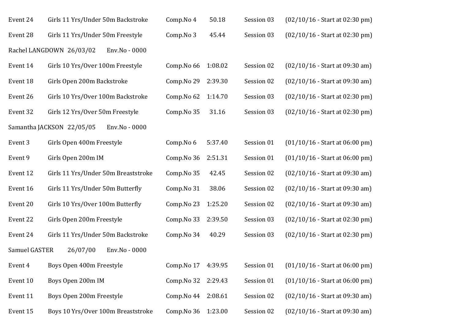| Event 24      | Girls 11 Yrs/Under 50m Backstroke          | Comp.No 4  | 50.18   | Session 03 | $(02/10/16 - Start at 02:30 pm)$ |
|---------------|--------------------------------------------|------------|---------|------------|----------------------------------|
| Event 28      | Girls 11 Yrs/Under 50m Freestyle           | Comp.No 3  | 45.44   | Session 03 | (02/10/16 - Start at 02:30 pm)   |
|               | Rachel LANGDOWN 26/03/02<br>Env.No - 0000  |            |         |            |                                  |
| Event 14      | Girls 10 Yrs/Over 100m Freestyle           | Comp.No 66 | 1:08.02 | Session 02 | $(02/10/16 - Start at 09:30 am)$ |
| Event 18      | Girls Open 200m Backstroke                 | Comp.No 29 | 2:39.30 | Session 02 | $(02/10/16 - Start at 09:30 am)$ |
| Event 26      | Girls 10 Yrs/Over 100m Backstroke          | Comp.No 62 | 1:14.70 | Session 03 | $(02/10/16 - Start at 02:30 pm)$ |
| Event 32      | Girls 12 Yrs/Over 50m Freestyle            | Comp.No 35 | 31.16   | Session 03 | $(02/10/16 - Start at 02:30 pm)$ |
|               | Samantha JACKSON 22/05/05<br>Env.No - 0000 |            |         |            |                                  |
| Event 3       | Girls Open 400m Freestyle                  | Comp.No 6  | 5:37.40 | Session 01 | $(01/10/16 - Start at 06:00 pm)$ |
| Event 9       | Girls Open 200m IM                         | Comp.No 36 | 2:51.31 | Session 01 | $(01/10/16 - Start at 06:00 pm)$ |
| Event 12      | Girls 11 Yrs/Under 50m Breaststroke        | Comp.No 35 | 42.45   | Session 02 | $(02/10/16 - Start at 09:30 am)$ |
| Event 16      | Girls 11 Yrs/Under 50m Butterfly           | Comp.No 31 | 38.06   | Session 02 | $(02/10/16 - Start at 09:30 am)$ |
| Event 20      | Girls 10 Yrs/Over 100m Butterfly           | Comp.No 23 | 1:25.20 | Session 02 | $(02/10/16 - Start at 09:30 am)$ |
| Event 22      | Girls Open 200m Freestyle                  | Comp.No 33 | 2:39.50 | Session 03 | $(02/10/16 - Start at 02:30 pm)$ |
| Event 24      | Girls 11 Yrs/Under 50m Backstroke          | Comp.No 34 | 40.29   | Session 03 | $(02/10/16 - Start at 02:30 pm)$ |
| Samuel GASTER | 26/07/00<br>Env.No - 0000                  |            |         |            |                                  |
| Event 4       | Boys Open 400m Freestyle                   | Comp.No 17 | 4:39.95 | Session 01 | $(01/10/16 - Start at 06:00 pm)$ |
| Event 10      | Boys Open 200m IM                          | Comp.No 32 | 2:29.43 | Session 01 | $(01/10/16 - Start at 06:00 pm)$ |
| Event 11      | Boys Open 200m Freestyle                   | Comp.No 44 | 2:08.61 | Session 02 | $(02/10/16 - Start at 09:30 am)$ |
| Event 15      | Boys 10 Yrs/Over 100m Breaststroke         | Comp.No 36 | 1:23.00 | Session 02 | $(02/10/16 - Start at 09:30 am)$ |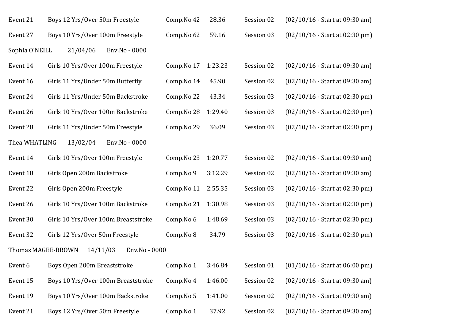| Event 21       | Boys 12 Yrs/Over 50m Freestyle                  | Comp.No 42 | 28.36   | Session 02 | $(02/10/16 - Start at 09:30 am)$ |
|----------------|-------------------------------------------------|------------|---------|------------|----------------------------------|
| Event 27       | Boys 10 Yrs/Over 100m Freestyle                 | Comp.No 62 | 59.16   | Session 03 | $(02/10/16 - Start at 02:30 pm)$ |
| Sophia O'NEILL | 21/04/06<br>Env.No - 0000                       |            |         |            |                                  |
| Event 14       | Girls 10 Yrs/Over 100m Freestyle                | Comp.No 17 | 1:23.23 | Session 02 | $(02/10/16 - Start at 09:30 am)$ |
| Event 16       | Girls 11 Yrs/Under 50m Butterfly                | Comp.No 14 | 45.90   | Session 02 | $(02/10/16 - Start at 09:30 am)$ |
| Event 24       | Girls 11 Yrs/Under 50m Backstroke               | Comp.No 22 | 43.34   | Session 03 | $(02/10/16 - Start at 02:30 pm)$ |
| Event 26       | Girls 10 Yrs/Over 100m Backstroke               | Comp.No 28 | 1:29.40 | Session 03 | $(02/10/16 - Start at 02:30 pm)$ |
| Event 28       | Girls 11 Yrs/Under 50m Freestyle                | Comp.No 29 | 36.09   | Session 03 | $(02/10/16 - Start at 02:30 pm)$ |
| Thea WHATLING  | 13/02/04<br>Env.No - 0000                       |            |         |            |                                  |
| Event 14       | Girls 10 Yrs/Over 100m Freestyle                | Comp.No 23 | 1:20.77 | Session 02 | $(02/10/16 - Start at 09:30 am)$ |
| Event 18       | Girls Open 200m Backstroke                      | Comp.No 9  | 3:12.29 | Session 02 | $(02/10/16 - Start at 09:30 am)$ |
| Event 22       | Girls Open 200m Freestyle                       | Comp.No 11 | 2:55.35 | Session 03 | $(02/10/16 - Start at 02:30 pm)$ |
| Event 26       | Girls 10 Yrs/Over 100m Backstroke               | Comp.No 21 | 1:30.98 | Session 03 | $(02/10/16 - Start at 02:30 pm)$ |
| Event 30       | Girls 10 Yrs/Over 100m Breaststroke             | Comp.No 6  | 1:48.69 | Session 03 | $(02/10/16 - Start at 02:30 pm)$ |
| Event 32       | Girls 12 Yrs/Over 50m Freestyle                 | Comp.No 8  | 34.79   | Session 03 | (02/10/16 - Start at 02:30 pm)   |
|                | Thomas MAGEE-BROWN<br>14/11/03<br>Env.No - 0000 |            |         |            |                                  |
| Event 6        | Boys Open 200m Breaststroke                     | Comp.No 1  | 3:46.84 | Session 01 | $(01/10/16 - Start at 06:00 pm)$ |
| Event 15       | Boys 10 Yrs/Over 100m Breaststroke              | Comp.No 4  | 1:46.00 | Session 02 | $(02/10/16 - Start at 09:30 am)$ |
| Event 19       | Boys 10 Yrs/Over 100m Backstroke                | Comp.No 5  | 1:41.00 | Session 02 | $(02/10/16 - Start at 09:30 am)$ |
| Event 21       | Boys 12 Yrs/Over 50m Freestyle                  | Comp.No 1  | 37.92   | Session 02 | $(02/10/16 - Start at 09:30 am)$ |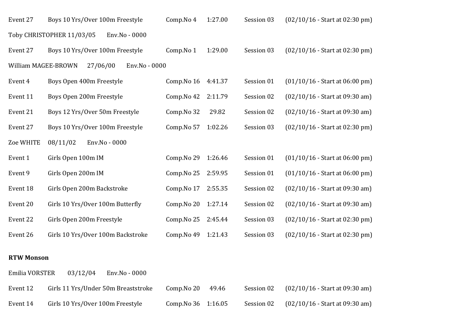| Event 27            | Boys 10 Yrs/Over 100m Freestyle            | Comp.No 4  | 1:27.00 | Session 03 | $(02/10/16 - Start at 02:30 pm)$ |
|---------------------|--------------------------------------------|------------|---------|------------|----------------------------------|
|                     | Toby CHRISTOPHER 11/03/05<br>Env.No - 0000 |            |         |            |                                  |
| Event 27            | Boys 10 Yrs/Over 100m Freestyle            | Comp.No 1  | 1:29.00 | Session 03 | $(02/10/16 - Start at 02:30 pm)$ |
| William MAGEE-BROWN | 27/06/00<br>Env.No - 0000                  |            |         |            |                                  |
| Event 4             | Boys Open 400m Freestyle                   | Comp.No 16 | 4:41.37 | Session 01 | $(01/10/16 - Start at 06:00 pm)$ |
| Event 11            | Boys Open 200m Freestyle                   | Comp.No 42 | 2:11.79 | Session 02 | $(02/10/16 - Start at 09:30 am)$ |
| Event 21            | Boys 12 Yrs/Over 50m Freestyle             | Comp.No 32 | 29.82   | Session 02 | $(02/10/16 - Start at 09:30 am)$ |
| Event 27            | Boys 10 Yrs/Over 100m Freestyle            | Comp.No 57 | 1:02.26 | Session 03 | $(02/10/16 - Start at 02:30 pm)$ |
| Zoe WHITE           | 08/11/02<br>Env.No - 0000                  |            |         |            |                                  |
| Event 1             | Girls Open 100m IM                         | Comp.No 29 | 1:26.46 | Session 01 | $(01/10/16 - Start at 06:00 pm)$ |
| Event 9             | Girls Open 200m IM                         | Comp.No 25 | 2:59.95 | Session 01 | $(01/10/16 - Start at 06:00 pm)$ |
| Event 18            | Girls Open 200m Backstroke                 | Comp.No 17 | 2:55.35 | Session 02 | $(02/10/16 - Start at 09:30 am)$ |
| Event 20            | Girls 10 Yrs/Over 100m Butterfly           | Comp.No 20 | 1:27.14 | Session 02 | $(02/10/16 - Start at 09:30 am)$ |
| Event 22            | Girls Open 200m Freestyle                  | Comp.No 25 | 2:45.44 | Session 03 | $(02/10/16 - Start at 02:30 pm)$ |
| Event 26            | Girls 10 Yrs/Over 100m Backstroke          | Comp.No 49 | 1:21.43 | Session 03 | $(02/10/16 - Start at 02:30 pm)$ |

#### **RTW Monson**

Emilia VORSTER 03/12/04 Env.No - 0000 Event 12 Girls 11 Yrs/Under 50m Breaststroke Comp.No 20 49.46 Session 02 (02/10/16 - Start at 09:30 am) Event 14 Girls 10 Yrs/Over 100m Freestyle Comp.No 36 1:16.05 Session 02 (02/10/16 - Start at 09:30 am)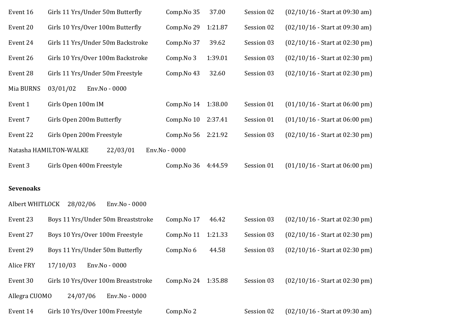| Event 16         | Girls 11 Yrs/Under 50m Butterfly    | Comp.No 35          | 37.00   | Session 02 | $(02/10/16 - Start at 09:30 am)$ |
|------------------|-------------------------------------|---------------------|---------|------------|----------------------------------|
| Event 20         | Girls 10 Yrs/Over 100m Butterfly    | Comp.No 29          | 1:21.87 | Session 02 | $(02/10/16 - Start at 09:30 am)$ |
| Event 24         | Girls 11 Yrs/Under 50m Backstroke   | Comp.No 37          | 39.62   | Session 03 | $(02/10/16 - Start at 02:30 pm)$ |
| Event 26         | Girls 10 Yrs/Over 100m Backstroke   | Comp.No 3           | 1:39.01 | Session 03 | $(02/10/16 - Start at 02:30 pm)$ |
| Event 28         | Girls 11 Yrs/Under 50m Freestyle    | Comp.No 43          | 32.60   | Session 03 | $(02/10/16 - Start at 02:30 pm)$ |
| Mia BURNS        | Env.No - 0000<br>03/01/02           |                     |         |            |                                  |
| Event 1          | Girls Open 100m IM                  | Comp.No 14          | 1:38.00 | Session 01 | $(01/10/16 - Start at 06:00 pm)$ |
| Event 7          | Girls Open 200m Butterfly           | Comp.No 10          | 2:37.41 | Session 01 | $(01/10/16 - Start at 06:00 pm)$ |
| Event 22         | Girls Open 200m Freestyle           | Comp.No 56          | 2:21.92 | Session 03 | $(02/10/16 - Start at 02:30 pm)$ |
|                  | Natasha HAMILTON-WALKE<br>22/03/01  | Env.No - 0000       |         |            |                                  |
| Event 3          | Girls Open 400m Freestyle           | Comp.No 36          | 4:44.59 | Session 01 | $(01/10/16 - Start at 06:00 pm)$ |
| <b>Sevenoaks</b> |                                     |                     |         |            |                                  |
| Albert WHITLOCK  | 28/02/06<br>Env.No - 0000           |                     |         |            |                                  |
| Event 23         | Boys 11 Yrs/Under 50m Breaststroke  | Comp.No 17          | 46.42   | Session 03 | $(02/10/16 - Start at 02:30 pm)$ |
| Event 27         | Boys 10 Yrs/Over 100m Freestyle     | Comp.No 11          | 1:21.33 | Session 03 | $(02/10/16 - Start at 02:30 pm)$ |
| Event 29         | Boys 11 Yrs/Under 50m Butterfly     | Comp.No 6           | 44.58   | Session 03 | $(02/10/16 - Start at 02:30 pm)$ |
| Alice FRY        | 17/10/03<br>Env.No - 0000           |                     |         |            |                                  |
| Event 30         | Girls 10 Yrs/Over 100m Breaststroke | Comp. No 24 1:35.88 |         | Session 03 | $(02/10/16 - Start at 02:30 pm)$ |
| Allegra CUOMO    | 24/07/06<br>Env.No - 0000           |                     |         |            |                                  |
| Event 14         | Girls 10 Yrs/Over 100m Freestyle    | Comp.No 2           |         | Session 02 | $(02/10/16 - Start at 09:30 am)$ |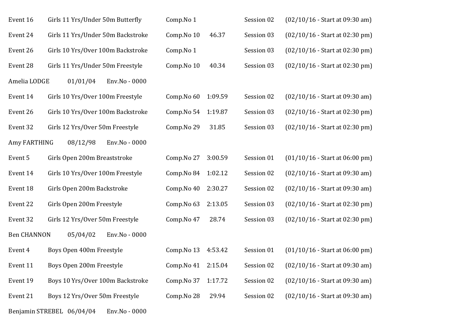| Event 16           | Girls 11 Yrs/Under 50m Butterfly           | Comp.No 1  |         | Session 02 | $(02/10/16 - Start at 09:30 am)$ |
|--------------------|--------------------------------------------|------------|---------|------------|----------------------------------|
| Event 24           | Girls 11 Yrs/Under 50m Backstroke          | Comp.No 10 | 46.37   | Session 03 | $(02/10/16 - Start at 02:30 pm)$ |
| Event 26           | Girls 10 Yrs/Over 100m Backstroke          | Comp.No 1  |         | Session 03 | $(02/10/16 - Start at 02:30 pm)$ |
| Event 28           | Girls 11 Yrs/Under 50m Freestyle           | Comp.No 10 | 40.34   | Session 03 | $(02/10/16 - Start at 02:30 pm)$ |
| Amelia LODGE       | 01/01/04<br>Env.No - 0000                  |            |         |            |                                  |
| Event 14           | Girls 10 Yrs/Over 100m Freestyle           | Comp.No 60 | 1:09.59 | Session 02 | $(02/10/16 - Start at 09:30 am)$ |
| Event 26           | Girls 10 Yrs/Over 100m Backstroke          | Comp.No 54 | 1:19.87 | Session 03 | $(02/10/16 - Start at 02:30 pm)$ |
| Event 32           | Girls 12 Yrs/Over 50m Freestyle            | Comp.No 29 | 31.85   | Session 03 | $(02/10/16 - Start at 02:30 pm)$ |
| Amy FARTHING       | 08/12/98<br>Env.No - 0000                  |            |         |            |                                  |
| Event 5            | Girls Open 200m Breaststroke               | Comp.No 27 | 3:00.59 | Session 01 | $(01/10/16 - Start at 06:00 pm)$ |
| Event 14           | Girls 10 Yrs/Over 100m Freestyle           | Comp.No 84 | 1:02.12 | Session 02 | $(02/10/16 - Start at 09:30 am)$ |
| Event 18           | Girls Open 200m Backstroke                 | Comp.No 40 | 2:30.27 | Session 02 | $(02/10/16 - Start at 09:30 am)$ |
| Event 22           | Girls Open 200m Freestyle                  | Comp.No 63 | 2:13.05 | Session 03 | $(02/10/16 - Start at 02:30 pm)$ |
| Event 32           | Girls 12 Yrs/Over 50m Freestyle            | Comp.No 47 | 28.74   | Session 03 | $(02/10/16 - Start at 02:30 pm)$ |
| <b>Ben CHANNON</b> | 05/04/02<br>Env.No - 0000                  |            |         |            |                                  |
| Event 4            | Boys Open 400m Freestyle                   | Comp.No 13 | 4:53.42 | Session 01 | $(01/10/16 - Start at 06.00 pm)$ |
| Event 11           | Boys Open 200m Freestyle                   | Comp.No 41 | 2:15.04 | Session 02 | $(02/10/16 - Start at 09:30 am)$ |
| Event 19           | Boys 10 Yrs/Over 100m Backstroke           | Comp.No 37 | 1:17.72 | Session 02 | $(02/10/16 - Start at 09:30 am)$ |
| Event 21           | Boys 12 Yrs/Over 50m Freestyle             | Comp.No 28 | 29.94   | Session 02 | $(02/10/16 - Start at 09:30 am)$ |
|                    | Benjamin STREBEL 06/04/04<br>Env.No - 0000 |            |         |            |                                  |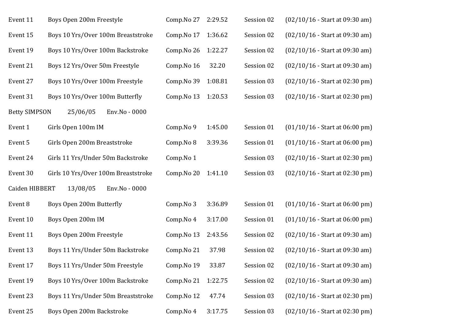| Event 11             | Boys Open 200m Freestyle            | Comp.No 27 | 2:29.52 | Session 02 | $(02/10/16 - Start at 09:30 am)$ |
|----------------------|-------------------------------------|------------|---------|------------|----------------------------------|
| Event 15             | Boys 10 Yrs/Over 100m Breaststroke  | Comp.No 17 | 1:36.62 | Session 02 | $(02/10/16 - Start at 09:30 am)$ |
| Event 19             | Boys 10 Yrs/Over 100m Backstroke    | Comp.No 26 | 1:22.27 | Session 02 | $(02/10/16 - Start at 09:30 am)$ |
| Event 21             | Boys 12 Yrs/Over 50m Freestyle      | Comp.No 16 | 32.20   | Session 02 | $(02/10/16 - Start at 09:30 am)$ |
| Event 27             | Boys 10 Yrs/Over 100m Freestyle     | Comp.No 39 | 1:08.81 | Session 03 | $(02/10/16 - Start at 02:30 pm)$ |
| Event 31             | Boys 10 Yrs/Over 100m Butterfly     | Comp.No 13 | 1:20.53 | Session 03 | $(02/10/16 - Start at 02:30 pm)$ |
| <b>Betty SIMPSON</b> | 25/06/05<br>Env.No - 0000           |            |         |            |                                  |
| Event 1              | Girls Open 100m IM                  | Comp.No 9  | 1:45.00 | Session 01 | $(01/10/16 - Start at 06:00 pm)$ |
| Event 5              | Girls Open 200m Breaststroke        | Comp.No 8  | 3:39.36 | Session 01 | $(01/10/16 - Start at 06:00 pm)$ |
| Event 24             | Girls 11 Yrs/Under 50m Backstroke   | Comp.No 1  |         | Session 03 | $(02/10/16 - Start at 02:30 pm)$ |
| Event 30             | Girls 10 Yrs/Over 100m Breaststroke | Comp.No 20 | 1:41.10 | Session 03 | $(02/10/16 - Start at 02:30 pm)$ |
| Caiden HIBBERT       | 13/08/05<br>Env.No - 0000           |            |         |            |                                  |
| Event 8              | Boys Open 200m Butterfly            | Comp.No 3  | 3:36.89 | Session 01 | $(01/10/16 - Start at 06:00 pm)$ |
| Event 10             | Boys Open 200m IM                   | Comp.No 4  | 3:17.00 | Session 01 | $(01/10/16 - Start at 06:00 pm)$ |
| Event 11             | Boys Open 200m Freestyle            | Comp.No 13 | 2:43.56 | Session 02 | $(02/10/16 - Start at 09:30 am)$ |
| Event 13             | Boys 11 Yrs/Under 50m Backstroke    | Comp.No 21 | 37.98   | Session 02 | $(02/10/16 - Start at 09:30 am)$ |
| Event 17             | Boys 11 Yrs/Under 50m Freestyle     | Comp.No 19 | 33.87   | Session 02 | $(02/10/16 - Start at 09:30 am)$ |
| Event 19             | Boys 10 Yrs/Over 100m Backstroke    | Comp.No 21 | 1:22.75 | Session 02 | $(02/10/16 - Start at 09:30 am)$ |
| Event 23             | Boys 11 Yrs/Under 50m Breaststroke  | Comp.No 12 | 47.74   | Session 03 | $(02/10/16 - Start at 02:30 pm)$ |
| Event 25             | Boys Open 200m Backstroke           | Comp.No 4  | 3:17.75 | Session 03 | $(02/10/16 - Start at 02:30 pm)$ |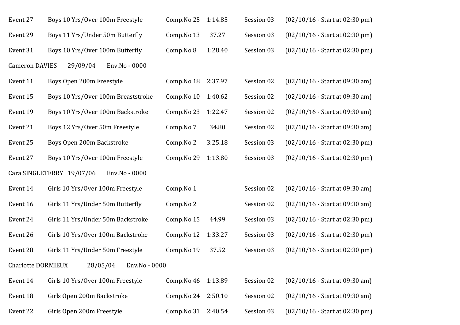| Event 27                  | Boys 10 Yrs/Over 100m Freestyle            | Comp.No 25 | 1:14.85 | Session 03 | $(02/10/16 - Start at 02:30 pm)$ |
|---------------------------|--------------------------------------------|------------|---------|------------|----------------------------------|
| Event 29                  | Boys 11 Yrs/Under 50m Butterfly            | Comp.No 13 | 37.27   | Session 03 | $(02/10/16 - Start at 02:30 pm)$ |
| Event 31                  | Boys 10 Yrs/Over 100m Butterfly            | Comp.No 8  | 1:28.40 | Session 03 | $(02/10/16 - Start at 02:30 pm)$ |
| <b>Cameron DAVIES</b>     | 29/09/04<br>Env.No - 0000                  |            |         |            |                                  |
| Event 11                  | Boys Open 200m Freestyle                   | Comp.No 18 | 2:37.97 | Session 02 | $(02/10/16 - Start at 09:30 am)$ |
| Event 15                  | Boys 10 Yrs/Over 100m Breaststroke         | Comp.No 10 | 1:40.62 | Session 02 | $(02/10/16 - Start at 09:30 am)$ |
| Event 19                  | Boys 10 Yrs/Over 100m Backstroke           | Comp.No 23 | 1:22.47 | Session 02 | $(02/10/16 - Start at 09:30 am)$ |
| Event 21                  | Boys 12 Yrs/Over 50m Freestyle             | Comp.No 7  | 34.80   | Session 02 | $(02/10/16 - Start at 09:30 am)$ |
| Event 25                  | Boys Open 200m Backstroke                  | Comp.No 2  | 3:25.18 | Session 03 | $(02/10/16 - Start at 02:30 pm)$ |
| Event 27                  | Boys 10 Yrs/Over 100m Freestyle            | Comp.No 29 | 1:13.80 | Session 03 | (02/10/16 - Start at 02:30 pm)   |
|                           | Cara SINGLETERRY 19/07/06<br>Env.No - 0000 |            |         |            |                                  |
| Event 14                  | Girls 10 Yrs/Over 100m Freestyle           | Comp.No 1  |         | Session 02 | $(02/10/16 - Start at 09:30 am)$ |
| Event 16                  | Girls 11 Yrs/Under 50m Butterfly           | Comp.No 2  |         | Session 02 | $(02/10/16 - Start at 09:30 am)$ |
| Event 24                  | Girls 11 Yrs/Under 50m Backstroke          | Comp.No 15 | 44.99   | Session 03 | $(02/10/16 - Start at 02:30 pm)$ |
| Event 26                  | Girls 10 Yrs/Over 100m Backstroke          | Comp.No 12 | 1:33.27 | Session 03 | $(02/10/16 - Start at 02:30 pm)$ |
| Event 28                  | Girls 11 Yrs/Under 50m Freestyle           | Comp.No 19 | 37.52   | Session 03 | $(02/10/16 - Start at 02:30 pm)$ |
| <b>Charlotte DORMIEUX</b> | 28/05/04<br>Env.No - 0000                  |            |         |            |                                  |
| Event 14                  | Girls 10 Yrs/Over 100m Freestyle           | Comp.No 46 | 1:13.89 | Session 02 | (02/10/16 - Start at 09:30 am)   |
| Event 18                  | Girls Open 200m Backstroke                 | Comp.No 24 | 2:50.10 | Session 02 | $(02/10/16 - Start at 09:30 am)$ |
| Event 22                  | Girls Open 200m Freestyle                  | Comp.No 31 | 2:40.54 | Session 03 | $(02/10/16 - Start at 02:30 pm)$ |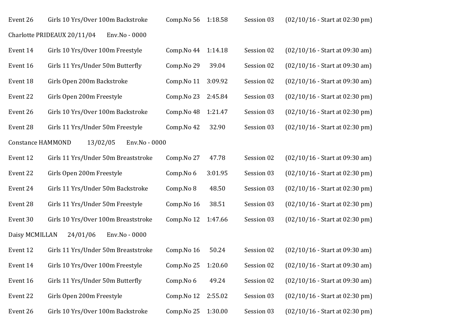| Event 26                 | Girls 10 Yrs/Over 100m Backstroke            | Comp.No 56 | 1:18.58 | Session 03 | $(02/10/16 - Start at 02:30 pm)$ |
|--------------------------|----------------------------------------------|------------|---------|------------|----------------------------------|
|                          | Charlotte PRIDEAUX 20/11/04<br>Env.No - 0000 |            |         |            |                                  |
| Event 14                 | Girls 10 Yrs/Over 100m Freestyle             | Comp.No 44 | 1:14.18 | Session 02 | $(02/10/16 - Start at 09:30 am)$ |
| Event 16                 | Girls 11 Yrs/Under 50m Butterfly             | Comp.No 29 | 39.04   | Session 02 | $(02/10/16 - Start at 09:30 am)$ |
| Event 18                 | Girls Open 200m Backstroke                   | Comp.No 11 | 3:09.92 | Session 02 | $(02/10/16 - Start at 09:30 am)$ |
| Event 22                 | Girls Open 200m Freestyle                    | Comp.No 23 | 2:45.84 | Session 03 | $(02/10/16 - Start at 02:30 pm)$ |
| Event 26                 | Girls 10 Yrs/Over 100m Backstroke            | Comp.No 48 | 1:21.47 | Session 03 | $(02/10/16 - Start at 02:30 pm)$ |
| Event 28                 | Girls 11 Yrs/Under 50m Freestyle             | Comp.No 42 | 32.90   | Session 03 | $(02/10/16 - Start at 02:30 pm)$ |
| <b>Constance HAMMOND</b> | 13/02/05<br>Env.No - 0000                    |            |         |            |                                  |
| Event 12                 | Girls 11 Yrs/Under 50m Breaststroke          | Comp.No 27 | 47.78   | Session 02 | $(02/10/16 - Start at 09:30 am)$ |
| Event 22                 | Girls Open 200m Freestyle                    | Comp.No 6  | 3:01.95 | Session 03 | $(02/10/16 - Start at 02:30 pm)$ |
| Event 24                 | Girls 11 Yrs/Under 50m Backstroke            | Comp.No 8  | 48.50   | Session 03 | $(02/10/16 - Start at 02:30 pm)$ |
| Event 28                 | Girls 11 Yrs/Under 50m Freestyle             | Comp.No 16 | 38.51   | Session 03 | $(02/10/16 - Start at 02:30 pm)$ |
| Event 30                 | Girls 10 Yrs/Over 100m Breaststroke          | Comp.No 12 | 1:47.66 | Session 03 | $(02/10/16 - Start at 02:30 pm)$ |
| Daisy MCMILLAN           | 24/01/06<br>Env.No - 0000                    |            |         |            |                                  |
| Event 12                 | Girls 11 Yrs/Under 50m Breaststroke          | Comp.No 16 | 50.24   | Session 02 | $(02/10/16 - Start at 09:30 am)$ |
| Event 14                 | Girls 10 Yrs/Over 100m Freestyle             | Comp.No 25 | 1:20.60 | Session 02 | $(02/10/16 - Start at 09:30 am)$ |
| Event 16                 | Girls 11 Yrs/Under 50m Butterfly             | Comp.No 6  | 49.24   | Session 02 | $(02/10/16 - Start at 09:30 am)$ |
| Event 22                 | Girls Open 200m Freestyle                    | Comp.No 12 | 2:55.02 | Session 03 | $(02/10/16 - Start at 02:30 pm)$ |
| Event 26                 | Girls 10 Yrs/Over 100m Backstroke            | Comp.No 25 | 1:30.00 | Session 03 | $(02/10/16 - Start at 02:30 pm)$ |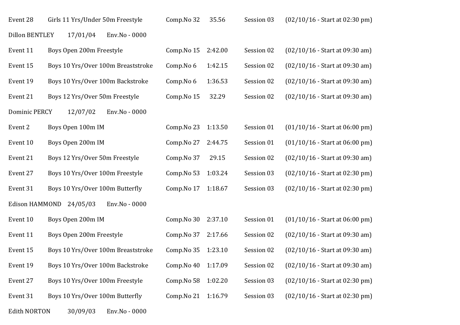| Event 28              | Girls 11 Yrs/Under 50m Freestyle   | Comp.No 32 | 35.56   | Session 03 | $(02/10/16 - Start at 02:30 pm)$ |
|-----------------------|------------------------------------|------------|---------|------------|----------------------------------|
| <b>Dillon BENTLEY</b> | 17/01/04<br>Env.No - 0000          |            |         |            |                                  |
| Event 11              | Boys Open 200m Freestyle           | Comp.No 15 | 2:42.00 | Session 02 | $(02/10/16 - Start at 09:30 am)$ |
| Event 15              | Boys 10 Yrs/Over 100m Breaststroke | Comp.No 6  | 1:42.15 | Session 02 | $(02/10/16 - Start at 09:30 am)$ |
| Event 19              | Boys 10 Yrs/Over 100m Backstroke   | Comp.No 6  | 1:36.53 | Session 02 | $(02/10/16 - Start at 09:30 am)$ |
| Event 21              | Boys 12 Yrs/Over 50m Freestyle     | Comp.No 15 | 32.29   | Session 02 | $(02/10/16 - Start at 09:30 am)$ |
| <b>Dominic PERCY</b>  | 12/07/02<br>Env.No - 0000          |            |         |            |                                  |
| Event 2               | Boys Open 100m IM                  | Comp.No 23 | 1:13.50 | Session 01 | $(01/10/16 - Start at 06:00 pm)$ |
| Event 10              | Boys Open 200m IM                  | Comp.No 27 | 2:44.75 | Session 01 | $(01/10/16 - Start at 06:00 pm)$ |
| Event 21              | Boys 12 Yrs/Over 50m Freestyle     | Comp.No 37 | 29.15   | Session 02 | $(02/10/16 - Start at 09:30 am)$ |
| Event 27              | Boys 10 Yrs/Over 100m Freestyle    | Comp.No 53 | 1:03.24 | Session 03 | $(02/10/16 - Start at 02:30 pm)$ |
| Event 31              | Boys 10 Yrs/Over 100m Butterfly    | Comp.No 17 | 1:18.67 | Session 03 | $(02/10/16 - Start at 02:30 pm)$ |
| Edison HAMMOND        | 24/05/03<br>Env.No - 0000          |            |         |            |                                  |
| Event 10              | Boys Open 200m IM                  | Comp.No 30 | 2:37.10 | Session 01 | $(01/10/16 - Start at 06:00 pm)$ |
| Event 11              | Boys Open 200m Freestyle           | Comp.No 37 | 2:17.66 | Session 02 | $(02/10/16 - Start at 09:30 am)$ |
| Event 15              | Boys 10 Yrs/Over 100m Breaststroke | Comp.No 35 | 1:23.10 | Session 02 | $(02/10/16 - Start at 09:30 am)$ |
| Event 19              | Boys 10 Yrs/Over 100m Backstroke   | Comp.No 40 | 1:17.09 | Session 02 | $(02/10/16 - Start at 09:30 am)$ |
| Event 27              | Boys 10 Yrs/Over 100m Freestyle    | Comp.No 58 | 1:02.20 | Session 03 | $(02/10/16 - Start at 02:30 pm)$ |
| Event 31              | Boys 10 Yrs/Over 100m Butterfly    | Comp.No 21 | 1:16.79 | Session 03 | $(02/10/16 - Start at 02:30 pm)$ |
| <b>Edith NORTON</b>   | 30/09/03<br>Env.No - 0000          |            |         |            |                                  |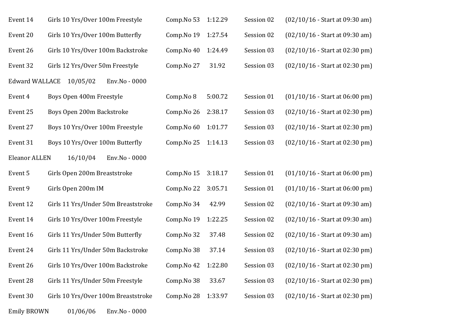| Event 14              | Girls 10 Yrs/Over 100m Freestyle    | Comp.No 53 | 1:12.29 | Session 02 | $(02/10/16 - Start at 09:30 am)$ |
|-----------------------|-------------------------------------|------------|---------|------------|----------------------------------|
| Event 20              | Girls 10 Yrs/Over 100m Butterfly    | Comp.No 19 | 1:27.54 | Session 02 | $(02/10/16 - Start at 09:30 am)$ |
| Event 26              | Girls 10 Yrs/Over 100m Backstroke   | Comp.No 40 | 1:24.49 | Session 03 | $(02/10/16 - Start at 02:30 pm)$ |
| Event 32              | Girls 12 Yrs/Over 50m Freestyle     | Comp.No 27 | 31.92   | Session 03 | $(02/10/16 - Start at 02:30 pm)$ |
| <b>Edward WALLACE</b> | 10/05/02<br>Env.No - 0000           |            |         |            |                                  |
| Event 4               | Boys Open 400m Freestyle            | Comp.No 8  | 5:00.72 | Session 01 | $(01/10/16 - Start at 06:00 pm)$ |
| Event 25              | Boys Open 200m Backstroke           | Comp.No 26 | 2:38.17 | Session 03 | $(02/10/16 - Start at 02:30 pm)$ |
| Event 27              | Boys 10 Yrs/Over 100m Freestyle     | Comp.No 60 | 1:01.77 | Session 03 | (02/10/16 - Start at 02:30 pm)   |
| Event 31              | Boys 10 Yrs/Over 100m Butterfly     | Comp.No 25 | 1:14.13 | Session 03 | $(02/10/16 - Start at 02:30 pm)$ |
| <b>Eleanor ALLEN</b>  | 16/10/04<br>Env.No - 0000           |            |         |            |                                  |
| Event 5               | Girls Open 200m Breaststroke        | Comp.No 15 | 3:18.17 | Session 01 | $(01/10/16 - Start at 06:00 pm)$ |
| Event 9               | Girls Open 200m IM                  | Comp.No 22 | 3:05.71 | Session 01 | $(01/10/16 - Start at 06:00 pm)$ |
| Event 12              | Girls 11 Yrs/Under 50m Breaststroke | Comp.No 34 | 42.99   | Session 02 | $(02/10/16 - Start at 09:30 am)$ |
| Event 14              | Girls 10 Yrs/Over 100m Freestyle    | Comp.No 19 | 1:22.25 | Session 02 | $(02/10/16 - Start at 09:30 am)$ |
| Event 16              | Girls 11 Yrs/Under 50m Butterfly    | Comp.No 32 | 37.48   | Session 02 | $(02/10/16 - Start at 09:30 am)$ |
| Event 24              | Girls 11 Yrs/Under 50m Backstroke   | Comp.No 38 | 37.14   | Session 03 | $(02/10/16 - Start at 02:30 pm)$ |
| Event 26              | Girls 10 Yrs/Over 100m Backstroke   | Comp.No 42 | 1:22.80 | Session 03 | $(02/10/16 - Start at 02:30 pm)$ |
| Event 28              | Girls 11 Yrs/Under 50m Freestyle    | Comp.No 38 | 33.67   | Session 03 | $(02/10/16 - Start at 02:30 pm)$ |
| Event 30              | Girls 10 Yrs/Over 100m Breaststroke | Comp.No 28 | 1:33.97 | Session 03 | $(02/10/16 - Start at 02:30 pm)$ |
| <b>Emily BROWN</b>    | 01/06/06<br>Env.No - 0000           |            |         |            |                                  |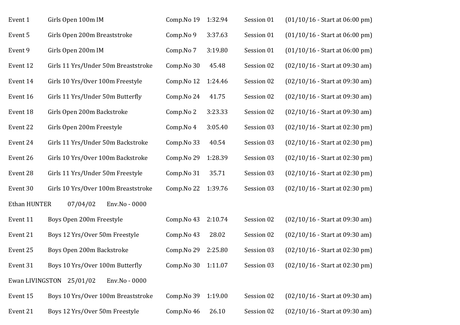| Event 1      | Girls Open 100m IM                        | Comp.No 19          | 1:32.94 | Session 01 | $(01/10/16 - Start at 06:00 pm)$ |
|--------------|-------------------------------------------|---------------------|---------|------------|----------------------------------|
| Event 5      | Girls Open 200m Breaststroke              | Comp.No 9           | 3:37.63 | Session 01 | $(01/10/16 - Start at 06:00 pm)$ |
| Event 9      | Girls Open 200m IM                        | Comp.No 7           | 3:19.80 | Session 01 | $(01/10/16 - Start at 06:00 pm)$ |
| Event 12     | Girls 11 Yrs/Under 50m Breaststroke       | Comp.No 30          | 45.48   | Session 02 | $(02/10/16 - Start at 09:30 am)$ |
| Event 14     | Girls 10 Yrs/Over 100m Freestyle          | Comp.No 12          | 1:24.46 | Session 02 | $(02/10/16 - Start at 09:30 am)$ |
| Event 16     | Girls 11 Yrs/Under 50m Butterfly          | Comp.No 24          | 41.75   | Session 02 | $(02/10/16 - Start at 09:30 am)$ |
| Event 18     | Girls Open 200m Backstroke                | Comp.No 2           | 3:23.33 | Session 02 | $(02/10/16 - Start at 09:30 am)$ |
| Event 22     | Girls Open 200m Freestyle                 | Comp.No 4           | 3:05.40 | Session 03 | $(02/10/16 - Start at 02:30 pm)$ |
| Event 24     | Girls 11 Yrs/Under 50m Backstroke         | Comp.No 33          | 40.54   | Session 03 | $(02/10/16 - Start at 02:30 pm)$ |
| Event 26     | Girls 10 Yrs/Over 100m Backstroke         | Comp.No 29          | 1:28.39 | Session 03 | $(02/10/16 - Start at 02:30 pm)$ |
| Event 28     | Girls 11 Yrs/Under 50m Freestyle          | Comp.No 31          | 35.71   | Session 03 | $(02/10/16 - Start at 02:30 pm)$ |
| Event 30     | Girls 10 Yrs/Over 100m Breaststroke       | Comp.No 22          | 1:39.76 | Session 03 | $(02/10/16 - Start at 02:30 pm)$ |
| Ethan HUNTER | 07/04/02<br>Env.No - 0000                 |                     |         |            |                                  |
| Event 11     | Boys Open 200m Freestyle                  | Comp.No 43          | 2:10.74 | Session 02 | $(02/10/16 - Start at 09:30 am)$ |
| Event 21     | Boys 12 Yrs/Over 50m Freestyle            | Comp.No 43          | 28.02   | Session 02 | $(02/10/16 - Start at 09:30 am)$ |
| Event 25     | Boys Open 200m Backstroke                 | Comp.No 29          | 2:25.80 | Session 03 | $(02/10/16 - Start at 02:30 pm)$ |
| Event 31     | Boys 10 Yrs/Over 100m Butterfly           | Comp. No 30 1:11.07 |         | Session 03 | $(02/10/16 - Start at 02:30 pm)$ |
|              | Ewan LIVINGSTON 25/01/02<br>Env.No - 0000 |                     |         |            |                                  |
| Event 15     | Boys 10 Yrs/Over 100m Breaststroke        | Comp.No 39          | 1:19.00 | Session 02 | $(02/10/16 - Start at 09:30 am)$ |
| Event 21     | Boys 12 Yrs/Over 50m Freestyle            | Comp.No 46          | 26.10   | Session 02 | $(02/10/16 - Start at 09:30 am)$ |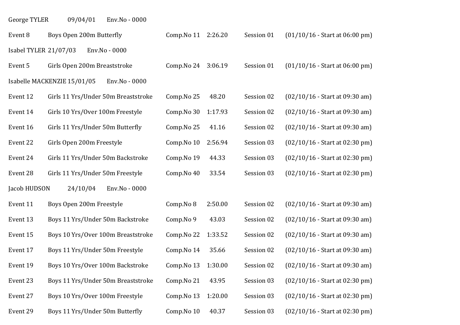| 09/04/01<br>George TYLER | Env.No - 0000 |
|--------------------------|---------------|
|--------------------------|---------------|

| Event 8               | Boys Open 200m Butterfly                     | Comp. No 11 2:26.20 |         | Session 01 | $(01/10/16 - Start at 06:00 pm)$ |
|-----------------------|----------------------------------------------|---------------------|---------|------------|----------------------------------|
| Isabel TYLER 21/07/03 | Env.No - 0000                                |                     |         |            |                                  |
| Event 5               | Girls Open 200m Breaststroke                 | Comp.No 24          | 3:06.19 | Session 01 | $(01/10/16 - Start at 06:00 pm)$ |
|                       | Isabelle MACKENZIE 15/01/05<br>Env.No - 0000 |                     |         |            |                                  |
| Event 12              | Girls 11 Yrs/Under 50m Breaststroke          | Comp.No 25          | 48.20   | Session 02 | (02/10/16 - Start at 09:30 am)   |
| Event 14              | Girls 10 Yrs/Over 100m Freestyle             | Comp.No 30          | 1:17.93 | Session 02 | $(02/10/16 - Start at 09:30 am)$ |
| Event 16              | Girls 11 Yrs/Under 50m Butterfly             | Comp.No 25          | 41.16   | Session 02 | $(02/10/16 - Start at 09:30 am)$ |
| Event 22              | Girls Open 200m Freestyle                    | Comp.No 10          | 2:56.94 | Session 03 | $(02/10/16 - Start at 02:30 pm)$ |
| Event 24              | Girls 11 Yrs/Under 50m Backstroke            | Comp.No 19          | 44.33   | Session 03 | $(02/10/16 - Start at 02:30 pm)$ |
| Event 28              | Girls 11 Yrs/Under 50m Freestyle             | Comp.No 40          | 33.54   | Session 03 | $(02/10/16 - Start at 02:30 pm)$ |
| Jacob HUDSON          | 24/10/04<br>Env.No - 0000                    |                     |         |            |                                  |
| Event 11              | Boys Open 200m Freestyle                     | Comp.No 8           | 2:50.00 | Session 02 | $(02/10/16 - Start at 09:30 am)$ |
| Event 13              | Boys 11 Yrs/Under 50m Backstroke             | Comp.No 9           | 43.03   | Session 02 | $(02/10/16 - Start at 09:30 am)$ |
| Event 15              | Boys 10 Yrs/Over 100m Breaststroke           | Comp.No 22          | 1:33.52 | Session 02 | $(02/10/16 - Start at 09:30 am)$ |
| Event 17              | Boys 11 Yrs/Under 50m Freestyle              | Comp.No 14          | 35.66   | Session 02 | $(02/10/16 - Start at 09:30 am)$ |
| Event 19              | Boys 10 Yrs/Over 100m Backstroke             | Comp.No 13          | 1:30.00 | Session 02 | $(02/10/16 - Start at 09:30 am)$ |
| Event 23              | Boys 11 Yrs/Under 50m Breaststroke           | Comp.No 21          | 43.95   | Session 03 | $(02/10/16 - Start at 02:30 pm)$ |
| Event 27              | Boys 10 Yrs/Over 100m Freestyle              | Comp.No 13          | 1:20.00 | Session 03 | $(02/10/16 - Start at 02:30 pm)$ |
| Event 29              | Boys 11 Yrs/Under 50m Butterfly              | Comp.No 10          | 40.37   | Session 03 | $(02/10/16 - Start at 02:30 pm)$ |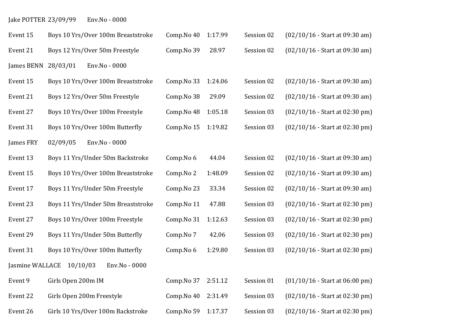# Jake POTTER 23/09/99 Env.No - 0000

| Event 15        | Boys 10 Yrs/Over 100m Breaststroke | Comp.No 40 | 1:17.99 | Session 02 | $(02/10/16 - Start at 09:30 am)$ |
|-----------------|------------------------------------|------------|---------|------------|----------------------------------|
| Event 21        | Boys 12 Yrs/Over 50m Freestyle     | Comp.No 39 | 28.97   | Session 02 | $(02/10/16 - Start at 09:30 am)$ |
| James BENN      | 28/03/01<br>Env.No - 0000          |            |         |            |                                  |
| Event 15        | Boys 10 Yrs/Over 100m Breaststroke | Comp.No 33 | 1:24.06 | Session 02 | $(02/10/16 - Start at 09:30 am)$ |
| Event 21        | Boys 12 Yrs/Over 50m Freestyle     | Comp.No 38 | 29.09   | Session 02 | $(02/10/16 - Start at 09:30 am)$ |
| Event 27        | Boys 10 Yrs/Over 100m Freestyle    | Comp.No 48 | 1:05.18 | Session 03 | $(02/10/16 - Start at 02:30 pm)$ |
| Event 31        | Boys 10 Yrs/Over 100m Butterfly    | Comp.No 15 | 1:19.82 | Session 03 | $(02/10/16 - Start at 02:30 pm)$ |
| James FRY       | 02/09/05<br>Env.No - 0000          |            |         |            |                                  |
| Event 13        | Boys 11 Yrs/Under 50m Backstroke   | Comp.No 6  | 44.04   | Session 02 | $(02/10/16 - Start at 09:30 am)$ |
| Event 15        | Boys 10 Yrs/Over 100m Breaststroke | Comp.No 2  | 1:48.09 | Session 02 | $(02/10/16 - Start at 09:30 am)$ |
| Event 17        | Boys 11 Yrs/Under 50m Freestyle    | Comp.No 23 | 33.34   | Session 02 | $(02/10/16 - Start at 09:30 am)$ |
| Event 23        | Boys 11 Yrs/Under 50m Breaststroke | Comp.No 11 | 47.88   | Session 03 | $(02/10/16 - Start at 02:30 pm)$ |
| Event 27        | Boys 10 Yrs/Over 100m Freestyle    | Comp.No 31 | 1:12.63 | Session 03 | $(02/10/16 - Start at 02:30 pm)$ |
| Event 29        | Boys 11 Yrs/Under 50m Butterfly    | Comp.No 7  | 42.06   | Session 03 | $(02/10/16 - Start at 02:30 pm)$ |
| Event 31        | Boys 10 Yrs/Over 100m Butterfly    | Comp.No 6  | 1:29.80 | Session 03 | $(02/10/16 - Start at 02:30 pm)$ |
| Jasmine WALLACE | 10/10/03<br>Env.No - 0000          |            |         |            |                                  |
| Event 9         | Girls Open 200m IM                 | Comp.No 37 | 2:51.12 | Session 01 | $(01/10/16 - Start at 06:00 pm)$ |
| Event 22        | Girls Open 200m Freestyle          | Comp.No 40 | 2:31.49 | Session 03 | $(02/10/16 - Start at 02:30 pm)$ |
| Event 26        | Girls 10 Yrs/Over 100m Backstroke  | Comp.No 59 | 1:17.37 | Session 03 | $(02/10/16 - Start at 02:30 pm)$ |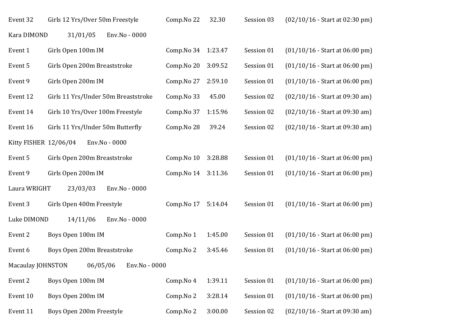| Event 32              | Girls 12 Yrs/Over 50m Freestyle     | Comp.No 22 | 32.30   | Session 03 | $(02/10/16 - Start at 02:30 pm)$ |
|-----------------------|-------------------------------------|------------|---------|------------|----------------------------------|
| Kara DIMOND           | 31/01/05<br>Env.No - 0000           |            |         |            |                                  |
| Event 1               | Girls Open 100m IM                  | Comp.No 34 | 1:23.47 | Session 01 | $(01/10/16 - Start at 06:00 pm)$ |
| Event 5               | Girls Open 200m Breaststroke        | Comp.No 20 | 3:09.52 | Session 01 | $(01/10/16 - Start at 06:00 pm)$ |
| Event 9               | Girls Open 200m IM                  | Comp.No 27 | 2:59.10 | Session 01 | $(01/10/16 - Start at 06:00 pm)$ |
| Event 12              | Girls 11 Yrs/Under 50m Breaststroke | Comp.No 33 | 45.00   | Session 02 | $(02/10/16 - Start at 09:30 am)$ |
| Event 14              | Girls 10 Yrs/Over 100m Freestyle    | Comp.No 37 | 1:15.96 | Session 02 | $(02/10/16 - Start at 09:30 am)$ |
| Event 16              | Girls 11 Yrs/Under 50m Butterfly    | Comp.No 28 | 39.24   | Session 02 | $(02/10/16 - Start at 09:30 am)$ |
| Kitty FISHER 12/06/04 | Env.No - 0000                       |            |         |            |                                  |
| Event 5               | Girls Open 200m Breaststroke        | Comp.No 10 | 3:28.88 | Session 01 | $(01/10/16 - Start at 06:00 pm)$ |
| Event 9               | Girls Open 200m IM                  | Comp.No 14 | 3:11.36 | Session 01 | $(01/10/16 - Start at 06:00 pm)$ |
| Laura WRIGHT          | 23/03/03<br>Env.No - 0000           |            |         |            |                                  |
| Event 3               | Girls Open 400m Freestyle           | Comp.No 17 | 5:14.04 | Session 01 | $(01/10/16 - Start at 06:00 pm)$ |
| Luke DIMOND           | 14/11/06<br>Env.No - 0000           |            |         |            |                                  |
| Event 2               | Boys Open 100m IM                   | Comp.No 1  | 1:45.00 | Session 01 | $(01/10/16 - Start at 06:00 pm)$ |
| Event 6               | Boys Open 200m Breaststroke         | Comp.No 2  | 3:45.46 | Session 01 | $(01/10/16 - Start at 06:00 pm)$ |
| Macaulay JOHNSTON     | 06/05/06<br>Env.No - 0000           |            |         |            |                                  |
| Event 2               | Boys Open 100m IM                   | Comp.No 4  | 1:39.11 | Session 01 | $(01/10/16 - Start at 06:00 pm)$ |
| Event 10              | Boys Open 200m IM                   | Comp.No 2  | 3:28.14 | Session 01 | $(01/10/16 - Start at 06:00 pm)$ |
| Event 11              | Boys Open 200m Freestyle            | Comp.No 2  | 3:00.00 | Session 02 | $(02/10/16 - Start at 09:30 am)$ |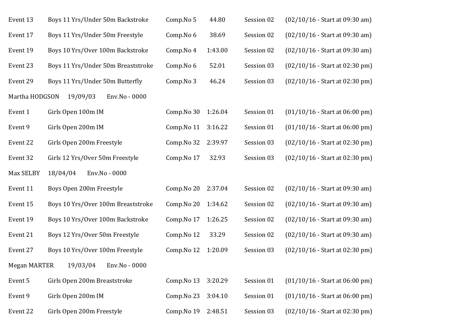| Event 13            | Boys 11 Yrs/Under 50m Backstroke   | Comp.No 5           | 44.80   | Session 02 | $(02/10/16 - Start at 09:30 am)$ |
|---------------------|------------------------------------|---------------------|---------|------------|----------------------------------|
| Event 17            | Boys 11 Yrs/Under 50m Freestyle    | Comp.No 6           | 38.69   | Session 02 | $(02/10/16 - Start at 09:30 am)$ |
| Event 19            | Boys 10 Yrs/Over 100m Backstroke   | Comp.No 4           | 1:43.00 | Session 02 | $(02/10/16 - Start at 09:30 am)$ |
| Event 23            | Boys 11 Yrs/Under 50m Breaststroke | Comp.No 6           | 52.01   | Session 03 | $(02/10/16 - Start at 02:30 pm)$ |
| Event 29            | Boys 11 Yrs/Under 50m Butterfly    | Comp.No 3           | 46.24   | Session 03 | $(02/10/16 - Start at 02:30 pm)$ |
| Martha HODGSON      | Env.No - 0000<br>19/09/03          |                     |         |            |                                  |
| Event 1             | Girls Open 100m IM                 | Comp.No 30          | 1:26.04 | Session 01 | $(01/10/16 - Start at 06:00 pm)$ |
| Event 9             | Girls Open 200m IM                 | Comp.No 11          | 3:16.22 | Session 01 | $(01/10/16 - Start at 06:00 pm)$ |
| Event 22            | Girls Open 200m Freestyle          | Comp. No 32 2:39.97 |         | Session 03 | $(02/10/16 - Start at 02:30 pm)$ |
| Event 32            | Girls 12 Yrs/Over 50m Freestyle    | Comp.No 17          | 32.93   | Session 03 | $(02/10/16 - Start at 02:30 pm)$ |
| Max SELBY           | 18/04/04<br>Env.No - 0000          |                     |         |            |                                  |
| Event 11            | Boys Open 200m Freestyle           | Comp.No 20          | 2:37.04 | Session 02 | $(02/10/16 - Start at 09:30 am)$ |
| Event 15            | Boys 10 Yrs/Over 100m Breaststroke | Comp.No 20          | 1:34.62 | Session 02 | $(02/10/16 - Start at 09:30 am)$ |
| Event 19            | Boys 10 Yrs/Over 100m Backstroke   | Comp.No 17          | 1:26.25 | Session 02 | $(02/10/16 - Start at 09:30 am)$ |
|                     |                                    |                     |         |            |                                  |
| Event 21            | Boys 12 Yrs/Over 50m Freestyle     | Comp.No 12          | 33.29   | Session 02 | $(02/10/16 - Start at 09:30 am)$ |
| Event 27            | Boys 10 Yrs/Over 100m Freestyle    | Comp.No 12          | 1:20.09 | Session 03 | $(02/10/16 - Start at 02:30 pm)$ |
| <b>Megan MARTER</b> | 19/03/04<br>Env.No - 0000          |                     |         |            |                                  |
| Event 5             | Girls Open 200m Breaststroke       | Comp.No 13          | 3:20.29 | Session 01 | $(01/10/16 - Start at 06:00 pm)$ |
| Event 9             | Girls Open 200m IM                 | Comp.No 23          | 3:04.10 | Session 01 | $(01/10/16 - Start at 06:00 pm)$ |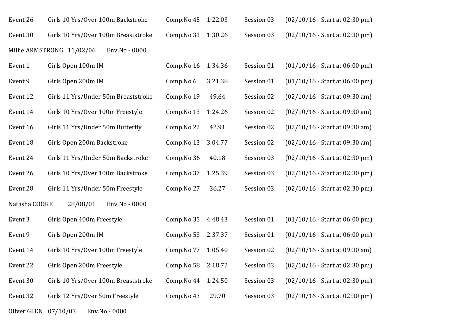| Event 26 | Girls 10 Yrs/Over 100m Backstroke   |               | Comp. No $45$ 1:22.03       | Session 03 | $(02/10/16 - Start at 02:30 pm)$ |
|----------|-------------------------------------|---------------|-----------------------------|------------|----------------------------------|
| Event 30 | Girls 10 Yrs/Over 100m Breaststroke |               | Comp. No $31 \quad 1:30.26$ | Session 03 | $(02/10/16 - Start at 02:30 pm)$ |
|          | Millie ARMSTRONG 11/02/06           | Env.No - 0000 |                             |            |                                  |

| Event 1       | Girls Open 100m IM                  | Comp.No 16 | 1:34.36 | Session 01 | $(01/10/16 - Start at 06:00 pm)$ |
|---------------|-------------------------------------|------------|---------|------------|----------------------------------|
| Event 9       | Girls Open 200m IM                  | Comp.No 6  | 3:21.38 | Session 01 | $(01/10/16 - Start at 06:00 pm)$ |
| Event 12      | Girls 11 Yrs/Under 50m Breaststroke | Comp.No 19 | 49.64   | Session 02 | $(02/10/16 - Start at 09:30 am)$ |
| Event 14      | Girls 10 Yrs/Over 100m Freestyle    | Comp.No 13 | 1:24.26 | Session 02 | $(02/10/16 - Start at 09:30 am)$ |
| Event 16      | Girls 11 Yrs/Under 50m Butterfly    | Comp.No 22 | 42.91   | Session 02 | $(02/10/16 - Start at 09:30 am)$ |
| Event 18      | Girls Open 200m Backstroke          | Comp.No 13 | 3:04.77 | Session 02 | $(02/10/16 - Start at 09:30 am)$ |
| Event 24      | Girls 11 Yrs/Under 50m Backstroke   | Comp.No 36 | 40.18   | Session 03 | $(02/10/16 - Start at 02:30 pm)$ |
| Event 26      | Girls 10 Yrs/Over 100m Backstroke   | Comp.No 37 | 1:25.39 | Session 03 | $(02/10/16 - Start at 02:30 pm)$ |
| Event 28      | Girls 11 Yrs/Under 50m Freestyle    | Comp.No 27 | 36.27   | Session 03 | $(02/10/16 - Start at 02:30 pm)$ |
| Natasha COOKE | Env.No - 0000<br>28/08/01           |            |         |            |                                  |
| Event 3       | Girls Open 400m Freestyle           | Comp.No 35 | 4:48.43 | Session 01 | $(01/10/16 - Start at 06:00 pm)$ |
| Event 9       | Girls Open 200m IM                  | Comp.No 53 | 2:37.37 | Session 01 | $(01/10/16 - Start at 06:00 pm)$ |
| Event 14      | Girls 10 Yrs/Over 100m Freestyle    | Comp.No 77 | 1:05.40 | Session 02 | $(02/10/16 - Start at 09:30 am)$ |
| Event 22      | Girls Open 200m Freestyle           | Comp.No 58 | 2:18.72 | Session 03 | $(02/10/16 - Start at 02:30 pm)$ |
| Event 30      | Girls 10 Yrs/Over 100m Breaststroke | Comp.No 44 | 1:24.50 | Session 03 | $(02/10/16 - Start at 02:30 pm)$ |
| Event 32      | Girls 12 Yrs/Over 50m Freestyle     | Comp.No 43 | 29.70   | Session 03 | $(02/10/16 - Start at 02:30 pm)$ |
|               |                                     |            |         |            |                                  |

Oliver GLEN 07/10/03 Env.No - 0000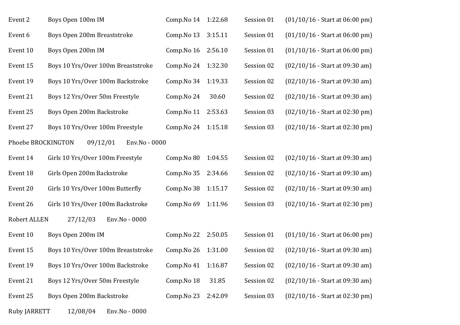| Event 2                                         | Boys Open 100m IM                  | Comp.No 14 | 1:22.68 | Session 01 | $(01/10/16 - Start at 06:00 pm)$ |  |  |
|-------------------------------------------------|------------------------------------|------------|---------|------------|----------------------------------|--|--|
| Event 6                                         | Boys Open 200m Breaststroke        | Comp.No 13 | 3:15.11 | Session 01 | $(01/10/16 - Start at 06:00 pm)$ |  |  |
| Event 10                                        | Boys Open 200m IM                  | Comp.No 16 | 2:56.10 | Session 01 | $(01/10/16 - Start at 06:00 pm)$ |  |  |
| Event 15                                        | Boys 10 Yrs/Over 100m Breaststroke | Comp.No 24 | 1:32.30 | Session 02 | $(02/10/16 - Start at 09:30 am)$ |  |  |
| Event 19                                        | Boys 10 Yrs/Over 100m Backstroke   | Comp.No 34 | 1:19.33 | Session 02 | $(02/10/16 - Start at 09:30 am)$ |  |  |
| Event 21                                        | Boys 12 Yrs/Over 50m Freestyle     | Comp.No 24 | 30.60   | Session 02 | $(02/10/16 - Start at 09:30 am)$ |  |  |
| Event 25                                        | Boys Open 200m Backstroke          | Comp.No 11 | 2:53.63 | Session 03 | $(02/10/16 - Start at 02:30 pm)$ |  |  |
| Event 27                                        | Boys 10 Yrs/Over 100m Freestyle    | Comp.No 24 | 1:15.18 | Session 03 | $(02/10/16 - Start at 02:30 pm)$ |  |  |
| Phoebe BROCKINGTON<br>09/12/01<br>Env.No - 0000 |                                    |            |         |            |                                  |  |  |
| Event 14                                        | Girls 10 Yrs/Over 100m Freestyle   | Comp.No 80 | 1:04.55 | Session 02 | $(02/10/16 - Start at 09:30 am)$ |  |  |
| Event 18                                        | Girls Open 200m Backstroke         | Comp.No 35 | 2:34.66 | Session 02 | $(02/10/16 - Start at 09:30 am)$ |  |  |
| Event 20                                        | Girls 10 Yrs/Over 100m Butterfly   | Comp.No 38 | 1:15.17 | Session 02 | $(02/10/16 - Start at 09:30 am)$ |  |  |
| Event 26                                        | Girls 10 Yrs/Over 100m Backstroke  | Comp.No 69 | 1:11.96 | Session 03 | $(02/10/16 - Start at 02:30 pm)$ |  |  |
| Robert ALLEN                                    | 27/12/03<br>Env.No - 0000          |            |         |            |                                  |  |  |
| Event 10                                        | Boys Open 200m IM                  | Comp.No 22 | 2:50.05 | Session 01 | $(01/10/16 - Start at 06:00 pm)$ |  |  |
| Event 15                                        | Boys 10 Yrs/Over 100m Breaststroke | Comp.No 26 | 1:31.00 | Session 02 | $(02/10/16 - Start at 09:30 am)$ |  |  |
| Event 19                                        | Boys 10 Yrs/Over 100m Backstroke   | Comp.No 41 | 1:16.87 | Session 02 | $(02/10/16 - Start at 09:30 am)$ |  |  |
| Event 21                                        | Boys 12 Yrs/Over 50m Freestyle     | Comp.No 18 | 31.85   | Session 02 | $(02/10/16 - Start at 09:30 am)$ |  |  |
| Event 25                                        | Boys Open 200m Backstroke          | Comp.No 23 | 2:42.09 | Session 03 | $(02/10/16 - Start at 02:30 pm)$ |  |  |
| Ruby JARRETT                                    | Env.No - 0000<br>12/08/04          |            |         |            |                                  |  |  |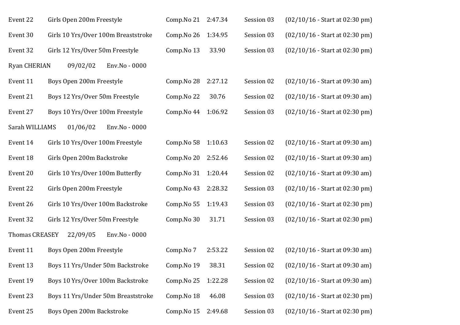| Event 22              | Girls Open 200m Freestyle           | Comp.No 21 | 2:47.34 | Session 03 | $(02/10/16 - Start at 02:30 pm)$ |
|-----------------------|-------------------------------------|------------|---------|------------|----------------------------------|
| Event 30              | Girls 10 Yrs/Over 100m Breaststroke | Comp.No 26 | 1:34.95 | Session 03 | $(02/10/16 - Start at 02:30 pm)$ |
| Event 32              | Girls 12 Yrs/Over 50m Freestyle     | Comp.No 13 | 33.90   | Session 03 | $(02/10/16 - Start at 02:30 pm)$ |
| <b>Ryan CHERIAN</b>   | 09/02/02<br>Env.No - 0000           |            |         |            |                                  |
| Event 11              | Boys Open 200m Freestyle            | Comp.No 28 | 2:27.12 | Session 02 | $(02/10/16 - Start at 09:30 am)$ |
| Event 21              | Boys 12 Yrs/Over 50m Freestyle      | Comp.No 22 | 30.76   | Session 02 | $(02/10/16 - Start at 09:30 am)$ |
| Event 27              | Boys 10 Yrs/Over 100m Freestyle     | Comp.No 44 | 1:06.92 | Session 03 | $(02/10/16 - Start at 02:30 pm)$ |
| Sarah WILLIAMS        | 01/06/02<br>Env.No - 0000           |            |         |            |                                  |
| Event 14              | Girls 10 Yrs/Over 100m Freestyle    | Comp.No 58 | 1:10.63 | Session 02 | $(02/10/16 - Start at 09:30 am)$ |
| Event 18              | Girls Open 200m Backstroke          | Comp.No 20 | 2:52.46 | Session 02 | $(02/10/16 - Start at 09:30 am)$ |
| Event 20              | Girls 10 Yrs/Over 100m Butterfly    | Comp.No 31 | 1:20.44 | Session 02 | $(02/10/16 - Start at 09:30 am)$ |
| Event 22              | Girls Open 200m Freestyle           | Comp.No 43 | 2:28.32 | Session 03 | $(02/10/16 - Start at 02:30 pm)$ |
| Event 26              | Girls 10 Yrs/Over 100m Backstroke   | Comp.No 55 | 1:19.43 | Session 03 | (02/10/16 - Start at 02:30 pm)   |
| Event 32              | Girls 12 Yrs/Over 50m Freestyle     | Comp.No 30 | 31.71   | Session 03 | $(02/10/16 - Start at 02:30 pm)$ |
| <b>Thomas CREASEY</b> | 22/09/05<br>Env.No - 0000           |            |         |            |                                  |
| Event 11              | Boys Open 200m Freestyle            | Comp.No 7  | 2:53.22 | Session 02 | $(02/10/16 - Start at 09:30 am)$ |
| Event 13              | Boys 11 Yrs/Under 50m Backstroke    | Comp.No 19 | 38.31   | Session 02 | $(02/10/16 - Start at 09:30 am)$ |
| Event 19              | Boys 10 Yrs/Over 100m Backstroke    | Comp.No 25 | 1:22.28 | Session 02 | $(02/10/16 - Start at 09:30 am)$ |
| Event 23              | Boys 11 Yrs/Under 50m Breaststroke  | Comp.No 18 | 46.08   | Session 03 | $(02/10/16 - Start at 02:30 pm)$ |
| Event 25              | Boys Open 200m Backstroke           | Comp.No 15 | 2:49.68 | Session 03 | $(02/10/16 - Start at 02:30 pm)$ |